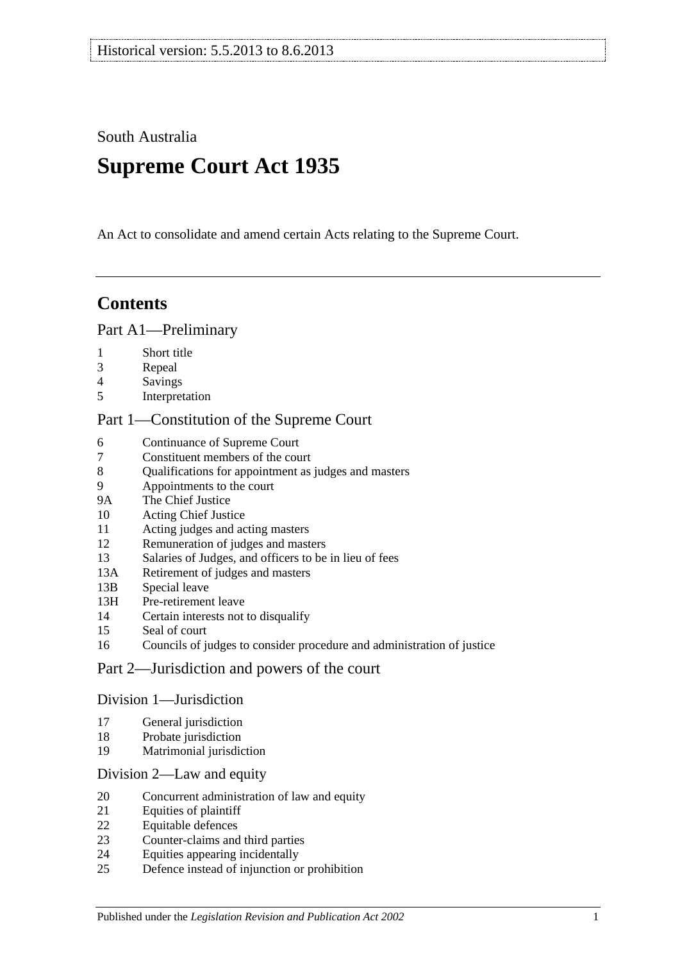South Australia

# **Supreme Court Act 1935**

An Act to consolidate and amend certain Acts relating to the Supreme Court.

# **Contents**

#### [Part A1—Preliminary](#page-3-0)

- [Short title](#page-3-1)
- [Repeal](#page-3-2)
- [Savings](#page-3-3)
- [Interpretation](#page-3-4)

#### [Part 1—Constitution of the Supreme Court](#page-5-0)

- [Continuance of](#page-5-1) Supreme Court<br>7 Constituent members of the cou
- [Constituent members of the court](#page-5-2)
- [Qualifications for appointment as judges and masters](#page-5-3)
- [Appointments to the court](#page-5-4)
- 9A [The Chief Justice](#page-6-0)
- [Acting Chief Justice](#page-6-1)
- [Acting judges and acting masters](#page-6-2)
- [Remuneration of judges and masters](#page-7-0)
- [Salaries of Judges, and officers to be in lieu of fees](#page-7-1)
- 13A [Retirement of judges and masters](#page-7-2)
- 13B [Special leave](#page-7-3)
- 13H [Pre-retirement leave](#page-8-0)
- [Certain interests not to disqualify](#page-9-0)
- [Seal of court](#page-9-1)
- [Councils of judges to consider procedure and administration of justice](#page-9-2)

## [Part 2—Jurisdiction and powers of the court](#page-9-3)

#### [Division 1—Jurisdiction](#page-9-4)

- [General jurisdiction](#page-9-5)
- [Probate jurisdiction](#page-10-0)
- [Matrimonial jurisdiction](#page-10-1)

#### [Division 2—Law and equity](#page-10-2)

- [Concurrent administration of law and equity](#page-10-3)
- [Equities of plaintiff](#page-11-0)
- [Equitable defences](#page-11-1)
- [Counter-claims and third parties](#page-11-2)
- [Equities appearing incidentally](#page-11-3)
- [Defence instead of injunction or prohibition](#page-12-0)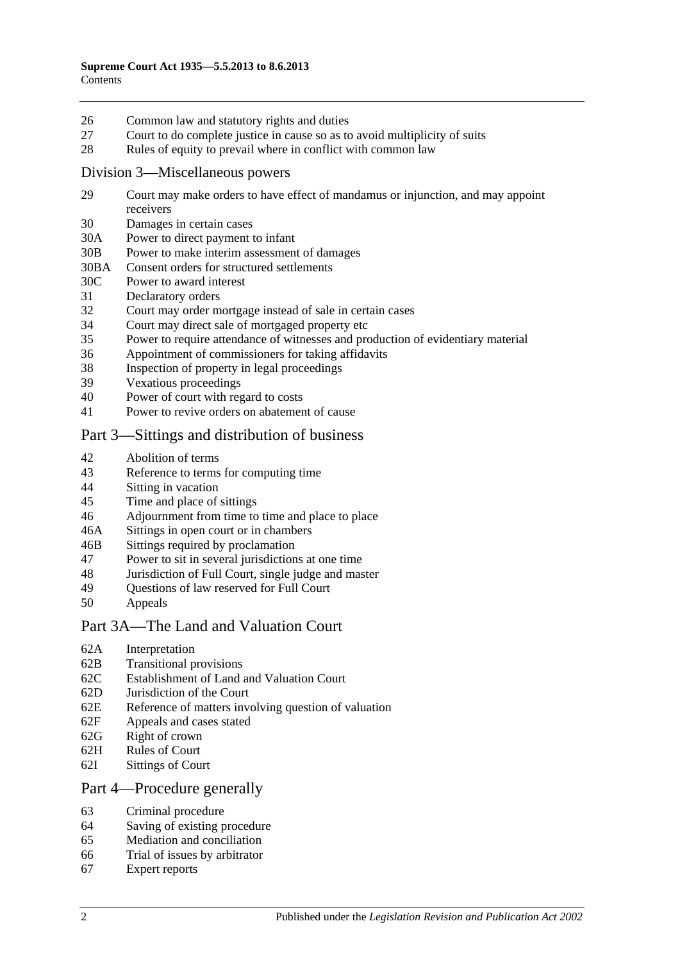- 26 [Common law and statutory rights and duties](#page-12-1)
- 27 [Court to do complete justice in cause so as to avoid multiplicity of suits](#page-12-2)
- 28 [Rules of equity to prevail where in conflict with common law](#page-12-3)

#### [Division 3—Miscellaneous powers](#page-13-0)

- 29 [Court may make orders to have effect of mandamus or injunction, and may appoint](#page-13-1)  [receivers](#page-13-1)
- 30 [Damages in certain cases](#page-13-2)
- 30A [Power to direct payment to infant](#page-13-3)
- 30B [Power to make interim assessment of damages](#page-13-4)
- 30BA [Consent orders for structured settlements](#page-16-0)
- 30C [Power to award interest](#page-16-1)
- 31 [Declaratory orders](#page-17-0)
- 32 [Court may order mortgage instead of sale in certain cases](#page-17-1)
- 34 [Court may direct sale of mortgaged property etc](#page-17-2)
- 35 [Power to require attendance of witnesses and production of evidentiary material](#page-17-3)
- 36 [Appointment of commissioners for taking affidavits](#page-18-0)
- 38 [Inspection of property in legal proceedings](#page-18-1)
- 39 [Vexatious proceedings](#page-18-2)
- 40 [Power of court with regard to costs](#page-19-0)
- 41 [Power to revive orders on abatement of cause](#page-19-1)

## [Part 3—Sittings and distribution of business](#page-19-2)

- 42 [Abolition of terms](#page-19-3)
- 43 [Reference to terms for computing time](#page-19-4)
- 44 Sitting [in vacation](#page-19-5)
- 45 [Time and place of sittings](#page-20-0)
- 46 [Adjournment from time to time and place to place](#page-20-1)
- 46A [Sittings in open court or in chambers](#page-20-2)
- 46B [Sittings required by proclamation](#page-20-3)
- 47 [Power to sit in several jurisdictions at one time](#page-20-4)
- 48 [Jurisdiction of Full Court, single judge and master](#page-20-5)
- 49 [Questions of law reserved for Full Court](#page-21-0)<br>50 Anneals
- **[Appeals](#page-21-1)**

#### [Part 3A—The Land and Valuation Court](#page-22-0)

- 62A [Interpretation](#page-22-1)
- 62B [Transitional provisions](#page-23-0)
- 62C [Establishment of Land and Valuation Court](#page-23-1)
- 62D [Jurisdiction of the Court](#page-23-2)
- 62E [Reference of matters involving question of valuation](#page-24-0)
- 62F [Appeals and cases stated](#page-25-0)
- 62G [Right of crown](#page-25-1)
- 62H [Rules of Court](#page-25-2)
- 62I [Sittings of Court](#page-25-3)

#### [Part 4—Procedure generally](#page-25-4)

- 63 [Criminal procedure](#page-25-5)
- 64 [Saving of existing procedure](#page-26-0)
- 65 [Mediation and conciliation](#page-26-1)
- 66 [Trial of issues by arbitrator](#page-26-2)
- 67 [Expert reports](#page-27-0)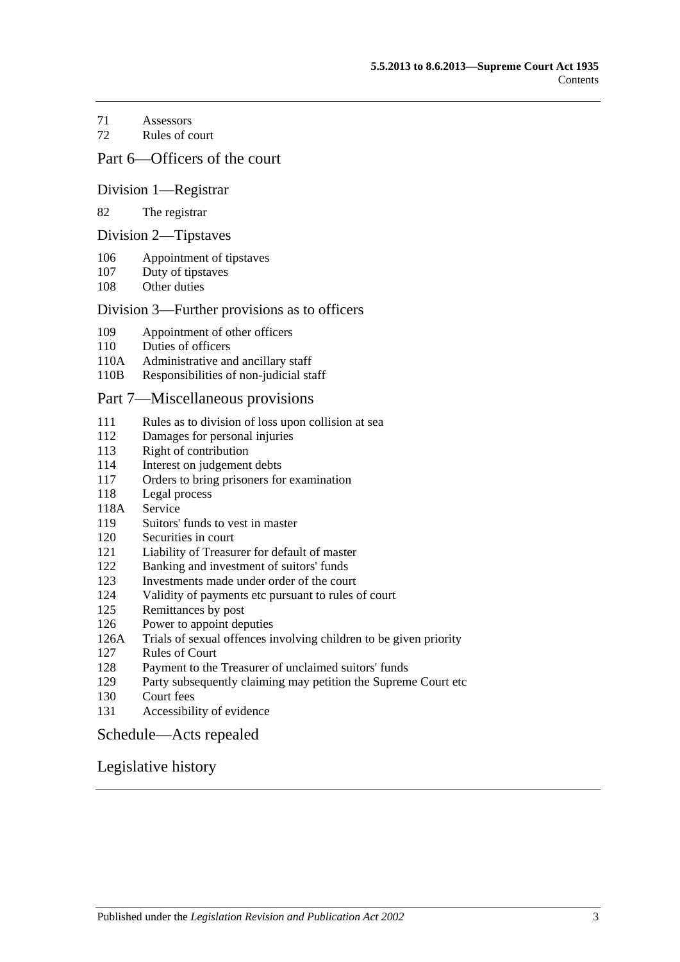[Assessors](#page-27-1)

[Rules of court](#page-27-2)

#### [Part 6—Officers of the court](#page-29-0)

#### [Division 1—Registrar](#page-29-1)

#### [The registrar](#page-29-2)

#### [Division 2—Tipstaves](#page-29-3)

- [Appointment of tipstaves](#page-29-4)
- [Duty of tipstaves](#page-29-5)
- [Other duties](#page-29-6)

#### [Division 3—Further provisions as to officers](#page-29-7)

- [Appointment of other officers](#page-29-8)
- [Duties of officers](#page-30-0)
- 110A [Administrative and ancillary staff](#page-30-1)
- 110B [Responsibilities of non-judicial staff](#page-30-2)

#### [Part 7—Miscellaneous provisions](#page-30-3)

- [Rules as to division of loss upon collision at sea](#page-30-4)
- [Damages for personal injuries](#page-31-0)<br>113 Right of contribution
- [Right of contribution](#page-31-1)
- [Interest on judgement debts](#page-31-2)
- [Orders to bring prisoners for examination](#page-31-3)
- [Legal process](#page-32-0)
- 118A [Service](#page-32-1)
- [Suitors' funds to vest in master](#page-32-2)
- [Securities in court](#page-32-3)
- [Liability of Treasurer for default of master](#page-32-4)
- [Banking and investment of suitors' funds](#page-32-5)
- [Investments made under order of the court](#page-33-0)
- [Validity of payments etc pursuant to rules of court](#page-33-1)
- [Remittances by post](#page-33-2)
- [Power to appoint deputies](#page-33-3)
- 126A [Trials of sexual offences involving children to be given priority](#page-33-4)
- [Rules of Court](#page-34-0)
- [Payment to the Treasurer of unclaimed suitors' funds](#page-34-1)
- [Party subsequently claiming may petition the Supreme Court etc](#page-34-2)
- [Court fees](#page-34-3)
- [Accessibility of evidence](#page-35-0)

#### [Schedule—Acts repealed](#page-36-0)

#### [Legislative history](#page-38-0)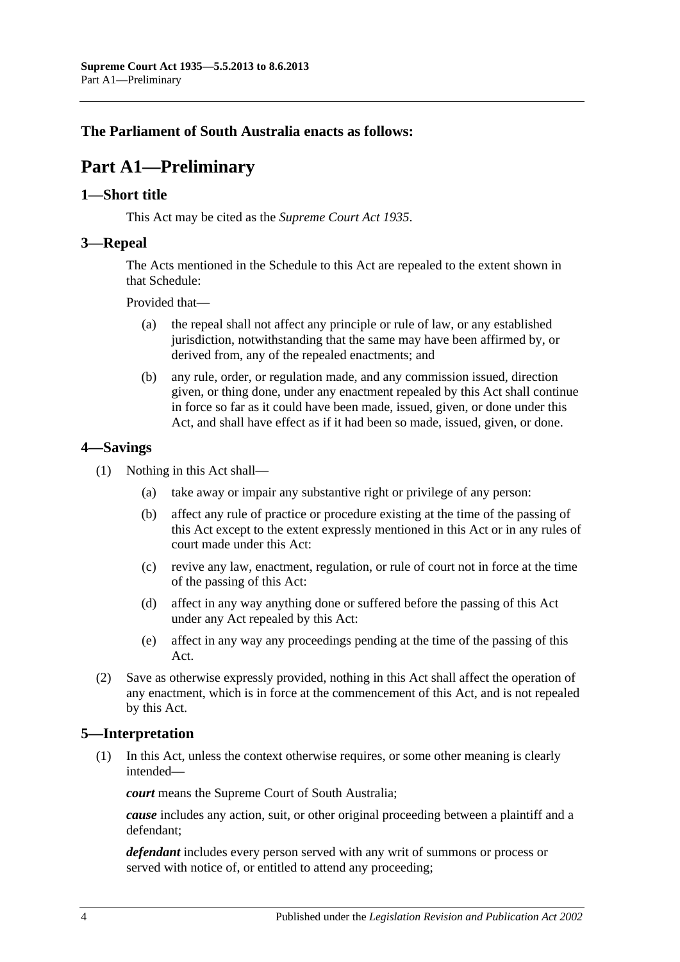# <span id="page-3-0"></span>**The Parliament of South Australia enacts as follows:**

# **Part A1—Preliminary**

#### <span id="page-3-1"></span>**1—Short title**

This Act may be cited as the *Supreme Court Act 1935*.

#### <span id="page-3-2"></span>**3—Repeal**

The Acts mentioned in the [Schedule](#page-36-0) to this Act are repealed to the extent shown in that [Schedule:](#page-36-0)

Provided that—

- (a) the repeal shall not affect any principle or rule of law, or any established jurisdiction, notwithstanding that the same may have been affirmed by, or derived from, any of the repealed enactments; and
- (b) any rule, order, or regulation made, and any commission issued, direction given, or thing done, under any enactment repealed by this Act shall continue in force so far as it could have been made, issued, given, or done under this Act, and shall have effect as if it had been so made, issued, given, or done.

## <span id="page-3-3"></span>**4—Savings**

- (1) Nothing in this Act shall—
	- (a) take away or impair any substantive right or privilege of any person:
	- (b) affect any rule of practice or procedure existing at the time of the passing of this Act except to the extent expressly mentioned in this Act or in any rules of court made under this Act:
	- (c) revive any law, enactment, regulation, or rule of court not in force at the time of the passing of this Act:
	- (d) affect in any way anything done or suffered before the passing of this Act under any Act repealed by this Act:
	- (e) affect in any way any proceedings pending at the time of the passing of this Act.
- (2) Save as otherwise expressly provided, nothing in this Act shall affect the operation of any enactment, which is in force at the commencement of this Act, and is not repealed by this Act.

## <span id="page-3-4"></span>**5—Interpretation**

(1) In this Act, unless the context otherwise requires, or some other meaning is clearly intended—

*court* means the Supreme Court of South Australia;

*cause* includes any action, suit, or other original proceeding between a plaintiff and a defendant;

*defendant* includes every person served with any writ of summons or process or served with notice of, or entitled to attend any proceeding;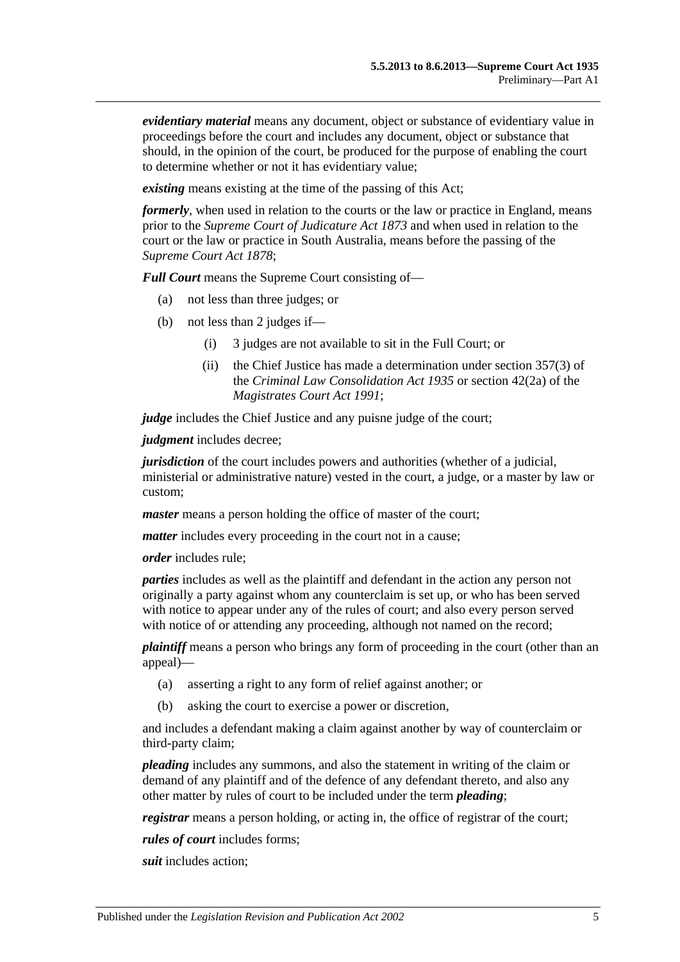*evidentiary material* means any document, object or substance of evidentiary value in proceedings before the court and includes any document, object or substance that should, in the opinion of the court, be produced for the purpose of enabling the court to determine whether or not it has evidentiary value;

*existing* means existing at the time of the passing of this Act;

*formerly*, when used in relation to the courts or the law or practice in England, means prior to the *[Supreme Court of Judicature Act](http://www.legislation.sa.gov.au/index.aspx?action=legref&type=act&legtitle=Supreme%20Court%20of%20Judicature%20Act%201873) 1873* and when used in relation to the court or the law or practice in South Australia, means before the passing of the *[Supreme Court Act](http://www.legislation.sa.gov.au/index.aspx?action=legref&type=act&legtitle=Supreme%20Court%20Act%201878) 1878*;

*Full Court* means the Supreme Court consisting of—

- (a) not less than three judges; or
- (b) not less than 2 judges if—
	- (i) 3 judges are not available to sit in the Full Court; or
	- (ii) the Chief Justice has made a determination under section 357(3) of the *[Criminal Law Consolidation Act](http://www.legislation.sa.gov.au/index.aspx?action=legref&type=act&legtitle=Criminal%20Law%20Consolidation%20Act%201935) 1935* or section 42(2a) of the *[Magistrates Court Act](http://www.legislation.sa.gov.au/index.aspx?action=legref&type=act&legtitle=Magistrates%20Court%20Act%201991) 1991*;

*judge* includes the Chief Justice and any puisne judge of the court;

*judgment* includes decree;

*jurisdiction* of the court includes powers and authorities (whether of a judicial, ministerial or administrative nature) vested in the court, a judge, or a master by law or custom;

*master* means a person holding the office of master of the court;

*matter* includes every proceeding in the court not in a cause;

*order* includes rule;

*parties* includes as well as the plaintiff and defendant in the action any person not originally a party against whom any counterclaim is set up, or who has been served with notice to appear under any of the rules of court; and also every person served with notice of or attending any proceeding, although not named on the record;

*plaintiff* means a person who brings any form of proceeding in the court (other than an appeal)—

- (a) asserting a right to any form of relief against another; or
- (b) asking the court to exercise a power or discretion,

and includes a defendant making a claim against another by way of counterclaim or third-party claim;

*pleading* includes any summons, and also the statement in writing of the claim or demand of any plaintiff and of the defence of any defendant thereto, and also any other matter by rules of court to be included under the term *pleading*;

*registrar* means a person holding, or acting in, the office of registrar of the court;

*rules of court* includes forms;

*suit* includes action;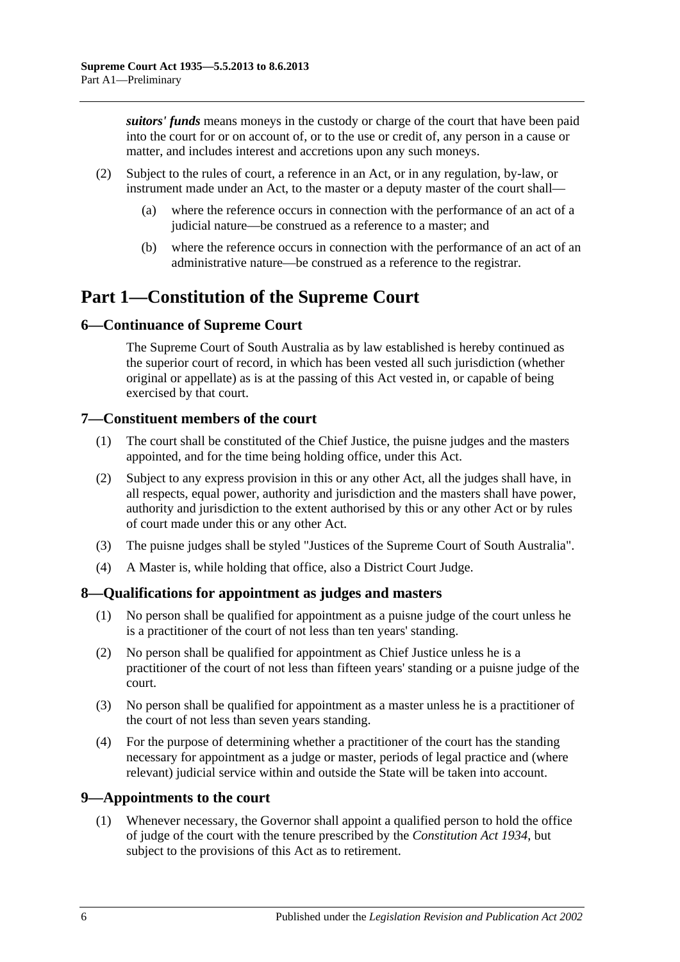*suitors' funds* means moneys in the custody or charge of the court that have been paid into the court for or on account of, or to the use or credit of, any person in a cause or matter, and includes interest and accretions upon any such moneys.

- (2) Subject to the rules of court, a reference in an Act, or in any regulation, by-law, or instrument made under an Act, to the master or a deputy master of the court shall—
	- (a) where the reference occurs in connection with the performance of an act of a judicial nature—be construed as a reference to a master; and
	- (b) where the reference occurs in connection with the performance of an act of an administrative nature—be construed as a reference to the registrar.

# <span id="page-5-0"></span>**Part 1—Constitution of the Supreme Court**

## <span id="page-5-1"></span>**6—Continuance of Supreme Court**

The Supreme Court of South Australia as by law established is hereby continued as the superior court of record, in which has been vested all such jurisdiction (whether original or appellate) as is at the passing of this Act vested in, or capable of being exercised by that court.

## <span id="page-5-2"></span>**7—Constituent members of the court**

- (1) The court shall be constituted of the Chief Justice, the puisne judges and the masters appointed, and for the time being holding office, under this Act.
- (2) Subject to any express provision in this or any other Act, all the judges shall have, in all respects, equal power, authority and jurisdiction and the masters shall have power, authority and jurisdiction to the extent authorised by this or any other Act or by rules of court made under this or any other Act.
- (3) The puisne judges shall be styled "Justices of the Supreme Court of South Australia".
- (4) A Master is, while holding that office, also a District Court Judge.

# <span id="page-5-3"></span>**8—Qualifications for appointment as judges and masters**

- (1) No person shall be qualified for appointment as a puisne judge of the court unless he is a practitioner of the court of not less than ten years' standing.
- (2) No person shall be qualified for appointment as Chief Justice unless he is a practitioner of the court of not less than fifteen years' standing or a puisne judge of the court.
- (3) No person shall be qualified for appointment as a master unless he is a practitioner of the court of not less than seven years standing.
- (4) For the purpose of determining whether a practitioner of the court has the standing necessary for appointment as a judge or master, periods of legal practice and (where relevant) judicial service within and outside the State will be taken into account.

# <span id="page-5-4"></span>**9—Appointments to the court**

(1) Whenever necessary, the Governor shall appoint a qualified person to hold the office of judge of the court with the tenure prescribed by the *[Constitution Act](http://www.legislation.sa.gov.au/index.aspx?action=legref&type=act&legtitle=Constitution%20Act%201934) 1934*, but subject to the provisions of this Act as to retirement.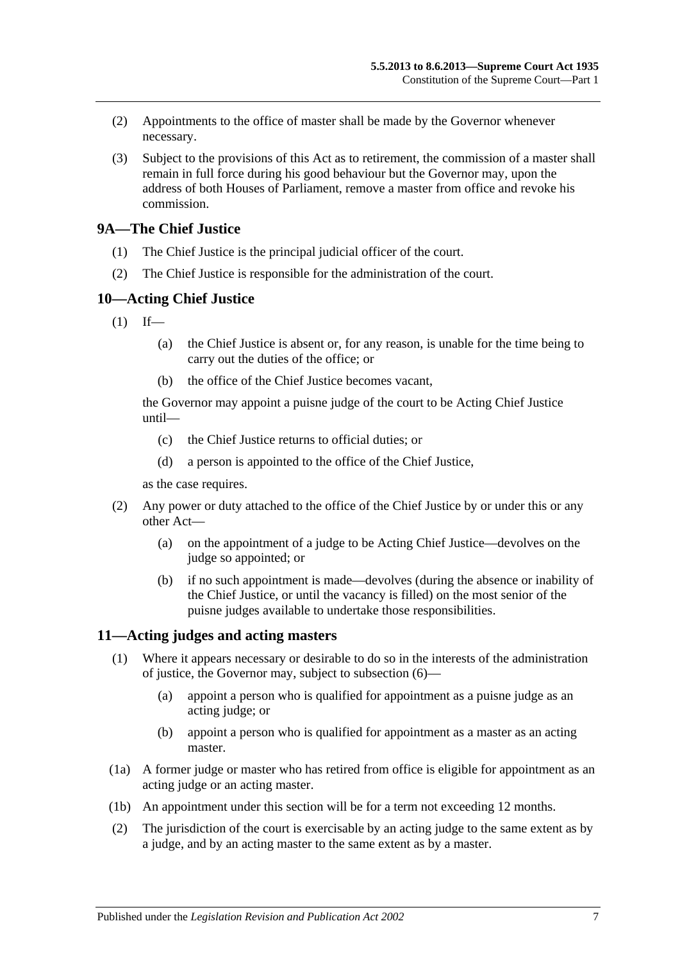- (2) Appointments to the office of master shall be made by the Governor whenever necessary.
- (3) Subject to the provisions of this Act as to retirement, the commission of a master shall remain in full force during his good behaviour but the Governor may, upon the address of both Houses of Parliament, remove a master from office and revoke his commission.

## <span id="page-6-0"></span>**9A—The Chief Justice**

- (1) The Chief Justice is the principal judicial officer of the court.
- (2) The Chief Justice is responsible for the administration of the court.

#### <span id="page-6-1"></span>**10—Acting Chief Justice**

- $(1)$  If—
	- (a) the Chief Justice is absent or, for any reason, is unable for the time being to carry out the duties of the office; or
	- (b) the office of the Chief Justice becomes vacant,

the Governor may appoint a puisne judge of the court to be Acting Chief Justice until—

- (c) the Chief Justice returns to official duties; or
- (d) a person is appointed to the office of the Chief Justice,

as the case requires.

- (2) Any power or duty attached to the office of the Chief Justice by or under this or any other Act—
	- (a) on the appointment of a judge to be Acting Chief Justice—devolves on the judge so appointed; or
	- (b) if no such appointment is made—devolves (during the absence or inability of the Chief Justice, or until the vacancy is filled) on the most senior of the puisne judges available to undertake those responsibilities.

## <span id="page-6-3"></span><span id="page-6-2"></span>**11—Acting judges and acting masters**

- (1) Where it appears necessary or desirable to do so in the interests of the administration of justice, the Governor may, subject to [subsection](#page-7-4) (6)—
	- (a) appoint a person who is qualified for appointment as a puisne judge as an acting judge; or
	- (b) appoint a person who is qualified for appointment as a master as an acting master.
- (1a) A former judge or master who has retired from office is eligible for appointment as an acting judge or an acting master.
- (1b) An appointment under this section will be for a term not exceeding 12 months.
- (2) The jurisdiction of the court is exercisable by an acting judge to the same extent as by a judge, and by an acting master to the same extent as by a master.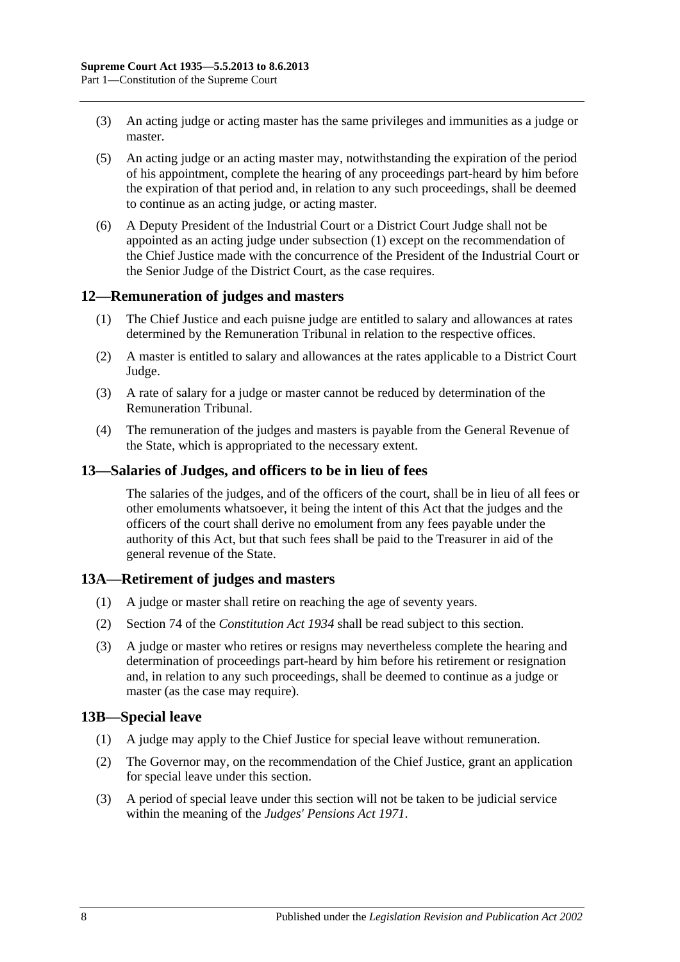- (3) An acting judge or acting master has the same privileges and immunities as a judge or master.
- (5) An acting judge or an acting master may, notwithstanding the expiration of the period of his appointment, complete the hearing of any proceedings part-heard by him before the expiration of that period and, in relation to any such proceedings, shall be deemed to continue as an acting judge, or acting master.
- <span id="page-7-4"></span>(6) A Deputy President of the Industrial Court or a District Court Judge shall not be appointed as an acting judge under [subsection](#page-6-3) (1) except on the recommendation of the Chief Justice made with the concurrence of the President of the Industrial Court or the Senior Judge of the District Court, as the case requires.

## <span id="page-7-0"></span>**12—Remuneration of judges and masters**

- (1) The Chief Justice and each puisne judge are entitled to salary and allowances at rates determined by the Remuneration Tribunal in relation to the respective offices.
- (2) A master is entitled to salary and allowances at the rates applicable to a District Court Judge.
- (3) A rate of salary for a judge or master cannot be reduced by determination of the Remuneration Tribunal.
- (4) The remuneration of the judges and masters is payable from the General Revenue of the State, which is appropriated to the necessary extent.

#### <span id="page-7-1"></span>**13—Salaries of Judges, and officers to be in lieu of fees**

The salaries of the judges, and of the officers of the court, shall be in lieu of all fees or other emoluments whatsoever, it being the intent of this Act that the judges and the officers of the court shall derive no emolument from any fees payable under the authority of this Act, but that such fees shall be paid to the Treasurer in aid of the general revenue of the State.

## <span id="page-7-2"></span>**13A—Retirement of judges and masters**

- (1) A judge or master shall retire on reaching the age of seventy years.
- (2) Section 74 of the *[Constitution Act](http://www.legislation.sa.gov.au/index.aspx?action=legref&type=act&legtitle=Constitution%20Act%201934) 1934* shall be read subject to this section.
- (3) A judge or master who retires or resigns may nevertheless complete the hearing and determination of proceedings part-heard by him before his retirement or resignation and, in relation to any such proceedings, shall be deemed to continue as a judge or master (as the case may require).

#### <span id="page-7-3"></span>**13B—Special leave**

- (1) A judge may apply to the Chief Justice for special leave without remuneration.
- (2) The Governor may, on the recommendation of the Chief Justice, grant an application for special leave under this section.
- (3) A period of special leave under this section will not be taken to be judicial service within the meaning of the *[Judges' Pensions Act](http://www.legislation.sa.gov.au/index.aspx?action=legref&type=act&legtitle=Judges%20Pensions%20Act%201971) 1971*.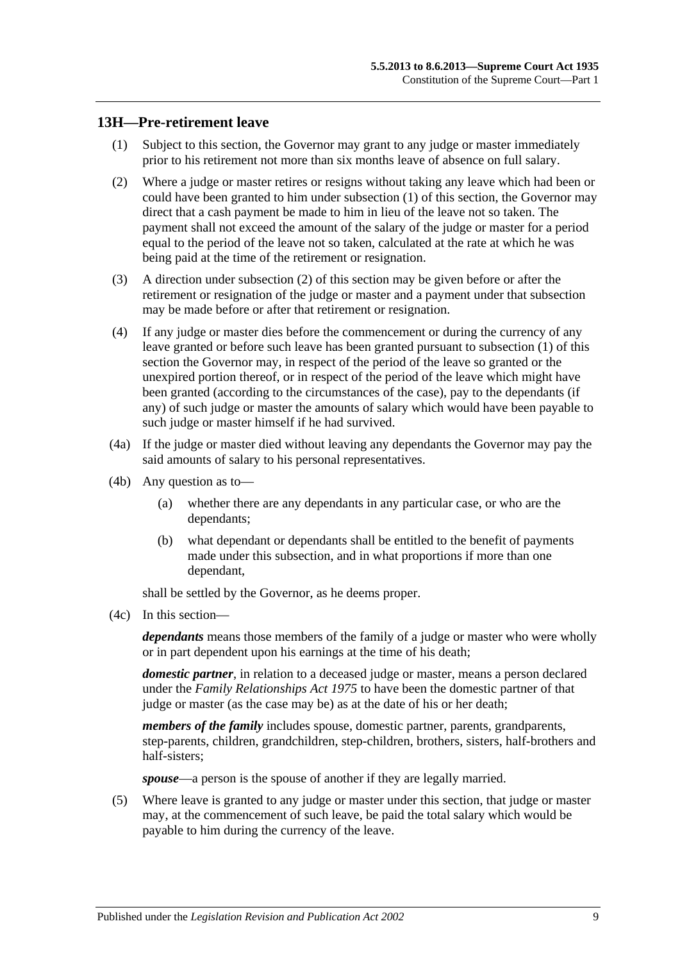#### <span id="page-8-1"></span><span id="page-8-0"></span>**13H—Pre-retirement leave**

- (1) Subject to this section, the Governor may grant to any judge or master immediately prior to his retirement not more than six months leave of absence on full salary.
- <span id="page-8-2"></span>(2) Where a judge or master retires or resigns without taking any leave which had been or could have been granted to him under [subsection](#page-8-1) (1) of this section, the Governor may direct that a cash payment be made to him in lieu of the leave not so taken. The payment shall not exceed the amount of the salary of the judge or master for a period equal to the period of the leave not so taken, calculated at the rate at which he was being paid at the time of the retirement or resignation.
- (3) A direction under [subsection](#page-8-2) (2) of this section may be given before or after the retirement or resignation of the judge or master and a payment under that subsection may be made before or after that retirement or resignation.
- (4) If any judge or master dies before the commencement or during the currency of any leave granted or before such leave has been granted pursuant to [subsection](#page-8-1) (1) of this section the Governor may, in respect of the period of the leave so granted or the unexpired portion thereof, or in respect of the period of the leave which might have been granted (according to the circumstances of the case), pay to the dependants (if any) of such judge or master the amounts of salary which would have been payable to such judge or master himself if he had survived.
- (4a) If the judge or master died without leaving any dependants the Governor may pay the said amounts of salary to his personal representatives.
- (4b) Any question as to—
	- (a) whether there are any dependants in any particular case, or who are the dependants;
	- (b) what dependant or dependants shall be entitled to the benefit of payments made under this subsection, and in what proportions if more than one dependant,

shall be settled by the Governor, as he deems proper.

(4c) In this section—

*dependants* means those members of the family of a judge or master who were wholly or in part dependent upon his earnings at the time of his death;

*domestic partner*, in relation to a deceased judge or master, means a person declared under the *[Family Relationships Act](http://www.legislation.sa.gov.au/index.aspx?action=legref&type=act&legtitle=Family%20Relationships%20Act%201975) 1975* to have been the domestic partner of that judge or master (as the case may be) as at the date of his or her death;

*members of the family* includes spouse, domestic partner, parents, grandparents, step-parents, children, grandchildren, step-children, brothers, sisters, half-brothers and half-sisters;

*spouse*—a person is the spouse of another if they are legally married.

(5) Where leave is granted to any judge or master under this section, that judge or master may, at the commencement of such leave, be paid the total salary which would be payable to him during the currency of the leave.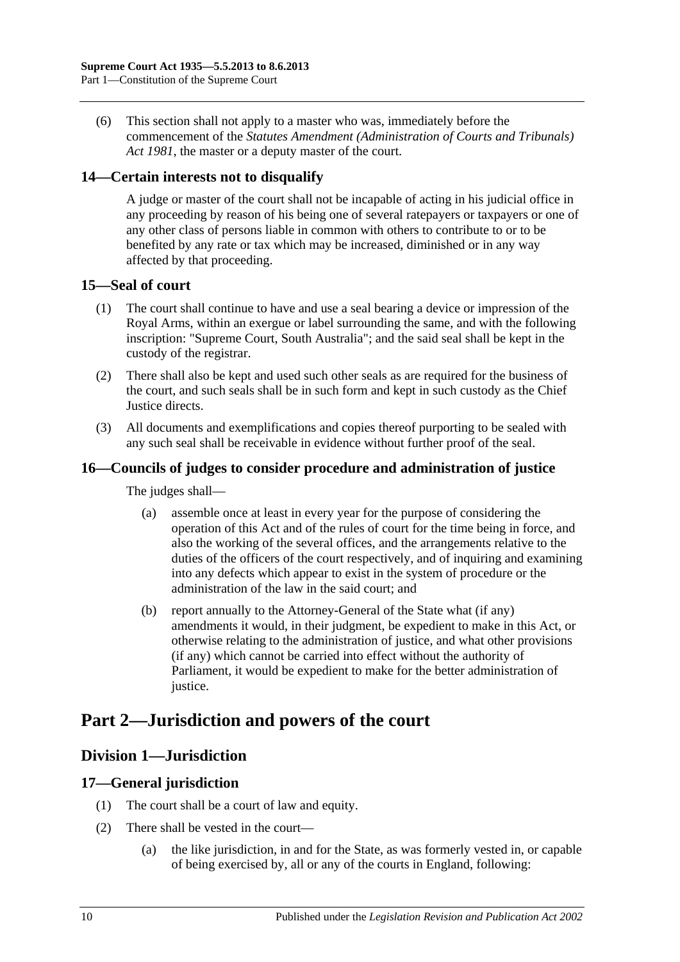(6) This section shall not apply to a master who was, immediately before the commencement of the *[Statutes Amendment \(Administration of Courts and Tribunals\)](http://www.legislation.sa.gov.au/index.aspx?action=legref&type=act&legtitle=Statutes%20Amendment%20(Administration%20of%20Courts%20and%20Tribunals)%20Act%201981)  Act [1981](http://www.legislation.sa.gov.au/index.aspx?action=legref&type=act&legtitle=Statutes%20Amendment%20(Administration%20of%20Courts%20and%20Tribunals)%20Act%201981)*, the master or a deputy master of the court.

## <span id="page-9-0"></span>**14—Certain interests not to disqualify**

A judge or master of the court shall not be incapable of acting in his judicial office in any proceeding by reason of his being one of several ratepayers or taxpayers or one of any other class of persons liable in common with others to contribute to or to be benefited by any rate or tax which may be increased, diminished or in any way affected by that proceeding.

## <span id="page-9-1"></span>**15—Seal of court**

- (1) The court shall continue to have and use a seal bearing a device or impression of the Royal Arms, within an exergue or label surrounding the same, and with the following inscription: "Supreme Court, South Australia"; and the said seal shall be kept in the custody of the registrar.
- (2) There shall also be kept and used such other seals as are required for the business of the court, and such seals shall be in such form and kept in such custody as the Chief Justice directs.
- (3) All documents and exemplifications and copies thereof purporting to be sealed with any such seal shall be receivable in evidence without further proof of the seal.

## <span id="page-9-2"></span>**16—Councils of judges to consider procedure and administration of justice**

The judges shall—

- (a) assemble once at least in every year for the purpose of considering the operation of this Act and of the rules of court for the time being in force, and also the working of the several offices, and the arrangements relative to the duties of the officers of the court respectively, and of inquiring and examining into any defects which appear to exist in the system of procedure or the administration of the law in the said court; and
- (b) report annually to the Attorney-General of the State what (if any) amendments it would, in their judgment, be expedient to make in this Act, or otherwise relating to the administration of justice, and what other provisions (if any) which cannot be carried into effect without the authority of Parliament, it would be expedient to make for the better administration of justice.

# <span id="page-9-4"></span><span id="page-9-3"></span>**Part 2—Jurisdiction and powers of the court**

# **Division 1—Jurisdiction**

## <span id="page-9-5"></span>**17—General jurisdiction**

- (1) The court shall be a court of law and equity.
- (2) There shall be vested in the court—
	- (a) the like jurisdiction, in and for the State, as was formerly vested in, or capable of being exercised by, all or any of the courts in England, following: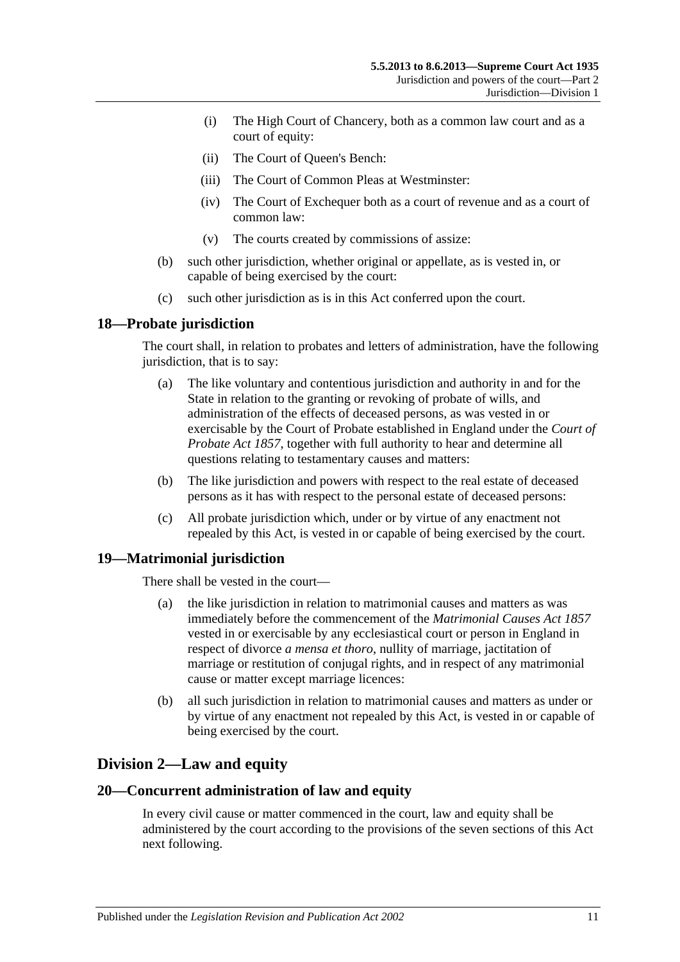- (i) The High Court of Chancery, both as a common law court and as a court of equity:
- (ii) The Court of Queen's Bench:
- (iii) The Court of Common Pleas at Westminster:
- (iv) The Court of Exchequer both as a court of revenue and as a court of common law:
- (v) The courts created by commissions of assize:
- (b) such other jurisdiction, whether original or appellate, as is vested in, or capable of being exercised by the court:
- (c) such other jurisdiction as is in this Act conferred upon the court.

## <span id="page-10-0"></span>**18—Probate jurisdiction**

The court shall, in relation to probates and letters of administration, have the following jurisdiction, that is to say:

- (a) The like voluntary and contentious jurisdiction and authority in and for the State in relation to the granting or revoking of probate of wills, and administration of the effects of deceased persons, as was vested in or exercisable by the Court of Probate established in England under the *[Court of](http://www.legislation.sa.gov.au/index.aspx?action=legref&type=act&legtitle=Court%20of%20Probate%20Act%201857)  [Probate Act](http://www.legislation.sa.gov.au/index.aspx?action=legref&type=act&legtitle=Court%20of%20Probate%20Act%201857) 1857*, together with full authority to hear and determine all questions relating to testamentary causes and matters:
- (b) The like jurisdiction and powers with respect to the real estate of deceased persons as it has with respect to the personal estate of deceased persons:
- (c) All probate jurisdiction which, under or by virtue of any enactment not repealed by this Act, is vested in or capable of being exercised by the court.

## <span id="page-10-1"></span>**19—Matrimonial jurisdiction**

There shall be vested in the court—

- (a) the like jurisdiction in relation to matrimonial causes and matters as was immediately before the commencement of the *[Matrimonial Causes Act](http://www.legislation.sa.gov.au/index.aspx?action=legref&type=act&legtitle=Matrimonial%20Causes%20Act%201857) 1857* vested in or exercisable by any ecclesiastical court or person in England in respect of divorce *a mensa et thoro*, nullity of marriage, jactitation of marriage or restitution of conjugal rights, and in respect of any matrimonial cause or matter except marriage licences:
- (b) all such jurisdiction in relation to matrimonial causes and matters as under or by virtue of any enactment not repealed by this Act, is vested in or capable of being exercised by the court.

# <span id="page-10-2"></span>**Division 2—Law and equity**

#### <span id="page-10-3"></span>**20—Concurrent administration of law and equity**

In every civil cause or matter commenced in the court, law and equity shall be administered by the court according to the provisions of the seven sections of this Act next following.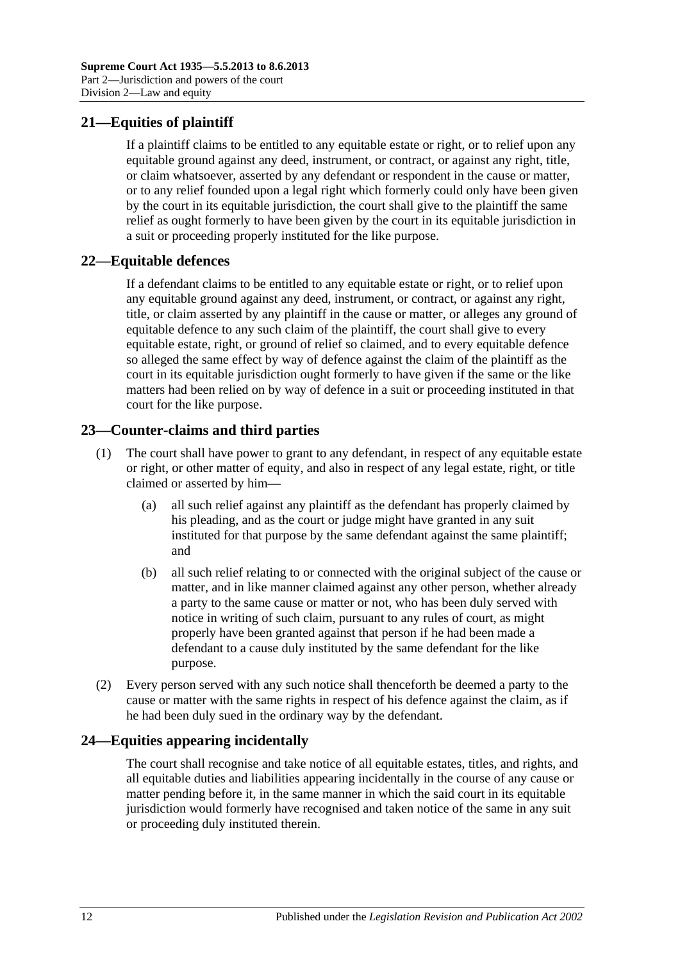# <span id="page-11-0"></span>**21—Equities of plaintiff**

If a plaintiff claims to be entitled to any equitable estate or right, or to relief upon any equitable ground against any deed, instrument, or contract, or against any right, title, or claim whatsoever, asserted by any defendant or respondent in the cause or matter, or to any relief founded upon a legal right which formerly could only have been given by the court in its equitable jurisdiction, the court shall give to the plaintiff the same relief as ought formerly to have been given by the court in its equitable jurisdiction in a suit or proceeding properly instituted for the like purpose.

## <span id="page-11-1"></span>**22—Equitable defences**

If a defendant claims to be entitled to any equitable estate or right, or to relief upon any equitable ground against any deed, instrument, or contract, or against any right, title, or claim asserted by any plaintiff in the cause or matter, or alleges any ground of equitable defence to any such claim of the plaintiff, the court shall give to every equitable estate, right, or ground of relief so claimed, and to every equitable defence so alleged the same effect by way of defence against the claim of the plaintiff as the court in its equitable jurisdiction ought formerly to have given if the same or the like matters had been relied on by way of defence in a suit or proceeding instituted in that court for the like purpose.

# <span id="page-11-2"></span>**23—Counter-claims and third parties**

- (1) The court shall have power to grant to any defendant, in respect of any equitable estate or right, or other matter of equity, and also in respect of any legal estate, right, or title claimed or asserted by him—
	- (a) all such relief against any plaintiff as the defendant has properly claimed by his pleading, and as the court or judge might have granted in any suit instituted for that purpose by the same defendant against the same plaintiff; and
	- (b) all such relief relating to or connected with the original subject of the cause or matter, and in like manner claimed against any other person, whether already a party to the same cause or matter or not, who has been duly served with notice in writing of such claim, pursuant to any rules of court, as might properly have been granted against that person if he had been made a defendant to a cause duly instituted by the same defendant for the like purpose.
- (2) Every person served with any such notice shall thenceforth be deemed a party to the cause or matter with the same rights in respect of his defence against the claim, as if he had been duly sued in the ordinary way by the defendant.

# <span id="page-11-3"></span>**24—Equities appearing incidentally**

The court shall recognise and take notice of all equitable estates, titles, and rights, and all equitable duties and liabilities appearing incidentally in the course of any cause or matter pending before it, in the same manner in which the said court in its equitable jurisdiction would formerly have recognised and taken notice of the same in any suit or proceeding duly instituted therein.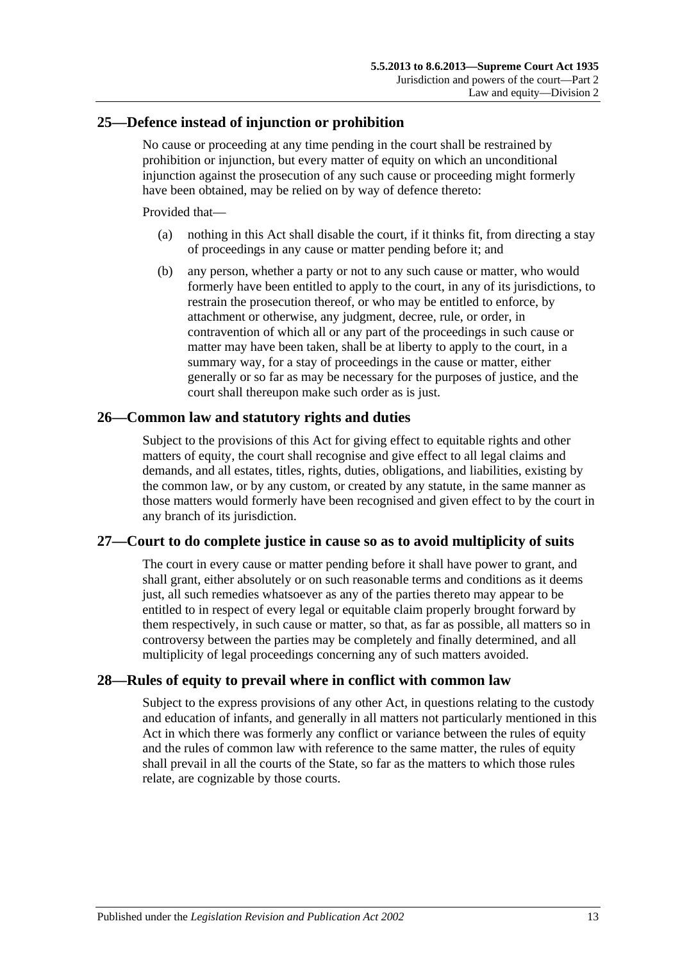## <span id="page-12-0"></span>**25—Defence instead of injunction or prohibition**

No cause or proceeding at any time pending in the court shall be restrained by prohibition or injunction, but every matter of equity on which an unconditional injunction against the prosecution of any such cause or proceeding might formerly have been obtained, may be relied on by way of defence thereto:

Provided that—

- (a) nothing in this Act shall disable the court, if it thinks fit, from directing a stay of proceedings in any cause or matter pending before it; and
- (b) any person, whether a party or not to any such cause or matter, who would formerly have been entitled to apply to the court, in any of its jurisdictions, to restrain the prosecution thereof, or who may be entitled to enforce, by attachment or otherwise, any judgment, decree, rule, or order, in contravention of which all or any part of the proceedings in such cause or matter may have been taken, shall be at liberty to apply to the court, in a summary way, for a stay of proceedings in the cause or matter, either generally or so far as may be necessary for the purposes of justice, and the court shall thereupon make such order as is just.

## <span id="page-12-1"></span>**26—Common law and statutory rights and duties**

Subject to the provisions of this Act for giving effect to equitable rights and other matters of equity, the court shall recognise and give effect to all legal claims and demands, and all estates, titles, rights, duties, obligations, and liabilities, existing by the common law, or by any custom, or created by any statute, in the same manner as those matters would formerly have been recognised and given effect to by the court in any branch of its jurisdiction.

## <span id="page-12-2"></span>**27—Court to do complete justice in cause so as to avoid multiplicity of suits**

The court in every cause or matter pending before it shall have power to grant, and shall grant, either absolutely or on such reasonable terms and conditions as it deems just, all such remedies whatsoever as any of the parties thereto may appear to be entitled to in respect of every legal or equitable claim properly brought forward by them respectively, in such cause or matter, so that, as far as possible, all matters so in controversy between the parties may be completely and finally determined, and all multiplicity of legal proceedings concerning any of such matters avoided.

## <span id="page-12-3"></span>**28—Rules of equity to prevail where in conflict with common law**

Subject to the express provisions of any other Act, in questions relating to the custody and education of infants, and generally in all matters not particularly mentioned in this Act in which there was formerly any conflict or variance between the rules of equity and the rules of common law with reference to the same matter, the rules of equity shall prevail in all the courts of the State, so far as the matters to which those rules relate, are cognizable by those courts.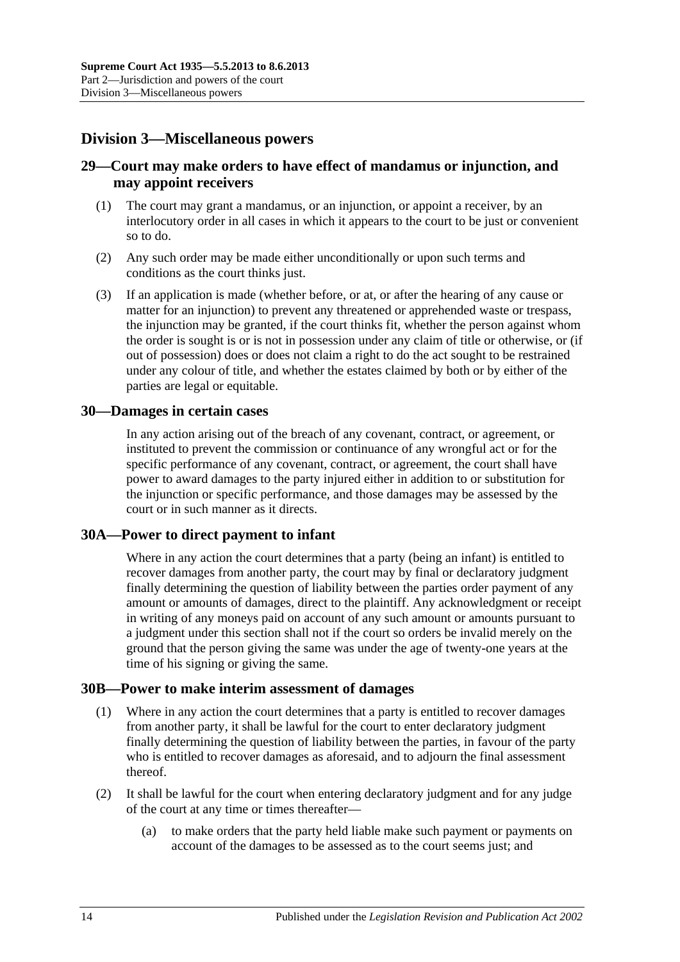# <span id="page-13-0"></span>**Division 3—Miscellaneous powers**

## <span id="page-13-1"></span>**29—Court may make orders to have effect of mandamus or injunction, and may appoint receivers**

- (1) The court may grant a mandamus, or an injunction, or appoint a receiver, by an interlocutory order in all cases in which it appears to the court to be just or convenient so to do.
- (2) Any such order may be made either unconditionally or upon such terms and conditions as the court thinks just.
- (3) If an application is made (whether before, or at, or after the hearing of any cause or matter for an injunction) to prevent any threatened or apprehended waste or trespass, the injunction may be granted, if the court thinks fit, whether the person against whom the order is sought is or is not in possession under any claim of title or otherwise, or (if out of possession) does or does not claim a right to do the act sought to be restrained under any colour of title, and whether the estates claimed by both or by either of the parties are legal or equitable.

#### <span id="page-13-2"></span>**30—Damages in certain cases**

In any action arising out of the breach of any covenant, contract, or agreement, or instituted to prevent the commission or continuance of any wrongful act or for the specific performance of any covenant, contract, or agreement, the court shall have power to award damages to the party injured either in addition to or substitution for the injunction or specific performance, and those damages may be assessed by the court or in such manner as it directs.

## <span id="page-13-3"></span>**30A—Power to direct payment to infant**

Where in any action the court determines that a party (being an infant) is entitled to recover damages from another party, the court may by final or declaratory judgment finally determining the question of liability between the parties order payment of any amount or amounts of damages, direct to the plaintiff. Any acknowledgment or receipt in writing of any moneys paid on account of any such amount or amounts pursuant to a judgment under this section shall not if the court so orders be invalid merely on the ground that the person giving the same was under the age of twenty-one years at the time of his signing or giving the same.

#### <span id="page-13-4"></span>**30B—Power to make interim assessment of damages**

- (1) Where in any action the court determines that a party is entitled to recover damages from another party, it shall be lawful for the court to enter declaratory judgment finally determining the question of liability between the parties, in favour of the party who is entitled to recover damages as aforesaid, and to adjourn the final assessment thereof.
- <span id="page-13-5"></span>(2) It shall be lawful for the court when entering declaratory judgment and for any judge of the court at any time or times thereafter—
	- (a) to make orders that the party held liable make such payment or payments on account of the damages to be assessed as to the court seems just; and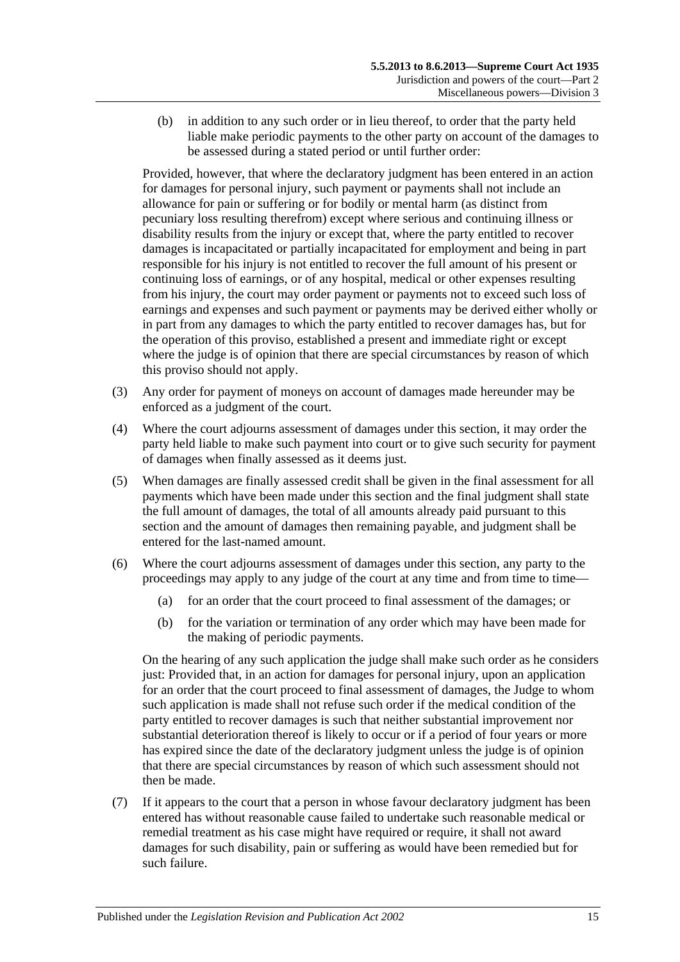(b) in addition to any such order or in lieu thereof, to order that the party held liable make periodic payments to the other party on account of the damages to be assessed during a stated period or until further order:

Provided, however, that where the declaratory judgment has been entered in an action for damages for personal injury, such payment or payments shall not include an allowance for pain or suffering or for bodily or mental harm (as distinct from pecuniary loss resulting therefrom) except where serious and continuing illness or disability results from the injury or except that, where the party entitled to recover damages is incapacitated or partially incapacitated for employment and being in part responsible for his injury is not entitled to recover the full amount of his present or continuing loss of earnings, or of any hospital, medical or other expenses resulting from his injury, the court may order payment or payments not to exceed such loss of earnings and expenses and such payment or payments may be derived either wholly or in part from any damages to which the party entitled to recover damages has, but for the operation of this proviso, established a present and immediate right or except where the judge is of opinion that there are special circumstances by reason of which this proviso should not apply.

- (3) Any order for payment of moneys on account of damages made hereunder may be enforced as a judgment of the court.
- (4) Where the court adjourns assessment of damages under this section, it may order the party held liable to make such payment into court or to give such security for payment of damages when finally assessed as it deems just.
- (5) When damages are finally assessed credit shall be given in the final assessment for all payments which have been made under this section and the final judgment shall state the full amount of damages, the total of all amounts already paid pursuant to this section and the amount of damages then remaining payable, and judgment shall be entered for the last-named amount.
- (6) Where the court adjourns assessment of damages under this section, any party to the proceedings may apply to any judge of the court at any time and from time to time—
	- (a) for an order that the court proceed to final assessment of the damages; or
	- (b) for the variation or termination of any order which may have been made for the making of periodic payments.

On the hearing of any such application the judge shall make such order as he considers just: Provided that, in an action for damages for personal injury, upon an application for an order that the court proceed to final assessment of damages, the Judge to whom such application is made shall not refuse such order if the medical condition of the party entitled to recover damages is such that neither substantial improvement nor substantial deterioration thereof is likely to occur or if a period of four years or more has expired since the date of the declaratory judgment unless the judge is of opinion that there are special circumstances by reason of which such assessment should not then be made.

(7) If it appears to the court that a person in whose favour declaratory judgment has been entered has without reasonable cause failed to undertake such reasonable medical or remedial treatment as his case might have required or require, it shall not award damages for such disability, pain or suffering as would have been remedied but for such failure.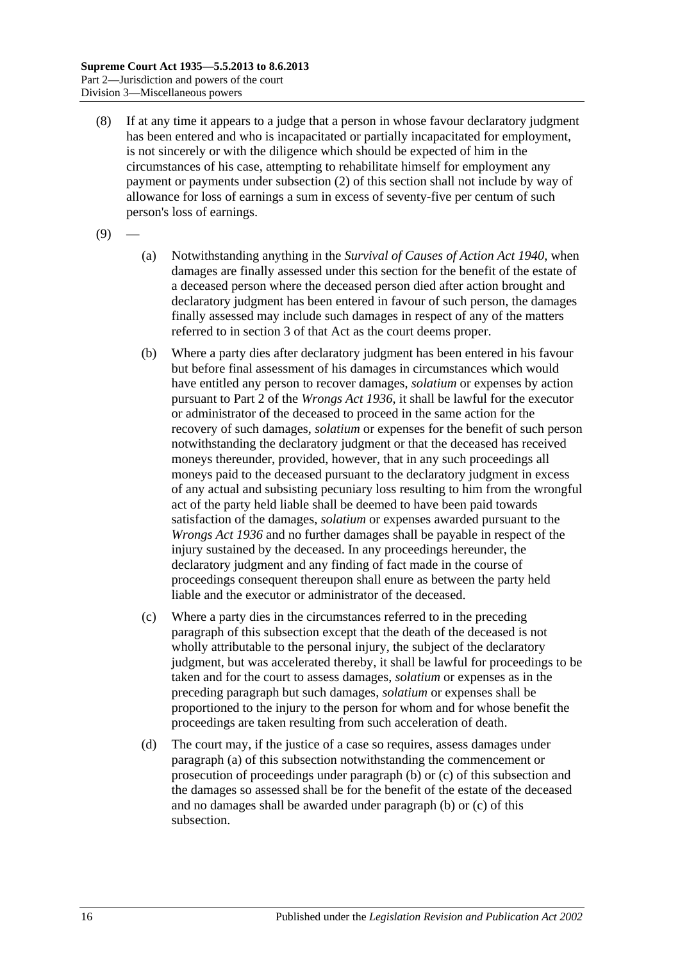- (8) If at any time it appears to a judge that a person in whose favour declaratory judgment has been entered and who is incapacitated or partially incapacitated for employment, is not sincerely or with the diligence which should be expected of him in the circumstances of his case, attempting to rehabilitate himself for employment any payment or payments under [subsection](#page-13-5) (2) of this section shall not include by way of allowance for loss of earnings a sum in excess of seventy-five per centum of such person's loss of earnings.
- <span id="page-15-0"></span> $(9)$
- (a) Notwithstanding anything in the *[Survival of Causes of Action Act](http://www.legislation.sa.gov.au/index.aspx?action=legref&type=act&legtitle=Survival%20of%20Causes%20of%20Action%20Act%201940) 1940*, when damages are finally assessed under this section for the benefit of the estate of a deceased person where the deceased person died after action brought and declaratory judgment has been entered in favour of such person, the damages finally assessed may include such damages in respect of any of the matters referred to in section 3 of that Act as the court deems proper.
- <span id="page-15-1"></span>(b) Where a party dies after declaratory judgment has been entered in his favour but before final assessment of his damages in circumstances which would have entitled any person to recover damages, *solatium* or expenses by action pursuant to Part 2 of the *[Wrongs Act](http://www.legislation.sa.gov.au/index.aspx?action=legref&type=act&legtitle=Wrongs%20Act%201936) 1936*, it shall be lawful for the executor or administrator of the deceased to proceed in the same action for the recovery of such damages, *solatium* or expenses for the benefit of such person notwithstanding the declaratory judgment or that the deceased has received moneys thereunder, provided, however, that in any such proceedings all moneys paid to the deceased pursuant to the declaratory judgment in excess of any actual and subsisting pecuniary loss resulting to him from the wrongful act of the party held liable shall be deemed to have been paid towards satisfaction of the damages, *solatium* or expenses awarded pursuant to the *[Wrongs Act](http://www.legislation.sa.gov.au/index.aspx?action=legref&type=act&legtitle=Wrongs%20Act%201936) 1936* and no further damages shall be payable in respect of the injury sustained by the deceased. In any proceedings hereunder, the declaratory judgment and any finding of fact made in the course of proceedings consequent thereupon shall enure as between the party held liable and the executor or administrator of the deceased.
- <span id="page-15-2"></span>(c) Where a party dies in the circumstances referred to in the preceding paragraph of this subsection except that the death of the deceased is not wholly attributable to the personal injury, the subject of the declaratory judgment, but was accelerated thereby, it shall be lawful for proceedings to be taken and for the court to assess damages, *solatium* or expenses as in the preceding paragraph but such damages, *solatium* or expenses shall be proportioned to the injury to the person for whom and for whose benefit the proceedings are taken resulting from such acceleration of death.
- (d) The court may, if the justice of a case so requires, assess damages under [paragraph](#page-15-0) (a) of this subsection notwithstanding the commencement or prosecution of proceedings under [paragraph](#page-15-1) (b) or [\(c\)](#page-15-2) of this subsection and the damages so assessed shall be for the benefit of the estate of the deceased and no damages shall be awarded under [paragraph](#page-15-1) (b) or [\(c\)](#page-15-2) of this subsection.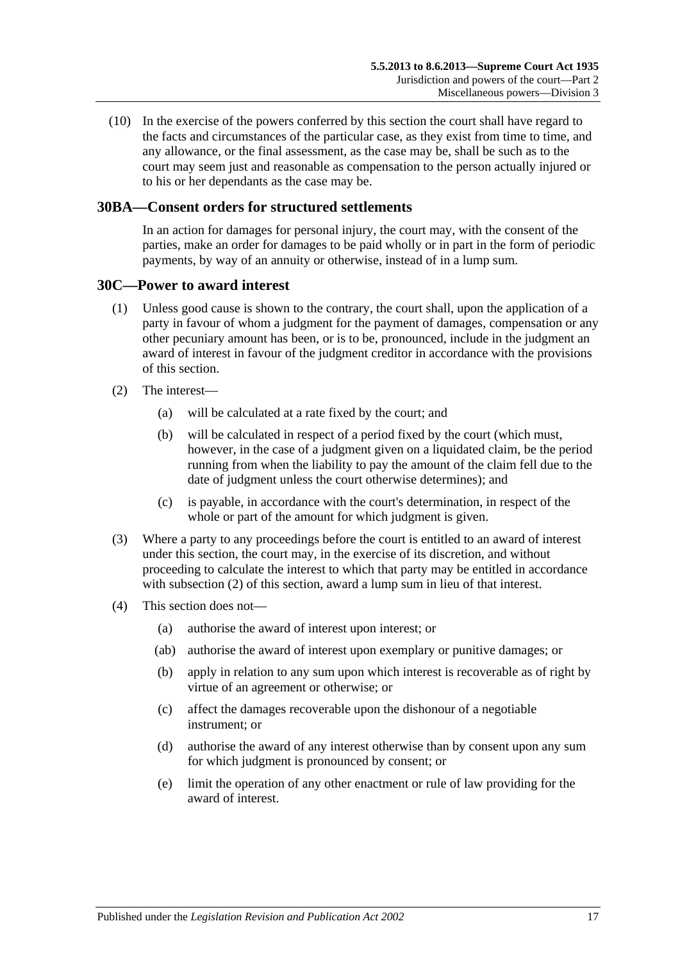(10) In the exercise of the powers conferred by this section the court shall have regard to the facts and circumstances of the particular case, as they exist from time to time, and any allowance, or the final assessment, as the case may be, shall be such as to the court may seem just and reasonable as compensation to the person actually injured or to his or her dependants as the case may be.

## <span id="page-16-0"></span>**30BA—Consent orders for structured settlements**

In an action for damages for personal injury, the court may, with the consent of the parties, make an order for damages to be paid wholly or in part in the form of periodic payments, by way of an annuity or otherwise, instead of in a lump sum.

#### <span id="page-16-1"></span>**30C—Power to award interest**

- (1) Unless good cause is shown to the contrary, the court shall, upon the application of a party in favour of whom a judgment for the payment of damages, compensation or any other pecuniary amount has been, or is to be, pronounced, include in the judgment an award of interest in favour of the judgment creditor in accordance with the provisions of this section.
- <span id="page-16-2"></span>(2) The interest—
	- (a) will be calculated at a rate fixed by the court; and
	- (b) will be calculated in respect of a period fixed by the court (which must, however, in the case of a judgment given on a liquidated claim, be the period running from when the liability to pay the amount of the claim fell due to the date of judgment unless the court otherwise determines); and
	- (c) is payable, in accordance with the court's determination, in respect of the whole or part of the amount for which judgment is given.
- (3) Where a party to any proceedings before the court is entitled to an award of interest under this section, the court may, in the exercise of its discretion, and without proceeding to calculate the interest to which that party may be entitled in accordance with [subsection](#page-16-2) (2) of this section, award a lump sum in lieu of that interest.
- (4) This section does not—
	- (a) authorise the award of interest upon interest; or
	- (ab) authorise the award of interest upon exemplary or punitive damages; or
	- (b) apply in relation to any sum upon which interest is recoverable as of right by virtue of an agreement or otherwise; or
	- (c) affect the damages recoverable upon the dishonour of a negotiable instrument; or
	- (d) authorise the award of any interest otherwise than by consent upon any sum for which judgment is pronounced by consent; or
	- (e) limit the operation of any other enactment or rule of law providing for the award of interest.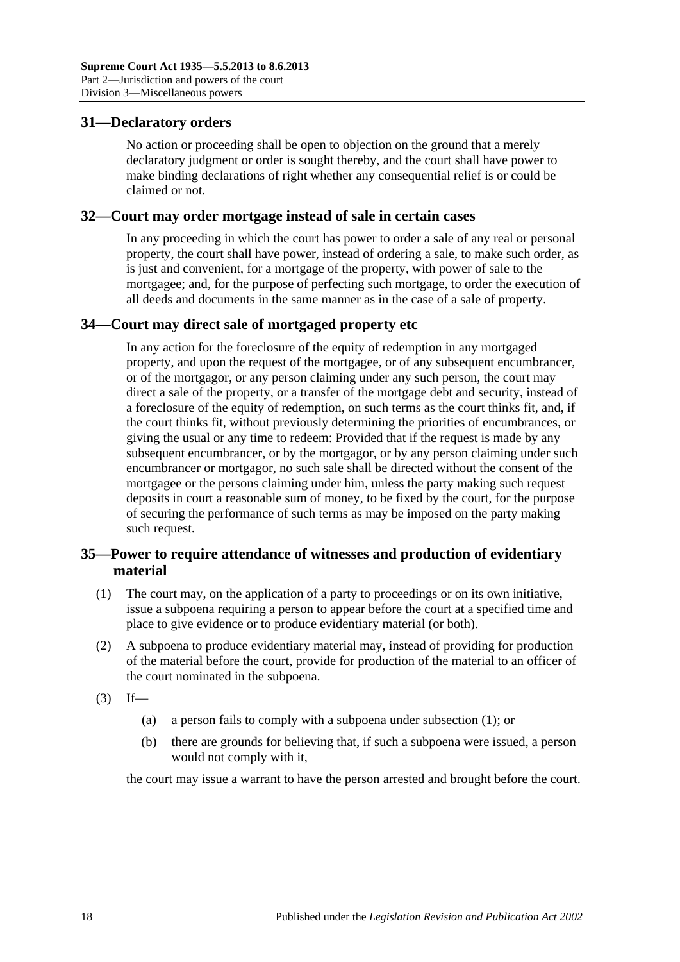#### <span id="page-17-0"></span>**31—Declaratory orders**

No action or proceeding shall be open to objection on the ground that a merely declaratory judgment or order is sought thereby, and the court shall have power to make binding declarations of right whether any consequential relief is or could be claimed or not.

#### <span id="page-17-1"></span>**32—Court may order mortgage instead of sale in certain cases**

In any proceeding in which the court has power to order a sale of any real or personal property, the court shall have power, instead of ordering a sale, to make such order, as is just and convenient, for a mortgage of the property, with power of sale to the mortgagee; and, for the purpose of perfecting such mortgage, to order the execution of all deeds and documents in the same manner as in the case of a sale of property.

#### <span id="page-17-2"></span>**34—Court may direct sale of mortgaged property etc**

In any action for the foreclosure of the equity of redemption in any mortgaged property, and upon the request of the mortgagee, or of any subsequent encumbrancer, or of the mortgagor, or any person claiming under any such person, the court may direct a sale of the property, or a transfer of the mortgage debt and security, instead of a foreclosure of the equity of redemption, on such terms as the court thinks fit, and, if the court thinks fit, without previously determining the priorities of encumbrances, or giving the usual or any time to redeem: Provided that if the request is made by any subsequent encumbrancer, or by the mortgagor, or by any person claiming under such encumbrancer or mortgagor, no such sale shall be directed without the consent of the mortgagee or the persons claiming under him, unless the party making such request deposits in court a reasonable sum of money, to be fixed by the court, for the purpose of securing the performance of such terms as may be imposed on the party making such request.

## <span id="page-17-3"></span>**35—Power to require attendance of witnesses and production of evidentiary material**

- <span id="page-17-4"></span>(1) The court may, on the application of a party to proceedings or on its own initiative, issue a subpoena requiring a person to appear before the court at a specified time and place to give evidence or to produce evidentiary material (or both).
- (2) A subpoena to produce evidentiary material may, instead of providing for production of the material before the court, provide for production of the material to an officer of the court nominated in the subpoena.
- $(3)$  If—
	- (a) a person fails to comply with a subpoena under [subsection](#page-17-4) (1); or
	- (b) there are grounds for believing that, if such a subpoena were issued, a person would not comply with it,

the court may issue a warrant to have the person arrested and brought before the court.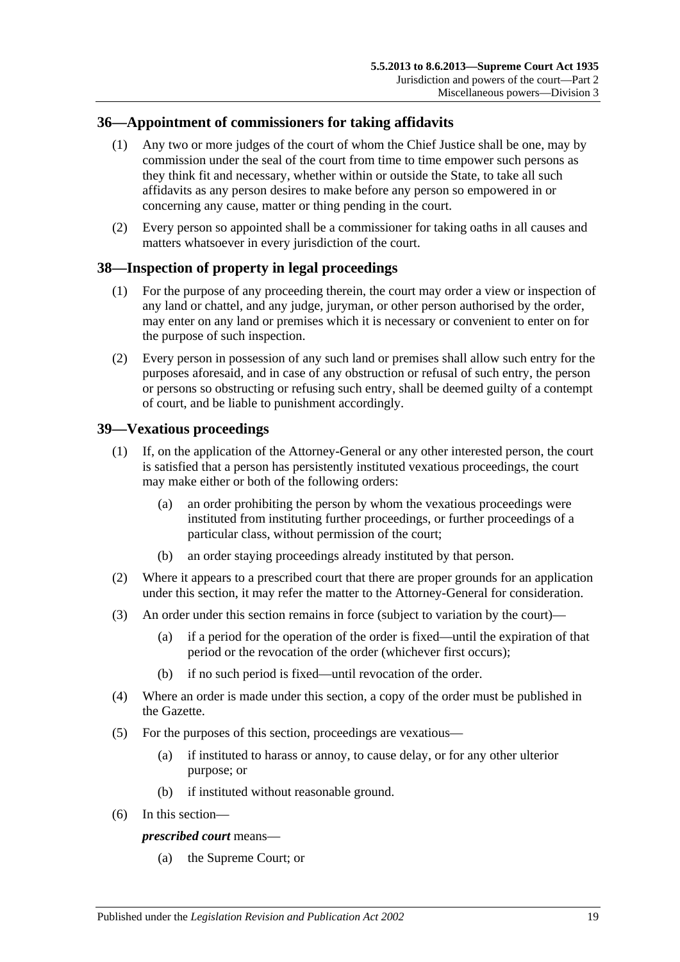## <span id="page-18-0"></span>**36—Appointment of commissioners for taking affidavits**

- (1) Any two or more judges of the court of whom the Chief Justice shall be one, may by commission under the seal of the court from time to time empower such persons as they think fit and necessary, whether within or outside the State, to take all such affidavits as any person desires to make before any person so empowered in or concerning any cause, matter or thing pending in the court.
- (2) Every person so appointed shall be a commissioner for taking oaths in all causes and matters whatsoever in every jurisdiction of the court.

## <span id="page-18-1"></span>**38—Inspection of property in legal proceedings**

- (1) For the purpose of any proceeding therein, the court may order a view or inspection of any land or chattel, and any judge, juryman, or other person authorised by the order, may enter on any land or premises which it is necessary or convenient to enter on for the purpose of such inspection.
- (2) Every person in possession of any such land or premises shall allow such entry for the purposes aforesaid, and in case of any obstruction or refusal of such entry, the person or persons so obstructing or refusing such entry, shall be deemed guilty of a contempt of court, and be liable to punishment accordingly.

## <span id="page-18-2"></span>**39—Vexatious proceedings**

- (1) If, on the application of the Attorney-General or any other interested person, the court is satisfied that a person has persistently instituted vexatious proceedings, the court may make either or both of the following orders:
	- (a) an order prohibiting the person by whom the vexatious proceedings were instituted from instituting further proceedings, or further proceedings of a particular class, without permission of the court;
	- (b) an order staying proceedings already instituted by that person.
- (2) Where it appears to a prescribed court that there are proper grounds for an application under this section, it may refer the matter to the Attorney-General for consideration.
- (3) An order under this section remains in force (subject to variation by the court)—
	- (a) if a period for the operation of the order is fixed—until the expiration of that period or the revocation of the order (whichever first occurs);
	- (b) if no such period is fixed—until revocation of the order.
- (4) Where an order is made under this section, a copy of the order must be published in the Gazette.
- (5) For the purposes of this section, proceedings are vexatious—
	- (a) if instituted to harass or annoy, to cause delay, or for any other ulterior purpose; or
	- (b) if instituted without reasonable ground.
- (6) In this section—

#### *prescribed court* means—

(a) the Supreme Court; or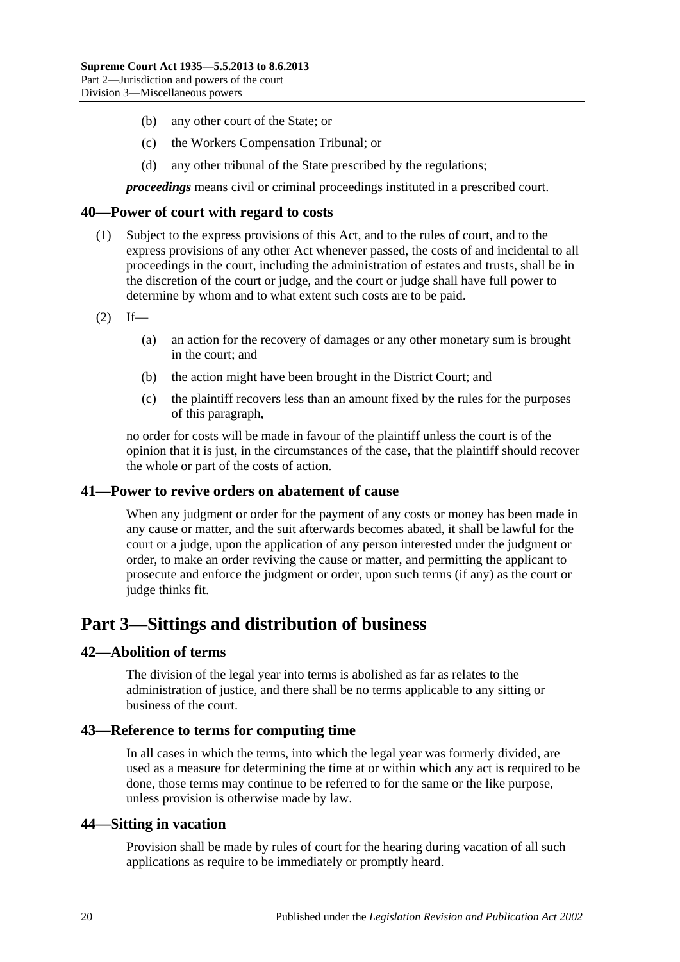- (b) any other court of the State; or
- (c) the Workers Compensation Tribunal; or
- (d) any other tribunal of the State prescribed by the regulations;

*proceedings* means civil or criminal proceedings instituted in a prescribed court.

#### <span id="page-19-0"></span>**40—Power of court with regard to costs**

- (1) Subject to the express provisions of this Act, and to the rules of court, and to the express provisions of any other Act whenever passed, the costs of and incidental to all proceedings in the court, including the administration of estates and trusts, shall be in the discretion of the court or judge, and the court or judge shall have full power to determine by whom and to what extent such costs are to be paid.
- $(2)$  If—
	- (a) an action for the recovery of damages or any other monetary sum is brought in the court; and
	- (b) the action might have been brought in the District Court; and
	- (c) the plaintiff recovers less than an amount fixed by the rules for the purposes of this paragraph,

no order for costs will be made in favour of the plaintiff unless the court is of the opinion that it is just, in the circumstances of the case, that the plaintiff should recover the whole or part of the costs of action.

#### <span id="page-19-1"></span>**41—Power to revive orders on abatement of cause**

When any judgment or order for the payment of any costs or money has been made in any cause or matter, and the suit afterwards becomes abated, it shall be lawful for the court or a judge, upon the application of any person interested under the judgment or order, to make an order reviving the cause or matter, and permitting the applicant to prosecute and enforce the judgment or order, upon such terms (if any) as the court or judge thinks fit.

# <span id="page-19-2"></span>**Part 3—Sittings and distribution of business**

#### <span id="page-19-3"></span>**42—Abolition of terms**

The division of the legal year into terms is abolished as far as relates to the administration of justice, and there shall be no terms applicable to any sitting or business of the court.

#### <span id="page-19-4"></span>**43—Reference to terms for computing time**

In all cases in which the terms, into which the legal year was formerly divided, are used as a measure for determining the time at or within which any act is required to be done, those terms may continue to be referred to for the same or the like purpose, unless provision is otherwise made by law.

#### <span id="page-19-5"></span>**44—Sitting in vacation**

Provision shall be made by rules of court for the hearing during vacation of all such applications as require to be immediately or promptly heard.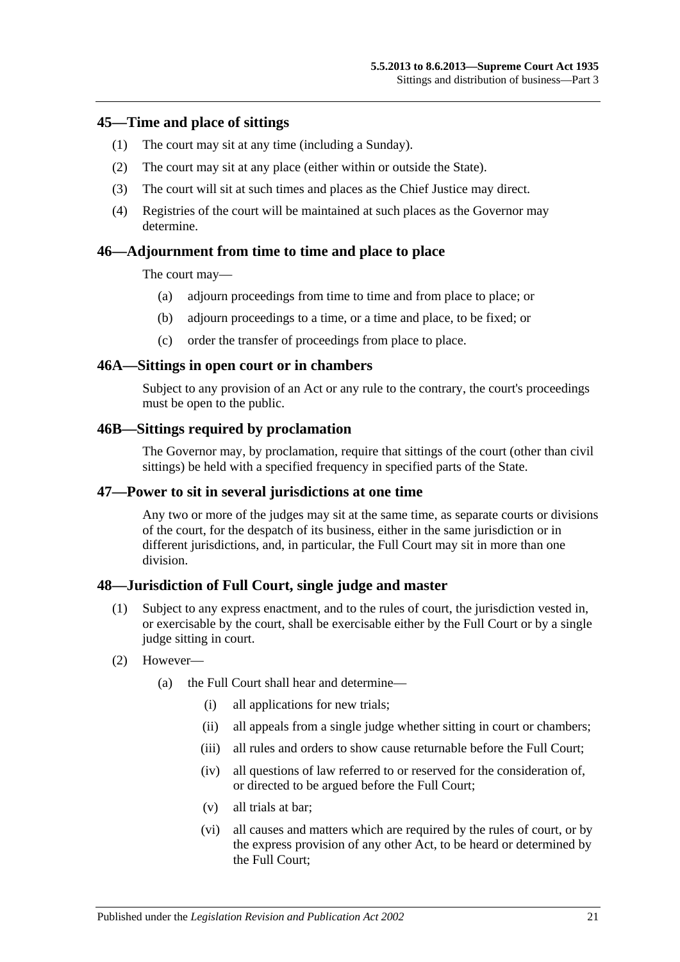#### <span id="page-20-0"></span>**45—Time and place of sittings**

- (1) The court may sit at any time (including a Sunday).
- (2) The court may sit at any place (either within or outside the State).
- (3) The court will sit at such times and places as the Chief Justice may direct.
- (4) Registries of the court will be maintained at such places as the Governor may determine.

#### <span id="page-20-1"></span>**46—Adjournment from time to time and place to place**

The court may—

- (a) adjourn proceedings from time to time and from place to place; or
- (b) adjourn proceedings to a time, or a time and place, to be fixed; or
- (c) order the transfer of proceedings from place to place.

#### <span id="page-20-2"></span>**46A—Sittings in open court or in chambers**

Subject to any provision of an Act or any rule to the contrary, the court's proceedings must be open to the public.

#### <span id="page-20-3"></span>**46B—Sittings required by proclamation**

The Governor may, by proclamation, require that sittings of the court (other than civil sittings) be held with a specified frequency in specified parts of the State.

#### <span id="page-20-4"></span>**47—Power to sit in several jurisdictions at one time**

Any two or more of the judges may sit at the same time, as separate courts or divisions of the court, for the despatch of its business, either in the same jurisdiction or in different jurisdictions, and, in particular, the Full Court may sit in more than one division.

#### <span id="page-20-5"></span>**48—Jurisdiction of Full Court, single judge and master**

- (1) Subject to any express enactment, and to the rules of court, the jurisdiction vested in, or exercisable by the court, shall be exercisable either by the Full Court or by a single judge sitting in court.
- (2) However—
	- (a) the Full Court shall hear and determine—
		- (i) all applications for new trials;
		- (ii) all appeals from a single judge whether sitting in court or chambers;
		- (iii) all rules and orders to show cause returnable before the Full Court:
		- (iv) all questions of law referred to or reserved for the consideration of, or directed to be argued before the Full Court;
		- (v) all trials at bar;
		- (vi) all causes and matters which are required by the rules of court, or by the express provision of any other Act, to be heard or determined by the Full Court;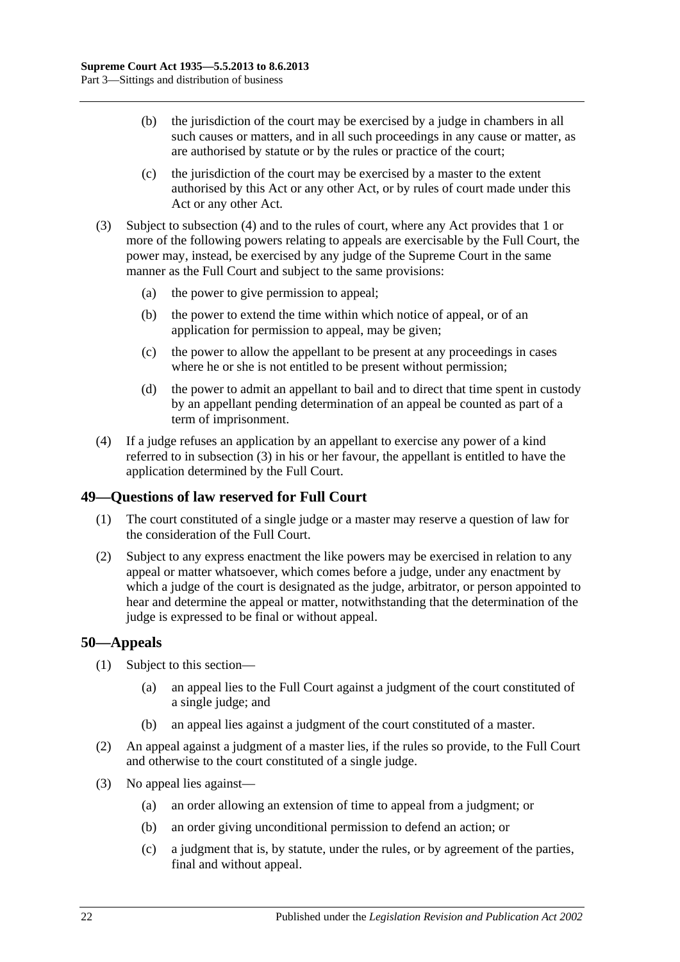- (b) the jurisdiction of the court may be exercised by a judge in chambers in all such causes or matters, and in all such proceedings in any cause or matter, as are authorised by statute or by the rules or practice of the court;
- (c) the jurisdiction of the court may be exercised by a master to the extent authorised by this Act or any other Act, or by rules of court made under this Act or any other Act.
- <span id="page-21-3"></span>(3) Subject to [subsection](#page-21-2) (4) and to the rules of court, where any Act provides that 1 or more of the following powers relating to appeals are exercisable by the Full Court, the power may, instead, be exercised by any judge of the Supreme Court in the same manner as the Full Court and subject to the same provisions:
	- (a) the power to give permission to appeal;
	- (b) the power to extend the time within which notice of appeal, or of an application for permission to appeal, may be given;
	- (c) the power to allow the appellant to be present at any proceedings in cases where he or she is not entitled to be present without permission;
	- (d) the power to admit an appellant to bail and to direct that time spent in custody by an appellant pending determination of an appeal be counted as part of a term of imprisonment.
- <span id="page-21-2"></span>(4) If a judge refuses an application by an appellant to exercise any power of a kind referred to in [subsection](#page-21-3) (3) in his or her favour, the appellant is entitled to have the application determined by the Full Court.

# <span id="page-21-0"></span>**49—Questions of law reserved for Full Court**

- (1) The court constituted of a single judge or a master may reserve a question of law for the consideration of the Full Court.
- (2) Subject to any express enactment the like powers may be exercised in relation to any appeal or matter whatsoever, which comes before a judge, under any enactment by which a judge of the court is designated as the judge, arbitrator, or person appointed to hear and determine the appeal or matter, notwithstanding that the determination of the judge is expressed to be final or without appeal.

## <span id="page-21-1"></span>**50—Appeals**

- (1) Subject to this section—
	- (a) an appeal lies to the Full Court against a judgment of the court constituted of a single judge; and
	- (b) an appeal lies against a judgment of the court constituted of a master.
- (2) An appeal against a judgment of a master lies, if the rules so provide, to the Full Court and otherwise to the court constituted of a single judge.
- (3) No appeal lies against—
	- (a) an order allowing an extension of time to appeal from a judgment; or
	- (b) an order giving unconditional permission to defend an action; or
	- (c) a judgment that is, by statute, under the rules, or by agreement of the parties, final and without appeal.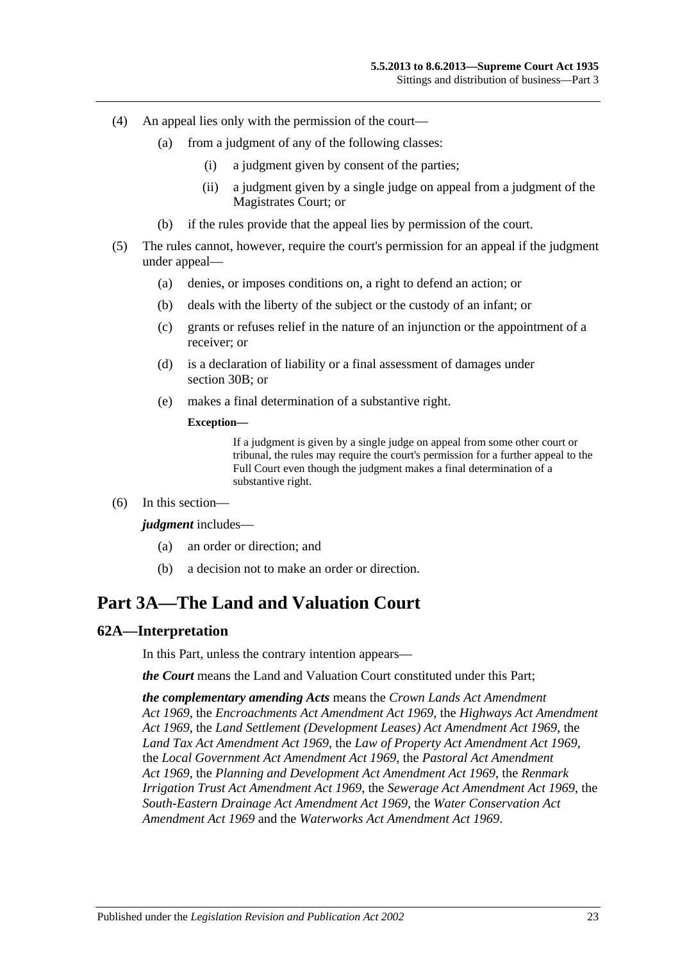- (4) An appeal lies only with the permission of the court—
	- (a) from a judgment of any of the following classes:
		- (i) a judgment given by consent of the parties;
		- (ii) a judgment given by a single judge on appeal from a judgment of the Magistrates Court; or
	- (b) if the rules provide that the appeal lies by permission of the court.
- (5) The rules cannot, however, require the court's permission for an appeal if the judgment under appeal—
	- (a) denies, or imposes conditions on, a right to defend an action; or
	- (b) deals with the liberty of the subject or the custody of an infant; or
	- (c) grants or refuses relief in the nature of an injunction or the appointment of a receiver; or
	- (d) is a declaration of liability or a final assessment of damages under [section](#page-13-4) 30B; or
	- (e) makes a final determination of a substantive right.

#### **Exception—**

If a judgment is given by a single judge on appeal from some other court or tribunal, the rules may require the court's permission for a further appeal to the Full Court even though the judgment makes a final determination of a substantive right.

(6) In this section—

#### *judgment* includes—

- (a) an order or direction; and
- (b) a decision not to make an order or direction.

# <span id="page-22-0"></span>**Part 3A—The Land and Valuation Court**

#### <span id="page-22-1"></span>**62A—Interpretation**

In this Part, unless the contrary intention appears—

*the Court* means the Land and Valuation Court constituted under this Part;

*the complementary amending Acts* means the *[Crown Lands Act Amendment](http://www.legislation.sa.gov.au/index.aspx?action=legref&type=act&legtitle=Crown%20Lands%20Act%20Amendment%20Act%201969)  Act [1969](http://www.legislation.sa.gov.au/index.aspx?action=legref&type=act&legtitle=Crown%20Lands%20Act%20Amendment%20Act%201969)*, the *[Encroachments Act Amendment Act](http://www.legislation.sa.gov.au/index.aspx?action=legref&type=act&legtitle=Encroachments%20Act%20Amendment%20Act%201969) 1969*, the *[Highways Act Amendment](http://www.legislation.sa.gov.au/index.aspx?action=legref&type=act&legtitle=Highways%20Act%20Amendment%20Act%201969)  Act [1969](http://www.legislation.sa.gov.au/index.aspx?action=legref&type=act&legtitle=Highways%20Act%20Amendment%20Act%201969)*, the *[Land Settlement \(Development Leases\) Act Amendment Act](http://www.legislation.sa.gov.au/index.aspx?action=legref&type=act&legtitle=Land%20Settlement%20(Development%20Leases)%20Act%20Amendment%20Act%201969) 1969*, the *[Land Tax Act Amendment Act](http://www.legislation.sa.gov.au/index.aspx?action=legref&type=act&legtitle=Land%20Tax%20Act%20Amendment%20Act%201969) 1969*, the *[Law of Property Act Amendment Act](http://www.legislation.sa.gov.au/index.aspx?action=legref&type=act&legtitle=Law%20of%20Property%20Act%20Amendment%20Act%201969) 1969*, the *[Local Government Act Amendment Act](http://www.legislation.sa.gov.au/index.aspx?action=legref&type=act&legtitle=Local%20Government%20Act%20Amendment%20Act%201969) 1969*, the *[Pastoral Act Amendment](http://www.legislation.sa.gov.au/index.aspx?action=legref&type=act&legtitle=Pastoral%20Act%20Amendment%20Act%201969)  Act [1969](http://www.legislation.sa.gov.au/index.aspx?action=legref&type=act&legtitle=Pastoral%20Act%20Amendment%20Act%201969)*, the *[Planning and Development Act Amendment Act](http://www.legislation.sa.gov.au/index.aspx?action=legref&type=act&legtitle=Planning%20and%20Development%20Act%20Amendment%20Act%201969) 1969*, the *[Renmark](http://www.legislation.sa.gov.au/index.aspx?action=legref&type=act&legtitle=Renmark%20Irrigation%20Trust%20Act%20Amendment%20Act%201969)  [Irrigation Trust Act Amendment Act](http://www.legislation.sa.gov.au/index.aspx?action=legref&type=act&legtitle=Renmark%20Irrigation%20Trust%20Act%20Amendment%20Act%201969) 1969*, the *[Sewerage Act Amendment Act](http://www.legislation.sa.gov.au/index.aspx?action=legref&type=act&legtitle=Sewerage%20Act%20Amendment%20Act%201969) 1969*, the *[South-Eastern Drainage Act Amendment Act](http://www.legislation.sa.gov.au/index.aspx?action=legref&type=act&legtitle=South-Eastern%20Drainage%20Act%20Amendment%20Act%201969) 1969*, the *[Water Conservation Act](http://www.legislation.sa.gov.au/index.aspx?action=legref&type=act&legtitle=Water%20Conservation%20Act%20Amendment%20Act%201969)  [Amendment Act](http://www.legislation.sa.gov.au/index.aspx?action=legref&type=act&legtitle=Water%20Conservation%20Act%20Amendment%20Act%201969) 1969* and the *[Waterworks Act Amendment Act](http://www.legislation.sa.gov.au/index.aspx?action=legref&type=act&legtitle=Waterworks%20Act%20Amendment%20Act%201969) 1969*.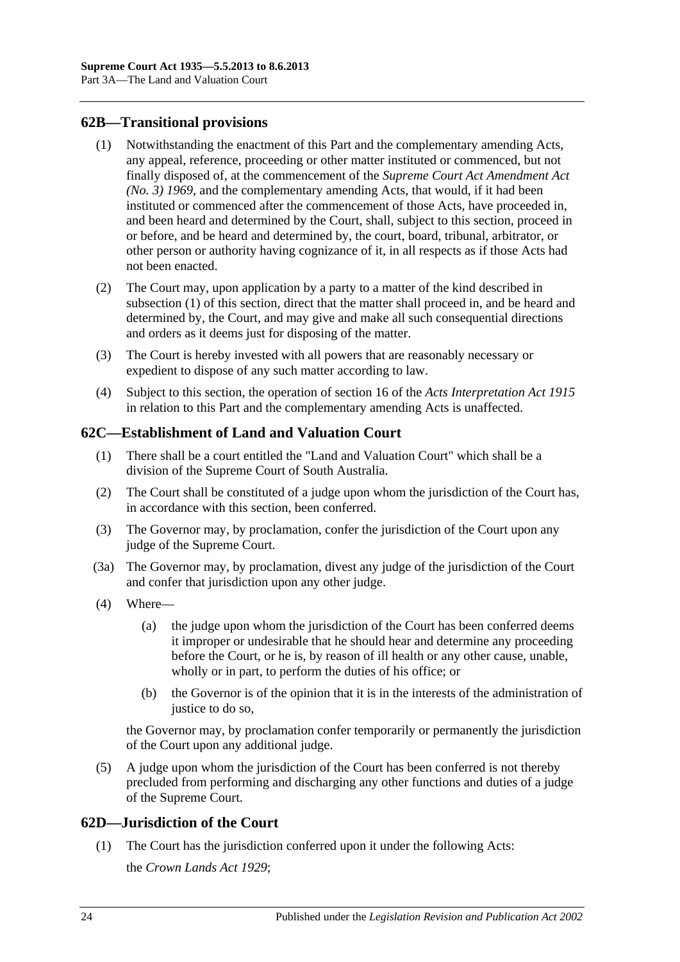## <span id="page-23-3"></span><span id="page-23-0"></span>**62B—Transitional provisions**

- (1) Notwithstanding the enactment of this Part and the complementary amending Acts, any appeal, reference, proceeding or other matter instituted or commenced, but not finally disposed of, at the commencement of the *[Supreme Court Act Amendment Act](http://www.legislation.sa.gov.au/index.aspx?action=legref&type=act&legtitle=Supreme%20Court%20Act%20Amendment%20Act%20(No.%203)%201969)  [\(No. 3\)](http://www.legislation.sa.gov.au/index.aspx?action=legref&type=act&legtitle=Supreme%20Court%20Act%20Amendment%20Act%20(No.%203)%201969) 1969*, and the complementary amending Acts, that would, if it had been instituted or commenced after the commencement of those Acts, have proceeded in, and been heard and determined by the Court, shall, subject to this section, proceed in or before, and be heard and determined by, the court, board, tribunal, arbitrator, or other person or authority having cognizance of it, in all respects as if those Acts had not been enacted.
- (2) The Court may, upon application by a party to a matter of the kind described in [subsection](#page-23-3) (1) of this section, direct that the matter shall proceed in, and be heard and determined by, the Court, and may give and make all such consequential directions and orders as it deems just for disposing of the matter.
- (3) The Court is hereby invested with all powers that are reasonably necessary or expedient to dispose of any such matter according to law.
- (4) Subject to this section, the operation of section 16 of the *[Acts Interpretation Act](http://www.legislation.sa.gov.au/index.aspx?action=legref&type=act&legtitle=Acts%20Interpretation%20Act%201915) 1915* in relation to this Part and the complementary amending Acts is unaffected.

## <span id="page-23-1"></span>**62C—Establishment of Land and Valuation Court**

- (1) There shall be a court entitled the "Land and Valuation Court" which shall be a division of the Supreme Court of South Australia.
- (2) The Court shall be constituted of a judge upon whom the jurisdiction of the Court has, in accordance with this section, been conferred.
- (3) The Governor may, by proclamation, confer the jurisdiction of the Court upon any judge of the Supreme Court.
- (3a) The Governor may, by proclamation, divest any judge of the jurisdiction of the Court and confer that jurisdiction upon any other judge.
- (4) Where—
	- (a) the judge upon whom the jurisdiction of the Court has been conferred deems it improper or undesirable that he should hear and determine any proceeding before the Court, or he is, by reason of ill health or any other cause, unable, wholly or in part, to perform the duties of his office; or
	- (b) the Governor is of the opinion that it is in the interests of the administration of justice to do so.

the Governor may, by proclamation confer temporarily or permanently the jurisdiction of the Court upon any additional judge.

(5) A judge upon whom the jurisdiction of the Court has been conferred is not thereby precluded from performing and discharging any other functions and duties of a judge of the Supreme Court.

## <span id="page-23-2"></span>**62D—Jurisdiction of the Court**

(1) The Court has the jurisdiction conferred upon it under the following Acts: the *[Crown Lands Act](http://www.legislation.sa.gov.au/index.aspx?action=legref&type=act&legtitle=Crown%20Lands%20Act%201929) 1929*;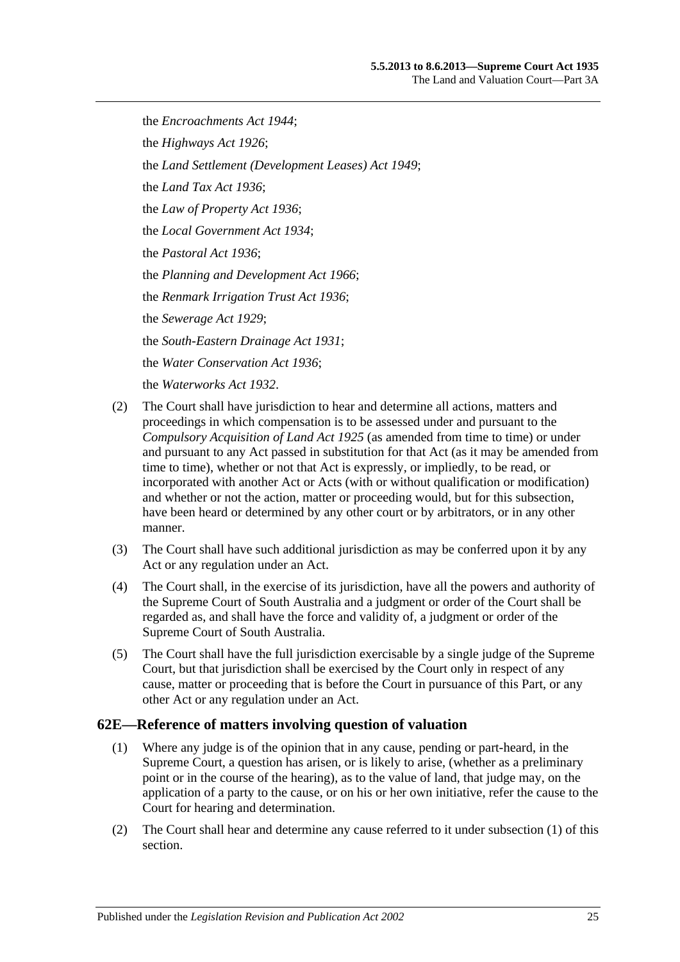the *[Encroachments Act](http://www.legislation.sa.gov.au/index.aspx?action=legref&type=act&legtitle=Encroachments%20Act%201944) 1944*; the *[Highways Act](http://www.legislation.sa.gov.au/index.aspx?action=legref&type=act&legtitle=Highways%20Act%201926) 1926*; the *[Land Settlement \(Development Leases\) Act](http://www.legislation.sa.gov.au/index.aspx?action=legref&type=act&legtitle=Land%20Settlement%20(Development%20Leases)%20Act%201949) 1949*; the *[Land Tax Act](http://www.legislation.sa.gov.au/index.aspx?action=legref&type=act&legtitle=Land%20Tax%20Act%201936) 1936*; the *[Law of Property Act](http://www.legislation.sa.gov.au/index.aspx?action=legref&type=act&legtitle=Law%20of%20Property%20Act%201936) 1936*; the *[Local Government Act](http://www.legislation.sa.gov.au/index.aspx?action=legref&type=act&legtitle=Local%20Government%20Act%201934) 1934*; the *[Pastoral Act](http://www.legislation.sa.gov.au/index.aspx?action=legref&type=act&legtitle=Pastoral%20Act%201936) 1936*; the *[Planning and Development Act](http://www.legislation.sa.gov.au/index.aspx?action=legref&type=act&legtitle=Planning%20and%20Development%20Act%201966) 1966*; the *[Renmark Irrigation Trust Act](http://www.legislation.sa.gov.au/index.aspx?action=legref&type=act&legtitle=Renmark%20Irrigation%20Trust%20Act%201936) 1936*; the *[Sewerage Act](http://www.legislation.sa.gov.au/index.aspx?action=legref&type=act&legtitle=Sewerage%20Act%201929) 1929*; the *[South-Eastern Drainage Act](http://www.legislation.sa.gov.au/index.aspx?action=legref&type=act&legtitle=South-Eastern%20Drainage%20Act%201931) 1931*; the *[Water Conservation Act](http://www.legislation.sa.gov.au/index.aspx?action=legref&type=act&legtitle=Water%20Conservation%20Act%201936) 1936*; the *[Waterworks Act](http://www.legislation.sa.gov.au/index.aspx?action=legref&type=act&legtitle=Waterworks%20Act%201932) 1932*.

- (2) The Court shall have jurisdiction to hear and determine all actions, matters and proceedings in which compensation is to be assessed under and pursuant to the *[Compulsory Acquisition of Land Act](http://www.legislation.sa.gov.au/index.aspx?action=legref&type=act&legtitle=Compulsory%20Acquisition%20of%20Land%20Act%201925) 1925* (as amended from time to time) or under and pursuant to any Act passed in substitution for that Act (as it may be amended from time to time), whether or not that Act is expressly, or impliedly, to be read, or incorporated with another Act or Acts (with or without qualification or modification) and whether or not the action, matter or proceeding would, but for this subsection, have been heard or determined by any other court or by arbitrators, or in any other manner.
- (3) The Court shall have such additional jurisdiction as may be conferred upon it by any Act or any regulation under an Act.
- (4) The Court shall, in the exercise of its jurisdiction, have all the powers and authority of the Supreme Court of South Australia and a judgment or order of the Court shall be regarded as, and shall have the force and validity of, a judgment or order of the Supreme Court of South Australia.
- (5) The Court shall have the full jurisdiction exercisable by a single judge of the Supreme Court, but that jurisdiction shall be exercised by the Court only in respect of any cause, matter or proceeding that is before the Court in pursuance of this Part, or any other Act or any regulation under an Act.

## <span id="page-24-1"></span><span id="page-24-0"></span>**62E—Reference of matters involving question of valuation**

- (1) Where any judge is of the opinion that in any cause, pending or part-heard, in the Supreme Court, a question has arisen, or is likely to arise, (whether as a preliminary point or in the course of the hearing), as to the value of land, that judge may, on the application of a party to the cause, or on his or her own initiative, refer the cause to the Court for hearing and determination.
- (2) The Court shall hear and determine any cause referred to it under [subsection](#page-24-1) (1) of this section.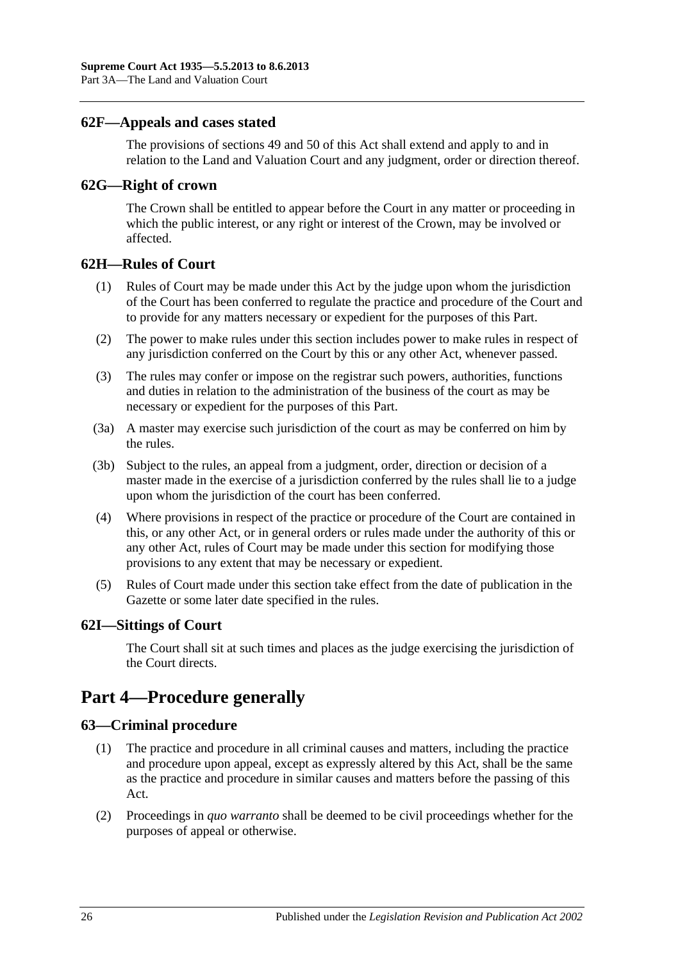#### <span id="page-25-0"></span>**62F—Appeals and cases stated**

The provisions of [sections](#page-21-0) 49 and [50](#page-21-1) of this Act shall extend and apply to and in relation to the Land and Valuation Court and any judgment, order or direction thereof.

#### <span id="page-25-1"></span>**62G—Right of crown**

The Crown shall be entitled to appear before the Court in any matter or proceeding in which the public interest, or any right or interest of the Crown, may be involved or affected.

#### <span id="page-25-2"></span>**62H—Rules of Court**

- (1) Rules of Court may be made under this Act by the judge upon whom the jurisdiction of the Court has been conferred to regulate the practice and procedure of the Court and to provide for any matters necessary or expedient for the purposes of this Part.
- (2) The power to make rules under this section includes power to make rules in respect of any jurisdiction conferred on the Court by this or any other Act, whenever passed.
- (3) The rules may confer or impose on the registrar such powers, authorities, functions and duties in relation to the administration of the business of the court as may be necessary or expedient for the purposes of this Part.
- (3a) A master may exercise such jurisdiction of the court as may be conferred on him by the rules.
- (3b) Subject to the rules, an appeal from a judgment, order, direction or decision of a master made in the exercise of a jurisdiction conferred by the rules shall lie to a judge upon whom the jurisdiction of the court has been conferred.
- (4) Where provisions in respect of the practice or procedure of the Court are contained in this, or any other Act, or in general orders or rules made under the authority of this or any other Act, rules of Court may be made under this section for modifying those provisions to any extent that may be necessary or expedient.
- (5) Rules of Court made under this section take effect from the date of publication in the Gazette or some later date specified in the rules.

#### <span id="page-25-3"></span>**62I—Sittings of Court**

The Court shall sit at such times and places as the judge exercising the jurisdiction of the Court directs.

# <span id="page-25-4"></span>**Part 4—Procedure generally**

## <span id="page-25-5"></span>**63—Criminal procedure**

- (1) The practice and procedure in all criminal causes and matters, including the practice and procedure upon appeal, except as expressly altered by this Act, shall be the same as the practice and procedure in similar causes and matters before the passing of this Act.
- (2) Proceedings in *quo warranto* shall be deemed to be civil proceedings whether for the purposes of appeal or otherwise.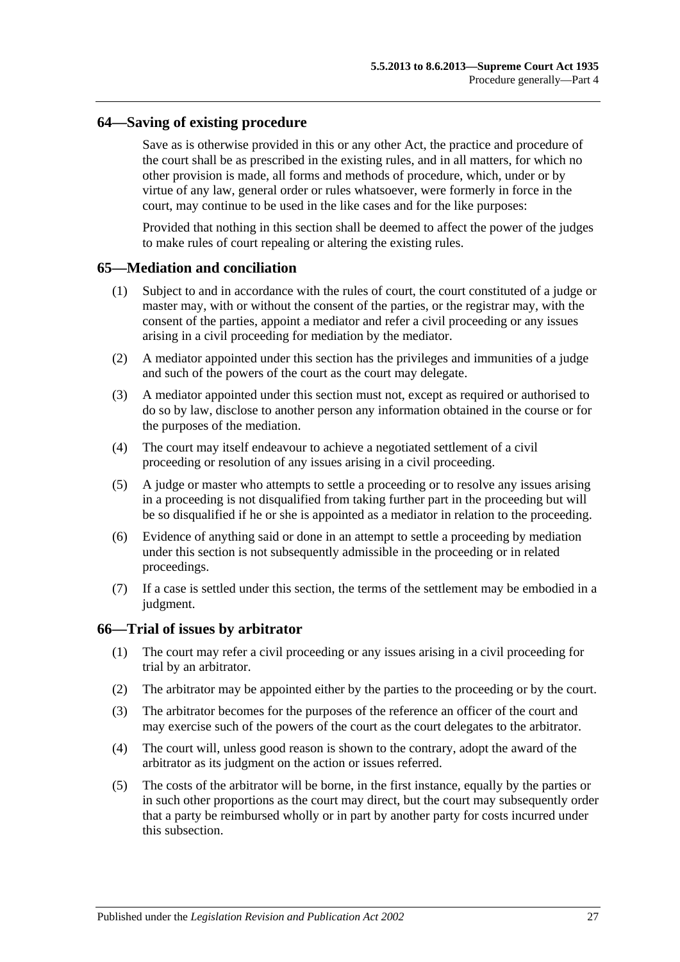#### <span id="page-26-0"></span>**64—Saving of existing procedure**

Save as is otherwise provided in this or any other Act, the practice and procedure of the court shall be as prescribed in the existing rules, and in all matters, for which no other provision is made, all forms and methods of procedure, which, under or by virtue of any law, general order or rules whatsoever, were formerly in force in the court, may continue to be used in the like cases and for the like purposes:

Provided that nothing in this section shall be deemed to affect the power of the judges to make rules of court repealing or altering the existing rules.

#### <span id="page-26-1"></span>**65—Mediation and conciliation**

- (1) Subject to and in accordance with the rules of court, the court constituted of a judge or master may, with or without the consent of the parties, or the registrar may, with the consent of the parties, appoint a mediator and refer a civil proceeding or any issues arising in a civil proceeding for mediation by the mediator.
- (2) A mediator appointed under this section has the privileges and immunities of a judge and such of the powers of the court as the court may delegate.
- (3) A mediator appointed under this section must not, except as required or authorised to do so by law, disclose to another person any information obtained in the course or for the purposes of the mediation.
- (4) The court may itself endeavour to achieve a negotiated settlement of a civil proceeding or resolution of any issues arising in a civil proceeding.
- (5) A judge or master who attempts to settle a proceeding or to resolve any issues arising in a proceeding is not disqualified from taking further part in the proceeding but will be so disqualified if he or she is appointed as a mediator in relation to the proceeding.
- (6) Evidence of anything said or done in an attempt to settle a proceeding by mediation under this section is not subsequently admissible in the proceeding or in related proceedings.
- (7) If a case is settled under this section, the terms of the settlement may be embodied in a judgment.

#### <span id="page-26-2"></span>**66—Trial of issues by arbitrator**

- (1) The court may refer a civil proceeding or any issues arising in a civil proceeding for trial by an arbitrator.
- (2) The arbitrator may be appointed either by the parties to the proceeding or by the court.
- (3) The arbitrator becomes for the purposes of the reference an officer of the court and may exercise such of the powers of the court as the court delegates to the arbitrator.
- (4) The court will, unless good reason is shown to the contrary, adopt the award of the arbitrator as its judgment on the action or issues referred.
- (5) The costs of the arbitrator will be borne, in the first instance, equally by the parties or in such other proportions as the court may direct, but the court may subsequently order that a party be reimbursed wholly or in part by another party for costs incurred under this subsection.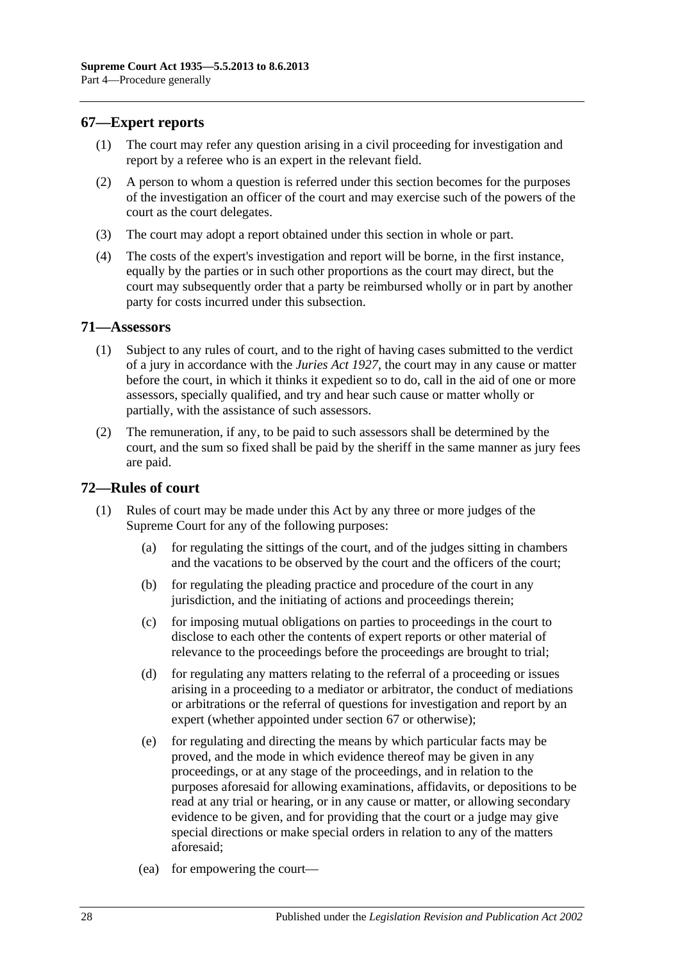## <span id="page-27-0"></span>**67—Expert reports**

- (1) The court may refer any question arising in a civil proceeding for investigation and report by a referee who is an expert in the relevant field.
- (2) A person to whom a question is referred under this section becomes for the purposes of the investigation an officer of the court and may exercise such of the powers of the court as the court delegates.
- (3) The court may adopt a report obtained under this section in whole or part.
- (4) The costs of the expert's investigation and report will be borne, in the first instance, equally by the parties or in such other proportions as the court may direct, but the court may subsequently order that a party be reimbursed wholly or in part by another party for costs incurred under this subsection.

#### <span id="page-27-1"></span>**71—Assessors**

- (1) Subject to any rules of court, and to the right of having cases submitted to the verdict of a jury in accordance with the *[Juries Act](http://www.legislation.sa.gov.au/index.aspx?action=legref&type=act&legtitle=Juries%20Act%201927) 1927*, the court may in any cause or matter before the court, in which it thinks it expedient so to do, call in the aid of one or more assessors, specially qualified, and try and hear such cause or matter wholly or partially, with the assistance of such assessors.
- (2) The remuneration, if any, to be paid to such assessors shall be determined by the court, and the sum so fixed shall be paid by the sheriff in the same manner as jury fees are paid.

## <span id="page-27-2"></span>**72—Rules of court**

- (1) Rules of court may be made under this Act by any three or more judges of the Supreme Court for any of the following purposes:
	- (a) for regulating the sittings of the court, and of the judges sitting in chambers and the vacations to be observed by the court and the officers of the court;
	- (b) for regulating the pleading practice and procedure of the court in any jurisdiction, and the initiating of actions and proceedings therein;
	- (c) for imposing mutual obligations on parties to proceedings in the court to disclose to each other the contents of expert reports or other material of relevance to the proceedings before the proceedings are brought to trial;
	- (d) for regulating any matters relating to the referral of a proceeding or issues arising in a proceeding to a mediator or arbitrator, the conduct of mediations or arbitrations or the referral of questions for investigation and report by an expert (whether appointed under [section](#page-27-0) 67 or otherwise);
	- (e) for regulating and directing the means by which particular facts may be proved, and the mode in which evidence thereof may be given in any proceedings, or at any stage of the proceedings, and in relation to the purposes aforesaid for allowing examinations, affidavits, or depositions to be read at any trial or hearing, or in any cause or matter, or allowing secondary evidence to be given, and for providing that the court or a judge may give special directions or make special orders in relation to any of the matters aforesaid;
	- (ea) for empowering the court—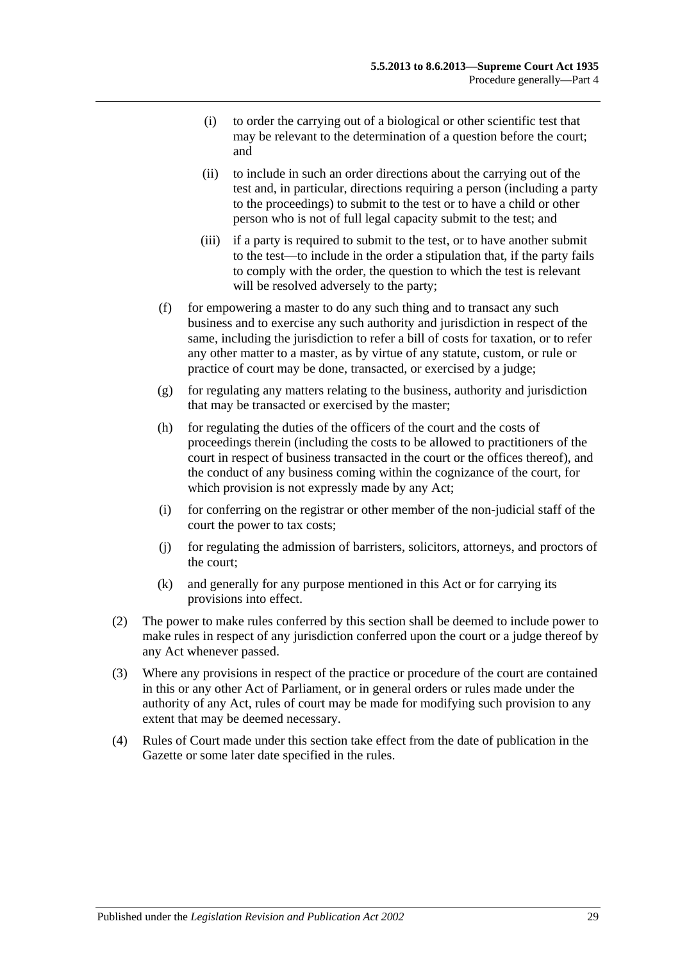- (i) to order the carrying out of a biological or other scientific test that may be relevant to the determination of a question before the court; and
- (ii) to include in such an order directions about the carrying out of the test and, in particular, directions requiring a person (including a party to the proceedings) to submit to the test or to have a child or other person who is not of full legal capacity submit to the test; and
- (iii) if a party is required to submit to the test, or to have another submit to the test—to include in the order a stipulation that, if the party fails to comply with the order, the question to which the test is relevant will be resolved adversely to the party;
- (f) for empowering a master to do any such thing and to transact any such business and to exercise any such authority and jurisdiction in respect of the same, including the jurisdiction to refer a bill of costs for taxation, or to refer any other matter to a master, as by virtue of any statute, custom, or rule or practice of court may be done, transacted, or exercised by a judge;
- (g) for regulating any matters relating to the business, authority and jurisdiction that may be transacted or exercised by the master;
- (h) for regulating the duties of the officers of the court and the costs of proceedings therein (including the costs to be allowed to practitioners of the court in respect of business transacted in the court or the offices thereof), and the conduct of any business coming within the cognizance of the court, for which provision is not expressly made by any Act;
- (i) for conferring on the registrar or other member of the non-judicial staff of the court the power to tax costs;
- (j) for regulating the admission of barristers, solicitors, attorneys, and proctors of the court;
- (k) and generally for any purpose mentioned in this Act or for carrying its provisions into effect.
- (2) The power to make rules conferred by this section shall be deemed to include power to make rules in respect of any jurisdiction conferred upon the court or a judge thereof by any Act whenever passed.
- (3) Where any provisions in respect of the practice or procedure of the court are contained in this or any other Act of Parliament, or in general orders or rules made under the authority of any Act, rules of court may be made for modifying such provision to any extent that may be deemed necessary.
- (4) Rules of Court made under this section take effect from the date of publication in the Gazette or some later date specified in the rules.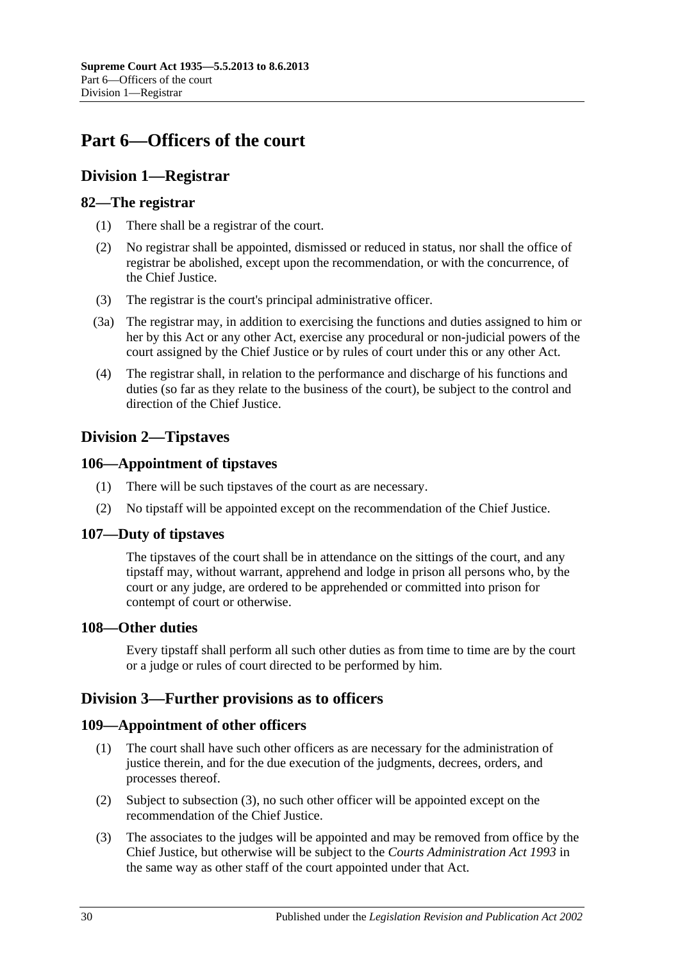# <span id="page-29-0"></span>**Part 6—Officers of the court**

# <span id="page-29-1"></span>**Division 1—Registrar**

## <span id="page-29-2"></span>**82—The registrar**

- (1) There shall be a registrar of the court.
- (2) No registrar shall be appointed, dismissed or reduced in status, nor shall the office of registrar be abolished, except upon the recommendation, or with the concurrence, of the Chief Justice.
- (3) The registrar is the court's principal administrative officer.
- (3a) The registrar may, in addition to exercising the functions and duties assigned to him or her by this Act or any other Act, exercise any procedural or non-judicial powers of the court assigned by the Chief Justice or by rules of court under this or any other Act.
- (4) The registrar shall, in relation to the performance and discharge of his functions and duties (so far as they relate to the business of the court), be subject to the control and direction of the Chief Justice.

# <span id="page-29-3"></span>**Division 2—Tipstaves**

## <span id="page-29-4"></span>**106—Appointment of tipstaves**

- (1) There will be such tipstaves of the court as are necessary.
- (2) No tipstaff will be appointed except on the recommendation of the Chief Justice.

## <span id="page-29-5"></span>**107—Duty of tipstaves**

The tipstaves of the court shall be in attendance on the sittings of the court, and any tipstaff may, without warrant, apprehend and lodge in prison all persons who, by the court or any judge, are ordered to be apprehended or committed into prison for contempt of court or otherwise.

## <span id="page-29-6"></span>**108—Other duties**

Every tipstaff shall perform all such other duties as from time to time are by the court or a judge or rules of court directed to be performed by him.

# <span id="page-29-7"></span>**Division 3—Further provisions as to officers**

# <span id="page-29-8"></span>**109—Appointment of other officers**

- (1) The court shall have such other officers as are necessary for the administration of justice therein, and for the due execution of the judgments, decrees, orders, and processes thereof.
- (2) Subject to [subsection](#page-29-9) (3), no such other officer will be appointed except on the recommendation of the Chief Justice.
- <span id="page-29-9"></span>(3) The associates to the judges will be appointed and may be removed from office by the Chief Justice, but otherwise will be subject to the *[Courts Administration Act](http://www.legislation.sa.gov.au/index.aspx?action=legref&type=act&legtitle=Courts%20Administration%20Act%201993) 1993* in the same way as other staff of the court appointed under that Act.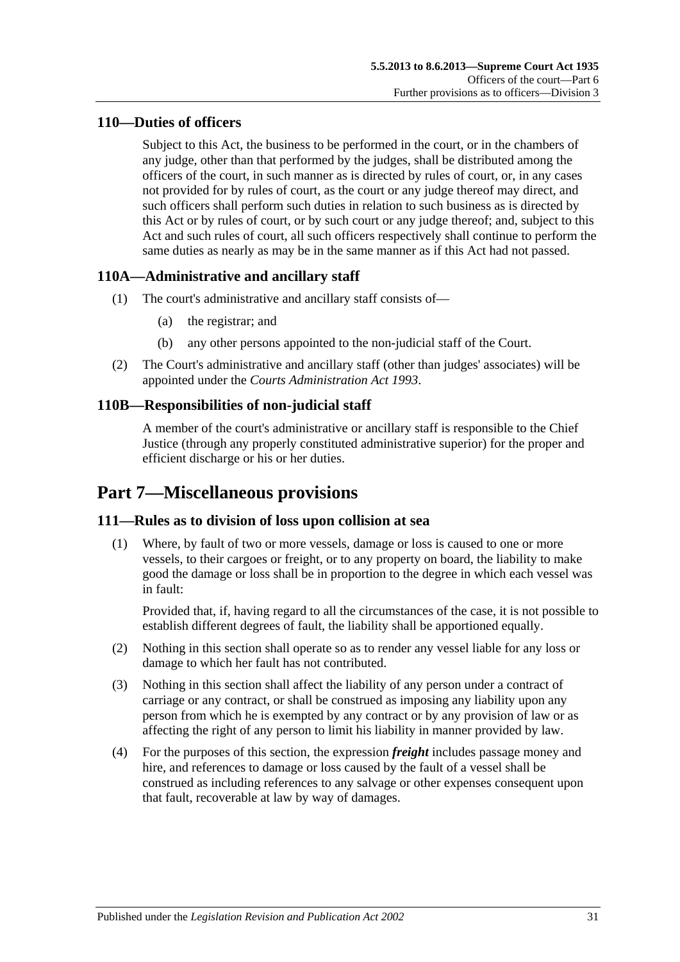# <span id="page-30-0"></span>**110—Duties of officers**

Subject to this Act, the business to be performed in the court, or in the chambers of any judge, other than that performed by the judges, shall be distributed among the officers of the court, in such manner as is directed by rules of court, or, in any cases not provided for by rules of court, as the court or any judge thereof may direct, and such officers shall perform such duties in relation to such business as is directed by this Act or by rules of court, or by such court or any judge thereof; and, subject to this Act and such rules of court, all such officers respectively shall continue to perform the same duties as nearly as may be in the same manner as if this Act had not passed.

# <span id="page-30-1"></span>**110A—Administrative and ancillary staff**

- (1) The court's administrative and ancillary staff consists of—
	- (a) the registrar; and
	- (b) any other persons appointed to the non-judicial staff of the Court.
- (2) The Court's administrative and ancillary staff (other than judges' associates) will be appointed under the *[Courts Administration Act](http://www.legislation.sa.gov.au/index.aspx?action=legref&type=act&legtitle=Courts%20Administration%20Act%201993) 1993*.

# <span id="page-30-2"></span>**110B—Responsibilities of non-judicial staff**

A member of the court's administrative or ancillary staff is responsible to the Chief Justice (through any properly constituted administrative superior) for the proper and efficient discharge or his or her duties.

# <span id="page-30-3"></span>**Part 7—Miscellaneous provisions**

# <span id="page-30-4"></span>**111—Rules as to division of loss upon collision at sea**

(1) Where, by fault of two or more vessels, damage or loss is caused to one or more vessels, to their cargoes or freight, or to any property on board, the liability to make good the damage or loss shall be in proportion to the degree in which each vessel was in fault:

Provided that, if, having regard to all the circumstances of the case, it is not possible to establish different degrees of fault, the liability shall be apportioned equally.

- (2) Nothing in this section shall operate so as to render any vessel liable for any loss or damage to which her fault has not contributed.
- (3) Nothing in this section shall affect the liability of any person under a contract of carriage or any contract, or shall be construed as imposing any liability upon any person from which he is exempted by any contract or by any provision of law or as affecting the right of any person to limit his liability in manner provided by law.
- (4) For the purposes of this section, the expression *freight* includes passage money and hire, and references to damage or loss caused by the fault of a vessel shall be construed as including references to any salvage or other expenses consequent upon that fault, recoverable at law by way of damages.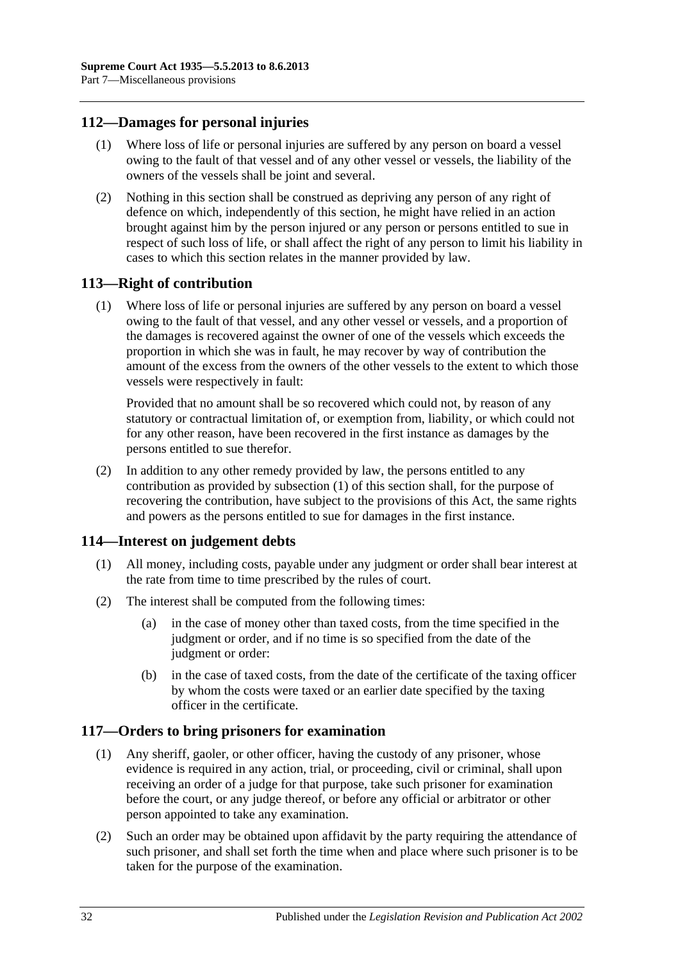## <span id="page-31-0"></span>**112—Damages for personal injuries**

- (1) Where loss of life or personal injuries are suffered by any person on board a vessel owing to the fault of that vessel and of any other vessel or vessels, the liability of the owners of the vessels shall be joint and several.
- (2) Nothing in this section shall be construed as depriving any person of any right of defence on which, independently of this section, he might have relied in an action brought against him by the person injured or any person or persons entitled to sue in respect of such loss of life, or shall affect the right of any person to limit his liability in cases to which this section relates in the manner provided by law.

## <span id="page-31-4"></span><span id="page-31-1"></span>**113—Right of contribution**

(1) Where loss of life or personal injuries are suffered by any person on board a vessel owing to the fault of that vessel, and any other vessel or vessels, and a proportion of the damages is recovered against the owner of one of the vessels which exceeds the proportion in which she was in fault, he may recover by way of contribution the amount of the excess from the owners of the other vessels to the extent to which those vessels were respectively in fault:

Provided that no amount shall be so recovered which could not, by reason of any statutory or contractual limitation of, or exemption from, liability, or which could not for any other reason, have been recovered in the first instance as damages by the persons entitled to sue therefor.

(2) In addition to any other remedy provided by law, the persons entitled to any contribution as provided by [subsection](#page-31-4) (1) of this section shall, for the purpose of recovering the contribution, have subject to the provisions of this Act, the same rights and powers as the persons entitled to sue for damages in the first instance.

## <span id="page-31-2"></span>**114—Interest on judgement debts**

- (1) All money, including costs, payable under any judgment or order shall bear interest at the rate from time to time prescribed by the rules of court.
- (2) The interest shall be computed from the following times:
	- (a) in the case of money other than taxed costs, from the time specified in the judgment or order, and if no time is so specified from the date of the judgment or order:
	- (b) in the case of taxed costs, from the date of the certificate of the taxing officer by whom the costs were taxed or an earlier date specified by the taxing officer in the certificate.

# <span id="page-31-3"></span>**117—Orders to bring prisoners for examination**

- (1) Any sheriff, gaoler, or other officer, having the custody of any prisoner, whose evidence is required in any action, trial, or proceeding, civil or criminal, shall upon receiving an order of a judge for that purpose, take such prisoner for examination before the court, or any judge thereof, or before any official or arbitrator or other person appointed to take any examination.
- (2) Such an order may be obtained upon affidavit by the party requiring the attendance of such prisoner, and shall set forth the time when and place where such prisoner is to be taken for the purpose of the examination.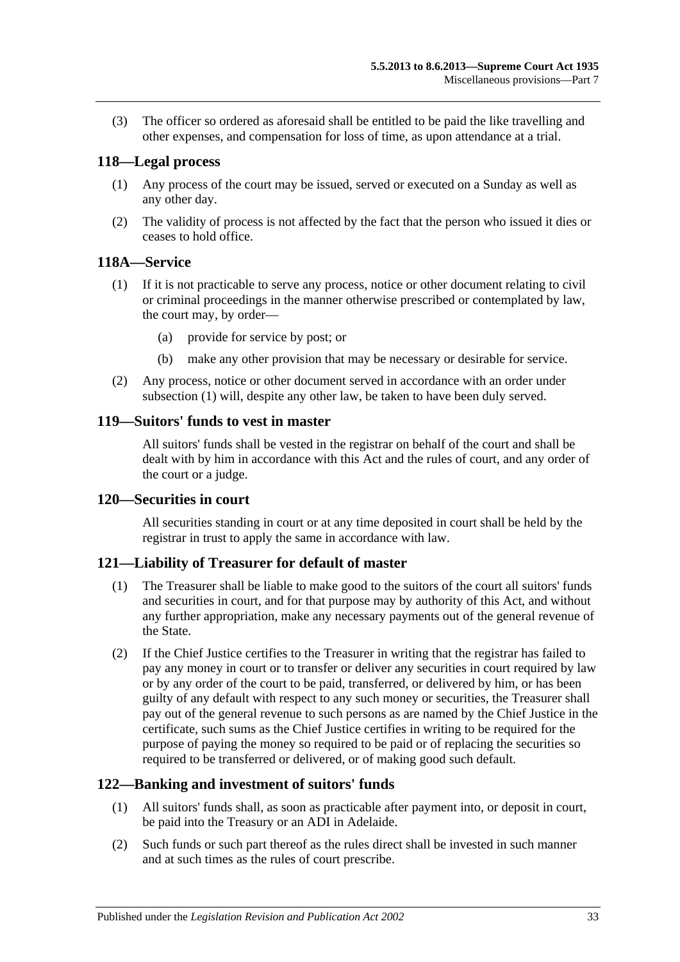(3) The officer so ordered as aforesaid shall be entitled to be paid the like travelling and other expenses, and compensation for loss of time, as upon attendance at a trial.

## <span id="page-32-0"></span>**118—Legal process**

- (1) Any process of the court may be issued, served or executed on a Sunday as well as any other day.
- (2) The validity of process is not affected by the fact that the person who issued it dies or ceases to hold office.

## <span id="page-32-6"></span><span id="page-32-1"></span>**118A—Service**

- (1) If it is not practicable to serve any process, notice or other document relating to civil or criminal proceedings in the manner otherwise prescribed or contemplated by law, the court may, by order—
	- (a) provide for service by post; or
	- (b) make any other provision that may be necessary or desirable for service.
- (2) Any process, notice or other document served in accordance with an order under [subsection](#page-32-6) (1) will, despite any other law, be taken to have been duly served.

## <span id="page-32-2"></span>**119—Suitors' funds to vest in master**

All suitors' funds shall be vested in the registrar on behalf of the court and shall be dealt with by him in accordance with this Act and the rules of court, and any order of the court or a judge.

## <span id="page-32-3"></span>**120—Securities in court**

All securities standing in court or at any time deposited in court shall be held by the registrar in trust to apply the same in accordance with law.

## <span id="page-32-4"></span>**121—Liability of Treasurer for default of master**

- (1) The Treasurer shall be liable to make good to the suitors of the court all suitors' funds and securities in court, and for that purpose may by authority of this Act, and without any further appropriation, make any necessary payments out of the general revenue of the State.
- (2) If the Chief Justice certifies to the Treasurer in writing that the registrar has failed to pay any money in court or to transfer or deliver any securities in court required by law or by any order of the court to be paid, transferred, or delivered by him, or has been guilty of any default with respect to any such money or securities, the Treasurer shall pay out of the general revenue to such persons as are named by the Chief Justice in the certificate, such sums as the Chief Justice certifies in writing to be required for the purpose of paying the money so required to be paid or of replacing the securities so required to be transferred or delivered, or of making good such default.

## <span id="page-32-5"></span>**122—Banking and investment of suitors' funds**

- (1) All suitors' funds shall, as soon as practicable after payment into, or deposit in court, be paid into the Treasury or an ADI in Adelaide.
- (2) Such funds or such part thereof as the rules direct shall be invested in such manner and at such times as the rules of court prescribe.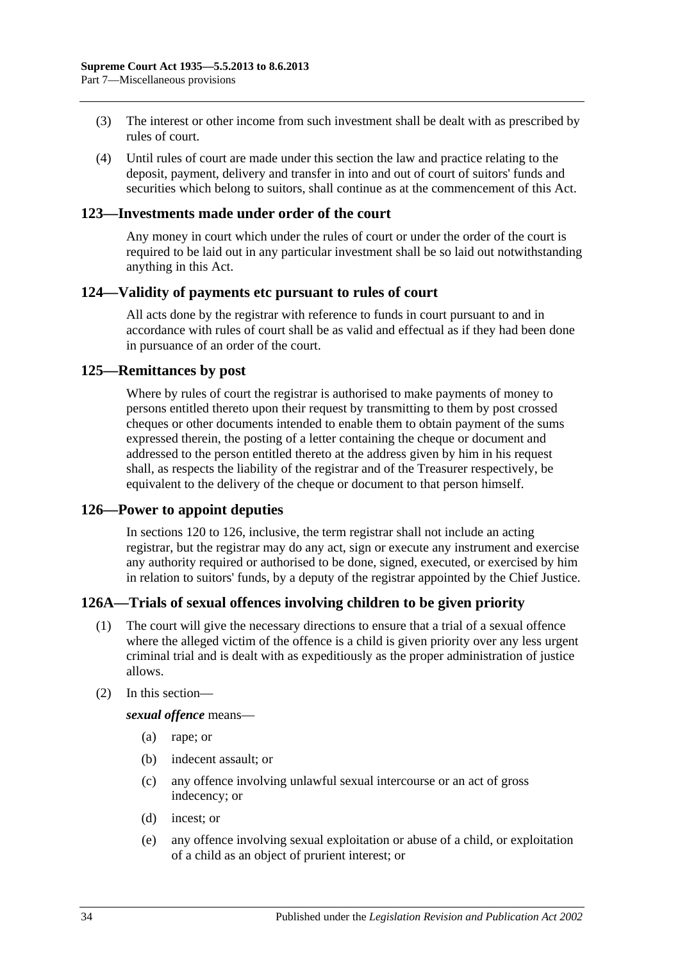- (3) The interest or other income from such investment shall be dealt with as prescribed by rules of court.
- (4) Until rules of court are made under this section the law and practice relating to the deposit, payment, delivery and transfer in into and out of court of suitors' funds and securities which belong to suitors, shall continue as at the commencement of this Act.

#### <span id="page-33-0"></span>**123—Investments made under order of the court**

Any money in court which under the rules of court or under the order of the court is required to be laid out in any particular investment shall be so laid out notwithstanding anything in this Act.

#### <span id="page-33-1"></span>**124—Validity of payments etc pursuant to rules of court**

All acts done by the registrar with reference to funds in court pursuant to and in accordance with rules of court shall be as valid and effectual as if they had been done in pursuance of an order of the court.

#### <span id="page-33-2"></span>**125—Remittances by post**

Where by rules of court the registrar is authorised to make payments of money to persons entitled thereto upon their request by transmitting to them by post crossed cheques or other documents intended to enable them to obtain payment of the sums expressed therein, the posting of a letter containing the cheque or document and addressed to the person entitled thereto at the address given by him in his request shall, as respects the liability of the registrar and of the Treasurer respectively, be equivalent to the delivery of the cheque or document to that person himself.

## <span id="page-33-3"></span>**126—Power to appoint deputies**

In [sections](#page-32-3) 120 to 126, inclusive, the term registrar shall not include an acting registrar, but the registrar may do any act, sign or execute any instrument and exercise any authority required or authorised to be done, signed, executed, or exercised by him in relation to suitors' funds, by a deputy of the registrar appointed by the Chief Justice.

## <span id="page-33-4"></span>**126A—Trials of sexual offences involving children to be given priority**

- (1) The court will give the necessary directions to ensure that a trial of a sexual offence where the alleged victim of the offence is a child is given priority over any less urgent criminal trial and is dealt with as expeditiously as the proper administration of justice allows.
- (2) In this section—

*sexual offence* means—

- (a) rape; or
- (b) indecent assault; or
- (c) any offence involving unlawful sexual intercourse or an act of gross indecency; or
- (d) incest; or
- (e) any offence involving sexual exploitation or abuse of a child, or exploitation of a child as an object of prurient interest; or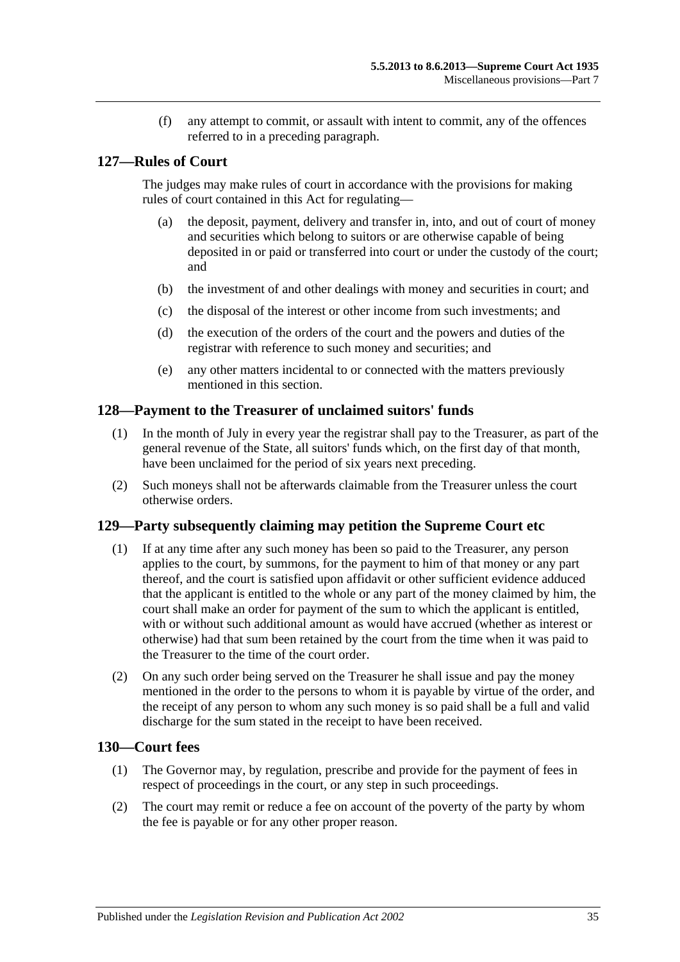(f) any attempt to commit, or assault with intent to commit, any of the offences referred to in a preceding paragraph.

## <span id="page-34-0"></span>**127—Rules of Court**

The judges may make rules of court in accordance with the provisions for making rules of court contained in this Act for regulating—

- (a) the deposit, payment, delivery and transfer in, into, and out of court of money and securities which belong to suitors or are otherwise capable of being deposited in or paid or transferred into court or under the custody of the court; and
- (b) the investment of and other dealings with money and securities in court; and
- (c) the disposal of the interest or other income from such investments; and
- (d) the execution of the orders of the court and the powers and duties of the registrar with reference to such money and securities; and
- (e) any other matters incidental to or connected with the matters previously mentioned in this section.

## <span id="page-34-1"></span>**128—Payment to the Treasurer of unclaimed suitors' funds**

- (1) In the month of July in every year the registrar shall pay to the Treasurer, as part of the general revenue of the State, all suitors' funds which, on the first day of that month, have been unclaimed for the period of six years next preceding.
- (2) Such moneys shall not be afterwards claimable from the Treasurer unless the court otherwise orders.

#### <span id="page-34-2"></span>**129—Party subsequently claiming may petition the Supreme Court etc**

- (1) If at any time after any such money has been so paid to the Treasurer, any person applies to the court, by summons, for the payment to him of that money or any part thereof, and the court is satisfied upon affidavit or other sufficient evidence adduced that the applicant is entitled to the whole or any part of the money claimed by him, the court shall make an order for payment of the sum to which the applicant is entitled, with or without such additional amount as would have accrued (whether as interest or otherwise) had that sum been retained by the court from the time when it was paid to the Treasurer to the time of the court order.
- (2) On any such order being served on the Treasurer he shall issue and pay the money mentioned in the order to the persons to whom it is payable by virtue of the order, and the receipt of any person to whom any such money is so paid shall be a full and valid discharge for the sum stated in the receipt to have been received.

## <span id="page-34-3"></span>**130—Court fees**

- (1) The Governor may, by regulation, prescribe and provide for the payment of fees in respect of proceedings in the court, or any step in such proceedings.
- (2) The court may remit or reduce a fee on account of the poverty of the party by whom the fee is payable or for any other proper reason.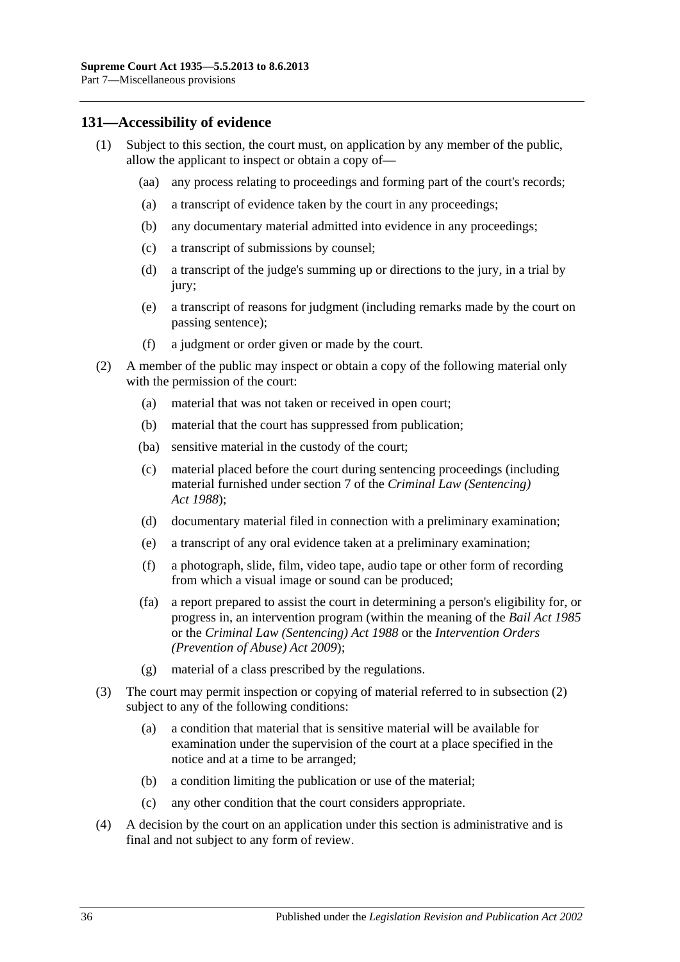## <span id="page-35-0"></span>**131—Accessibility of evidence**

- (1) Subject to this section, the court must, on application by any member of the public, allow the applicant to inspect or obtain a copy of—
	- (aa) any process relating to proceedings and forming part of the court's records;
	- (a) a transcript of evidence taken by the court in any proceedings;
	- (b) any documentary material admitted into evidence in any proceedings;
	- (c) a transcript of submissions by counsel;
	- (d) a transcript of the judge's summing up or directions to the jury, in a trial by jury;
	- (e) a transcript of reasons for judgment (including remarks made by the court on passing sentence);
	- (f) a judgment or order given or made by the court.
- <span id="page-35-1"></span>(2) A member of the public may inspect or obtain a copy of the following material only with the permission of the court:
	- (a) material that was not taken or received in open court;
	- (b) material that the court has suppressed from publication;
	- (ba) sensitive material in the custody of the court;
	- (c) material placed before the court during sentencing proceedings (including material furnished under section 7 of the *[Criminal Law \(Sentencing\)](http://www.legislation.sa.gov.au/index.aspx?action=legref&type=act&legtitle=Criminal%20Law%20(Sentencing)%20Act%201988)  Act [1988](http://www.legislation.sa.gov.au/index.aspx?action=legref&type=act&legtitle=Criminal%20Law%20(Sentencing)%20Act%201988)*);
	- (d) documentary material filed in connection with a preliminary examination;
	- (e) a transcript of any oral evidence taken at a preliminary examination;
	- (f) a photograph, slide, film, video tape, audio tape or other form of recording from which a visual image or sound can be produced;
	- (fa) a report prepared to assist the court in determining a person's eligibility for, or progress in, an intervention program (within the meaning of the *[Bail Act](http://www.legislation.sa.gov.au/index.aspx?action=legref&type=act&legtitle=Bail%20Act%201985) 1985* or the *[Criminal Law \(Sentencing\) Act](http://www.legislation.sa.gov.au/index.aspx?action=legref&type=act&legtitle=Criminal%20Law%20(Sentencing)%20Act%201988) 1988* or the *Intervention Orders (Prevention of Abuse) Act 2009*);
	- (g) material of a class prescribed by the regulations.
- (3) The court may permit inspection or copying of material referred to in [subsection](#page-35-1) (2) subject to any of the following conditions:
	- (a) a condition that material that is sensitive material will be available for examination under the supervision of the court at a place specified in the notice and at a time to be arranged;
	- (b) a condition limiting the publication or use of the material;
	- (c) any other condition that the court considers appropriate.
- (4) A decision by the court on an application under this section is administrative and is final and not subject to any form of review.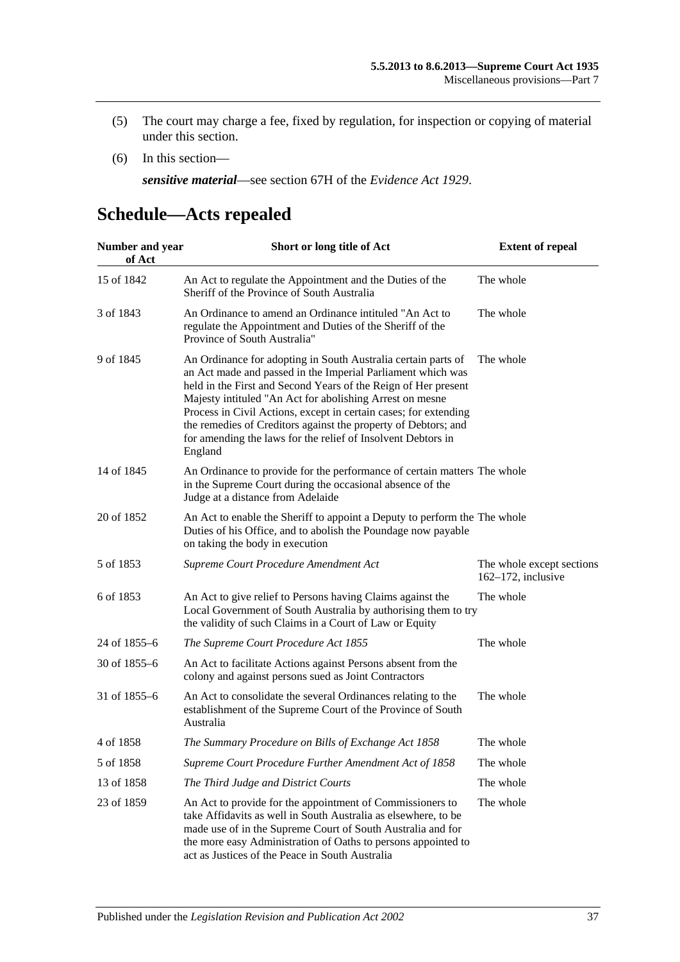- (5) The court may charge a fee, fixed by regulation, for inspection or copying of material under this section.
- (6) In this section—

*sensitive material*—see section 67H of the *[Evidence Act](http://www.legislation.sa.gov.au/index.aspx?action=legref&type=act&legtitle=Evidence%20Act%201929) 1929*.

# <span id="page-36-0"></span>**Schedule—Acts repealed**

| Number and year<br>of Act | Short or long title of Act                                                                                                                                                                                                                                                                                                                                                                                                                                                  | <b>Extent of repeal</b>                            |
|---------------------------|-----------------------------------------------------------------------------------------------------------------------------------------------------------------------------------------------------------------------------------------------------------------------------------------------------------------------------------------------------------------------------------------------------------------------------------------------------------------------------|----------------------------------------------------|
| 15 of 1842                | An Act to regulate the Appointment and the Duties of the<br>Sheriff of the Province of South Australia                                                                                                                                                                                                                                                                                                                                                                      | The whole                                          |
| 3 of 1843                 | An Ordinance to amend an Ordinance intituled "An Act to<br>regulate the Appointment and Duties of the Sheriff of the<br>Province of South Australia"                                                                                                                                                                                                                                                                                                                        | The whole                                          |
| 9 of 1845                 | An Ordinance for adopting in South Australia certain parts of<br>an Act made and passed in the Imperial Parliament which was<br>held in the First and Second Years of the Reign of Her present<br>Majesty intituled "An Act for abolishing Arrest on mesne<br>Process in Civil Actions, except in certain cases; for extending<br>the remedies of Creditors against the property of Debtors; and<br>for amending the laws for the relief of Insolvent Debtors in<br>England | The whole                                          |
| 14 of 1845                | An Ordinance to provide for the performance of certain matters The whole<br>in the Supreme Court during the occasional absence of the<br>Judge at a distance from Adelaide                                                                                                                                                                                                                                                                                                  |                                                    |
| 20 of 1852                | An Act to enable the Sheriff to appoint a Deputy to perform the The whole<br>Duties of his Office, and to abolish the Poundage now payable<br>on taking the body in execution                                                                                                                                                                                                                                                                                               |                                                    |
| 5 of 1853                 | Supreme Court Procedure Amendment Act                                                                                                                                                                                                                                                                                                                                                                                                                                       | The whole except sections<br>$162-172$ , inclusive |
| 6 of 1853                 | An Act to give relief to Persons having Claims against the<br>Local Government of South Australia by authorising them to try<br>the validity of such Claims in a Court of Law or Equity                                                                                                                                                                                                                                                                                     | The whole                                          |
| 24 of 1855-6              | The Supreme Court Procedure Act 1855                                                                                                                                                                                                                                                                                                                                                                                                                                        | The whole                                          |
| 30 of 1855–6              | An Act to facilitate Actions against Persons absent from the<br>colony and against persons sued as Joint Contractors                                                                                                                                                                                                                                                                                                                                                        |                                                    |
| 31 of 1855–6              | An Act to consolidate the several Ordinances relating to the<br>establishment of the Supreme Court of the Province of South<br>Australia                                                                                                                                                                                                                                                                                                                                    | The whole                                          |
| 4 of 1858                 | The Summary Procedure on Bills of Exchange Act 1858                                                                                                                                                                                                                                                                                                                                                                                                                         | The whole                                          |
| 5 of 1858                 | Supreme Court Procedure Further Amendment Act of 1858                                                                                                                                                                                                                                                                                                                                                                                                                       | The whole                                          |
| 13 of 1858                | The Third Judge and District Courts                                                                                                                                                                                                                                                                                                                                                                                                                                         | The whole                                          |
| 23 of 1859                | An Act to provide for the appointment of Commissioners to<br>take Affidavits as well in South Australia as elsewhere, to be<br>made use of in the Supreme Court of South Australia and for<br>the more easy Administration of Oaths to persons appointed to<br>act as Justices of the Peace in South Australia                                                                                                                                                              | The whole                                          |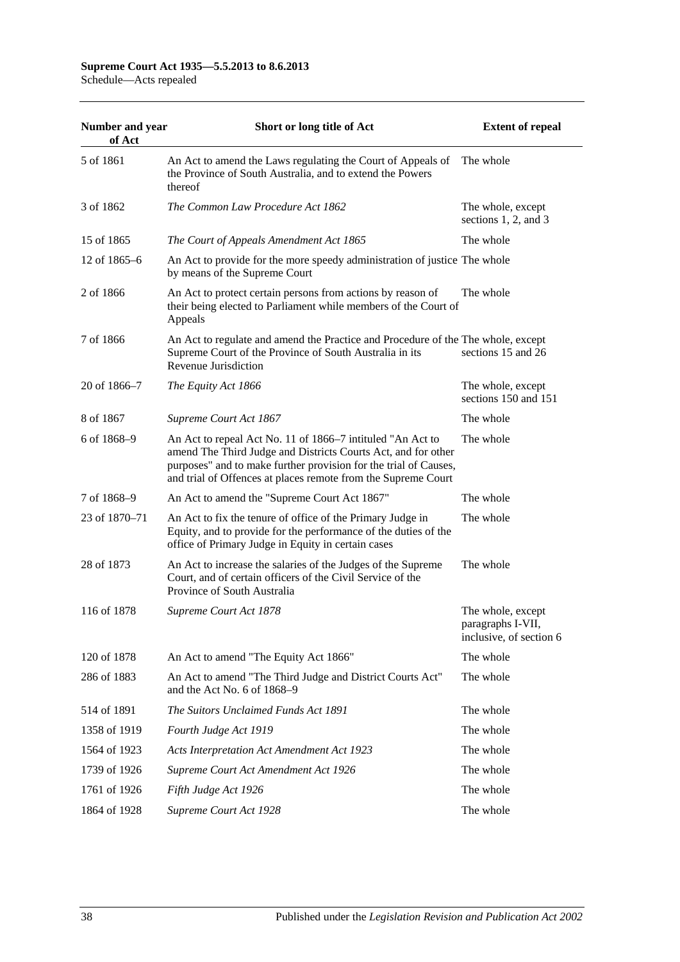#### **Supreme Court Act 1935—5.5.2013 to 8.6.2013** Schedule—Acts repealed

| Number and year<br>of Act | Short or long title of Act                                                                                                                                                                                                                                       | <b>Extent of repeal</b>                                           |
|---------------------------|------------------------------------------------------------------------------------------------------------------------------------------------------------------------------------------------------------------------------------------------------------------|-------------------------------------------------------------------|
| 5 of 1861                 | An Act to amend the Laws regulating the Court of Appeals of<br>the Province of South Australia, and to extend the Powers<br>thereof                                                                                                                              | The whole                                                         |
| 3 of 1862                 | The Common Law Procedure Act 1862                                                                                                                                                                                                                                | The whole, except<br>sections $1, 2$ , and $3$                    |
| 15 of 1865                | The Court of Appeals Amendment Act 1865                                                                                                                                                                                                                          | The whole                                                         |
| 12 of 1865–6              | An Act to provide for the more speedy administration of justice The whole<br>by means of the Supreme Court                                                                                                                                                       |                                                                   |
| 2 of 1866                 | An Act to protect certain persons from actions by reason of<br>their being elected to Parliament while members of the Court of<br>Appeals                                                                                                                        | The whole                                                         |
| 7 of 1866                 | An Act to regulate and amend the Practice and Procedure of the The whole, except<br>Supreme Court of the Province of South Australia in its<br>Revenue Jurisdiction                                                                                              | sections 15 and 26                                                |
| 20 of 1866–7              | The Equity Act 1866                                                                                                                                                                                                                                              | The whole, except<br>sections 150 and 151                         |
| 8 of 1867                 | Supreme Court Act 1867                                                                                                                                                                                                                                           | The whole                                                         |
| 6 of 1868-9               | An Act to repeal Act No. 11 of 1866–7 intituled "An Act to<br>amend The Third Judge and Districts Courts Act, and for other<br>purposes" and to make further provision for the trial of Causes,<br>and trial of Offences at places remote from the Supreme Court | The whole                                                         |
| 7 of 1868-9               | An Act to amend the "Supreme Court Act 1867"                                                                                                                                                                                                                     | The whole                                                         |
| 23 of 1870-71             | An Act to fix the tenure of office of the Primary Judge in<br>Equity, and to provide for the performance of the duties of the<br>office of Primary Judge in Equity in certain cases                                                                              | The whole                                                         |
| 28 of 1873                | An Act to increase the salaries of the Judges of the Supreme<br>Court, and of certain officers of the Civil Service of the<br>Province of South Australia                                                                                                        | The whole                                                         |
| 116 of 1878               | Supreme Court Act 1878                                                                                                                                                                                                                                           | The whole, except<br>paragraphs I-VII,<br>inclusive, of section 6 |
| 120 of 1878               | An Act to amend "The Equity Act 1866"                                                                                                                                                                                                                            | The whole                                                         |
| 286 of 1883               | An Act to amend "The Third Judge and District Courts Act"<br>and the Act No. 6 of 1868-9                                                                                                                                                                         | The whole                                                         |
| 514 of 1891               | The Suitors Unclaimed Funds Act 1891                                                                                                                                                                                                                             | The whole                                                         |
| 1358 of 1919              | Fourth Judge Act 1919                                                                                                                                                                                                                                            | The whole                                                         |
| 1564 of 1923              | Acts Interpretation Act Amendment Act 1923                                                                                                                                                                                                                       | The whole                                                         |
| 1739 of 1926              | Supreme Court Act Amendment Act 1926                                                                                                                                                                                                                             | The whole                                                         |
| 1761 of 1926              | Fifth Judge Act 1926                                                                                                                                                                                                                                             | The whole                                                         |
| 1864 of 1928              | Supreme Court Act 1928                                                                                                                                                                                                                                           | The whole                                                         |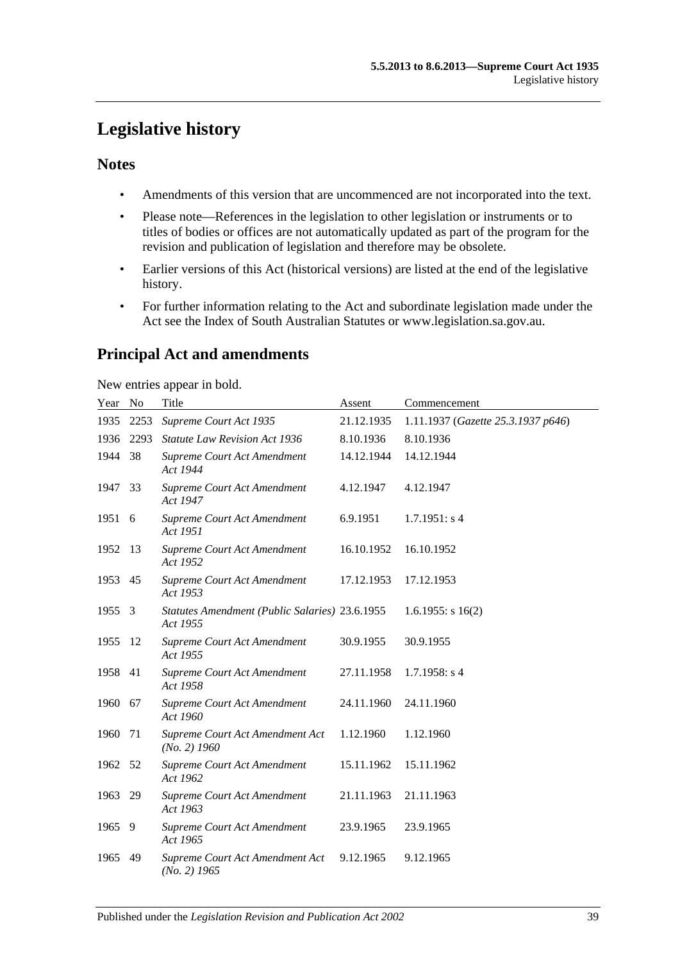# <span id="page-38-0"></span>**Legislative history**

## **Notes**

- Amendments of this version that are uncommenced are not incorporated into the text.
- Please note—References in the legislation to other legislation or instruments or to titles of bodies or offices are not automatically updated as part of the program for the revision and publication of legislation and therefore may be obsolete.
- Earlier versions of this Act (historical versions) are listed at the end of the legislative history.
- For further information relating to the Act and subordinate legislation made under the Act see the Index of South Australian Statutes or www.legislation.sa.gov.au.

# **Principal Act and amendments**

New entries appear in bold.

| Year No |      | Title                                                      | Assent     | Commencement                       |
|---------|------|------------------------------------------------------------|------------|------------------------------------|
| 1935    | 2253 | Supreme Court Act 1935                                     | 21.12.1935 | 1.11.1937 (Gazette 25.3.1937 p646) |
| 1936    | 2293 | <b>Statute Law Revision Act 1936</b>                       | 8.10.1936  | 8.10.1936                          |
| 1944    | 38   | Supreme Court Act Amendment<br>Act 1944                    | 14.12.1944 | 14.12.1944                         |
| 1947    | 33   | Supreme Court Act Amendment<br>Act 1947                    | 4.12.1947  | 4.12.1947                          |
| 1951 6  |      | Supreme Court Act Amendment<br>Act 1951                    | 6.9.1951   | 1.7.1951: s4                       |
| 1952    | 13   | Supreme Court Act Amendment<br>Act 1952                    | 16.10.1952 | 16.10.1952                         |
| 1953 45 |      | Supreme Court Act Amendment<br>Act 1953                    | 17.12.1953 | 17.12.1953                         |
| 1955    | 3    | Statutes Amendment (Public Salaries) 23.6.1955<br>Act 1955 |            | $1.6.1955$ : s $16(2)$             |
| 1955    | -12  | Supreme Court Act Amendment<br>Act 1955                    | 30.9.1955  | 30.9.1955                          |
| 1958 41 |      | Supreme Court Act Amendment<br>Act 1958                    | 27.11.1958 | $1.7.1958$ : s 4                   |
| 1960    | 67   | Supreme Court Act Amendment<br>Act 1960                    | 24.11.1960 | 24.11.1960                         |
| 1960    | 71   | Supreme Court Act Amendment Act<br>$(No. 2)$ 1960          | 1.12.1960  | 1.12.1960                          |
| 1962    | 52   | Supreme Court Act Amendment<br>Act 1962                    | 15.11.1962 | 15.11.1962                         |
| 1963    | 29   | Supreme Court Act Amendment<br>Act 1963                    | 21.11.1963 | 21.11.1963                         |
| 1965    | - 9  | Supreme Court Act Amendment<br>Act 1965                    | 23.9.1965  | 23.9.1965                          |
| 1965    | 49   | Supreme Court Act Amendment Act<br>$(No. 2)$ 1965          | 9.12.1965  | 9.12.1965                          |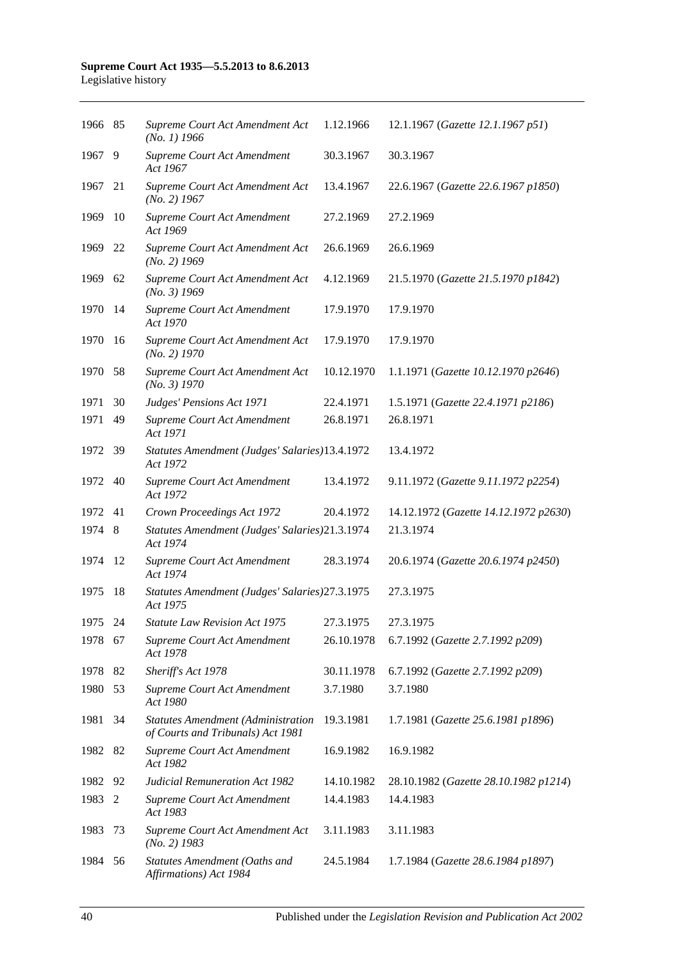| 1966 85 |     | Supreme Court Act Amendment Act<br>$(No. 1)$ 1966                              | 1.12.1966  | 12.1.1967 (Gazette 12.1.1967 p51)     |
|---------|-----|--------------------------------------------------------------------------------|------------|---------------------------------------|
| 1967    | 9   | Supreme Court Act Amendment<br>Act 1967                                        | 30.3.1967  | 30.3.1967                             |
| 1967    | 21  | Supreme Court Act Amendment Act<br>$(No. 2)$ 1967                              | 13.4.1967  | 22.6.1967 (Gazette 22.6.1967 p1850)   |
| 1969    | 10  | Supreme Court Act Amendment<br>Act 1969                                        | 27.2.1969  | 27.2.1969                             |
| 1969    | 22  | Supreme Court Act Amendment Act<br>$(No. 2)$ 1969                              | 26.6.1969  | 26.6.1969                             |
| 1969    | 62  | Supreme Court Act Amendment Act<br>$(No. 3)$ 1969                              | 4.12.1969  | 21.5.1970 (Gazette 21.5.1970 p1842)   |
| 1970    | 14  | Supreme Court Act Amendment<br>Act 1970                                        | 17.9.1970  | 17.9.1970                             |
| 1970    | 16  | Supreme Court Act Amendment Act<br>$(No. 2)$ 1970                              | 17.9.1970  | 17.9.1970                             |
| 1970    | 58  | Supreme Court Act Amendment Act<br>(No. 3) 1970                                | 10.12.1970 | 1.1.1971 (Gazette 10.12.1970 p2646)   |
| 1971    | 30  | Judges' Pensions Act 1971                                                      | 22.4.1971  | 1.5.1971 (Gazette 22.4.1971 p2186)    |
| 1971    | 49  | Supreme Court Act Amendment<br>Act 1971                                        | 26.8.1971  | 26.8.1971                             |
| 1972    | -39 | Statutes Amendment (Judges' Salaries)13.4.1972<br>Act 1972                     |            | 13.4.1972                             |
| 1972    | 40  | Supreme Court Act Amendment<br>Act 1972                                        | 13.4.1972  | 9.11.1972 (Gazette 9.11.1972 p2254)   |
| 1972    | 41  | Crown Proceedings Act 1972                                                     | 20.4.1972  | 14.12.1972 (Gazette 14.12.1972 p2630) |
| 1974    | 8   | Statutes Amendment (Judges' Salaries)21.3.1974<br>Act 1974                     |            | 21.3.1974                             |
| 1974    | -12 | Supreme Court Act Amendment<br>Act 1974                                        | 28.3.1974  | 20.6.1974 (Gazette 20.6.1974 p2450)   |
| 1975    | 18  | Statutes Amendment (Judges' Salaries) 27.3.1975<br>Act 1975                    |            | 27.3.1975                             |
| 1975    | 24  | <b>Statute Law Revision Act 1975</b>                                           | 27.3.1975  | 27.3.1975                             |
| 1978 67 |     | Supreme Court Act Amendment<br>Act 1978                                        | 26.10.1978 | 6.7.1992 (Gazette 2.7.1992 p209)      |
| 1978    | 82  | Sheriff's Act 1978                                                             | 30.11.1978 | 6.7.1992 (Gazette 2.7.1992 p209)      |
| 1980    | 53  | Supreme Court Act Amendment<br>Act 1980                                        | 3.7.1980   | 3.7.1980                              |
| 1981    | 34  | <b>Statutes Amendment (Administration</b><br>of Courts and Tribunals) Act 1981 | 19.3.1981  | 1.7.1981 (Gazette 25.6.1981 p1896)    |
| 1982    | 82  | Supreme Court Act Amendment<br>Act 1982                                        | 16.9.1982  | 16.9.1982                             |
| 1982    | 92  | <b>Judicial Remuneration Act 1982</b>                                          | 14.10.1982 | 28.10.1982 (Gazette 28.10.1982 p1214) |
| 1983    | 2   | Supreme Court Act Amendment<br>Act 1983                                        | 14.4.1983  | 14.4.1983                             |
| 1983    | 73  | Supreme Court Act Amendment Act<br>$(No. 2)$ 1983                              | 3.11.1983  | 3.11.1983                             |
|         |     |                                                                                |            |                                       |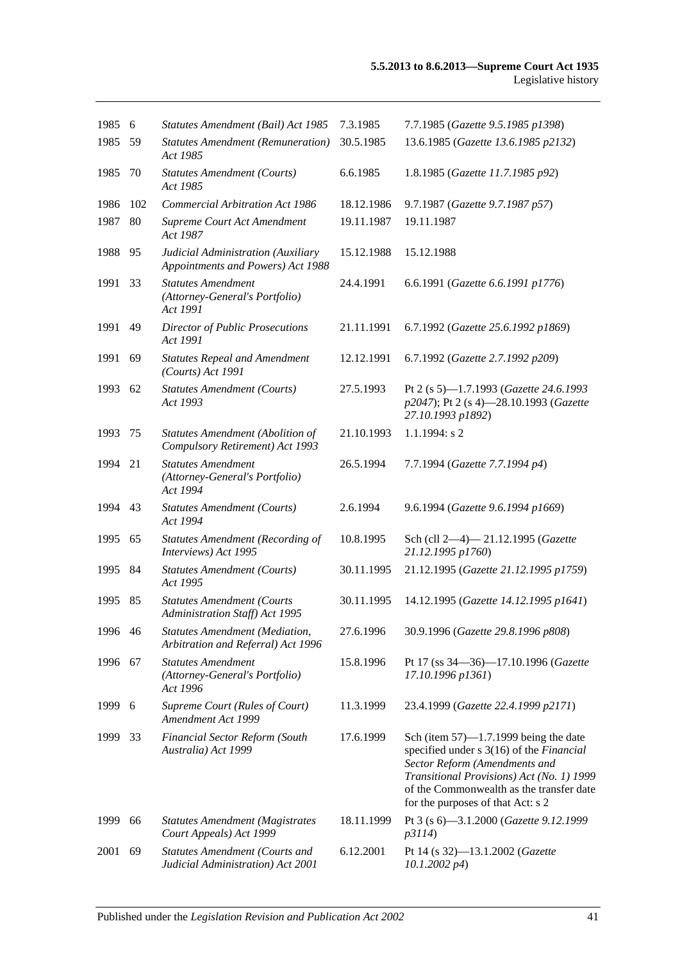| 1985    | 6   | Statutes Amendment (Bail) Act 1985                                          | 7.3.1985   | 7.7.1985 (Gazette 9.5.1985 p1398)                                                                                                                                                                                                                   |
|---------|-----|-----------------------------------------------------------------------------|------------|-----------------------------------------------------------------------------------------------------------------------------------------------------------------------------------------------------------------------------------------------------|
| 1985    | 59  | <b>Statutes Amendment (Remuneration)</b><br>Act 1985                        | 30.5.1985  | 13.6.1985 (Gazette 13.6.1985 p2132)                                                                                                                                                                                                                 |
| 1985    | 70  | <b>Statutes Amendment (Courts)</b><br>Act 1985                              | 6.6.1985   | 1.8.1985 (Gazette 11.7.1985 p92)                                                                                                                                                                                                                    |
| 1986    | 102 | <b>Commercial Arbitration Act 1986</b>                                      | 18.12.1986 | 9.7.1987 (Gazette 9.7.1987 p57)                                                                                                                                                                                                                     |
| 1987    | 80  | Supreme Court Act Amendment<br>Act 1987                                     | 19.11.1987 | 19.11.1987                                                                                                                                                                                                                                          |
| 1988    | 95  | Judicial Administration (Auxiliary<br>Appointments and Powers) Act 1988     | 15.12.1988 | 15.12.1988                                                                                                                                                                                                                                          |
| 1991    | 33  | <b>Statutes Amendment</b><br>(Attorney-General's Portfolio)<br>Act 1991     | 24.4.1991  | 6.6.1991 (Gazette 6.6.1991 p1776)                                                                                                                                                                                                                   |
| 1991    | 49  | Director of Public Prosecutions<br>Act 1991                                 | 21.11.1991 | 6.7.1992 (Gazette 25.6.1992 p1869)                                                                                                                                                                                                                  |
| 1991    | 69  | <b>Statutes Repeal and Amendment</b><br>$(Courts)$ Act 1991                 | 12.12.1991 | 6.7.1992 (Gazette 2.7.1992 p209)                                                                                                                                                                                                                    |
| 1993    | 62  | <b>Statutes Amendment (Courts)</b><br>Act 1993                              | 27.5.1993  | Pt 2 (s 5)-1.7.1993 (Gazette 24.6.1993<br>p2047); Pt 2 (s 4)-28.10.1993 (Gazette<br>27.10.1993 p1892)                                                                                                                                               |
| 1993    | 75  | Statutes Amendment (Abolition of<br>Compulsory Retirement) Act 1993         | 21.10.1993 | $1.1.1994$ : s 2                                                                                                                                                                                                                                    |
| 1994    | 21  | <b>Statutes Amendment</b><br>(Attorney-General's Portfolio)<br>Act 1994     | 26.5.1994  | 7.7.1994 (Gazette 7.7.1994 p4)                                                                                                                                                                                                                      |
| 1994 43 |     | <b>Statutes Amendment (Courts)</b><br>Act 1994                              | 2.6.1994   | 9.6.1994 (Gazette 9.6.1994 p1669)                                                                                                                                                                                                                   |
| 1995    | 65  | <b>Statutes Amendment (Recording of</b><br>Interviews) Act 1995             | 10.8.1995  | Sch (cll 2-4)-21.12.1995 (Gazette<br>21.12.1995 p1760)                                                                                                                                                                                              |
| 1995    | -84 | <b>Statutes Amendment (Courts)</b><br>Act 1995                              | 30.11.1995 | 21.12.1995 (Gazette 21.12.1995 p1759)                                                                                                                                                                                                               |
| 1995    | 85  | <b>Statutes Amendment (Courts</b><br>Administration Staff) Act 1995         | 30.11.1995 | 14.12.1995 (Gazette 14.12.1995 p1641)                                                                                                                                                                                                               |
| 1996 46 |     | <b>Statutes Amendment (Mediation,</b><br>Arbitration and Referral) Act 1996 | 27.6.1996  | 30.9.1996 (Gazette 29.8.1996 p808)                                                                                                                                                                                                                  |
| 1996    | 67  | <b>Statutes Amendment</b><br>(Attorney-General's Portfolio)<br>Act 1996     | 15.8.1996  | Pt 17 (ss 34–36)–17.10.1996 (Gazette<br>17.10.1996 p1361)                                                                                                                                                                                           |
| 1999    | 6   | Supreme Court (Rules of Court)<br>Amendment Act 1999                        | 11.3.1999  | 23.4.1999 (Gazette 22.4.1999 p2171)                                                                                                                                                                                                                 |
| 1999    | 33  | Financial Sector Reform (South<br>Australia) Act 1999                       | 17.6.1999  | Sch (item $57$ )—1.7.1999 being the date<br>specified under s 3(16) of the Financial<br>Sector Reform (Amendments and<br>Transitional Provisions) Act (No. 1) 1999<br>of the Commonwealth as the transfer date<br>for the purposes of that Act: s 2 |
| 1999    | 66  | <b>Statutes Amendment (Magistrates</b><br>Court Appeals) Act 1999           | 18.11.1999 | Pt 3 (s 6)-3.1.2000 (Gazette 9.12.1999<br>p3114)                                                                                                                                                                                                    |
| 2001    | 69  | <b>Statutes Amendment (Courts and</b><br>Judicial Administration) Act 2001  | 6.12.2001  | Pt 14 (s 32)-13.1.2002 (Gazette<br>$10.1.2002\ p4$                                                                                                                                                                                                  |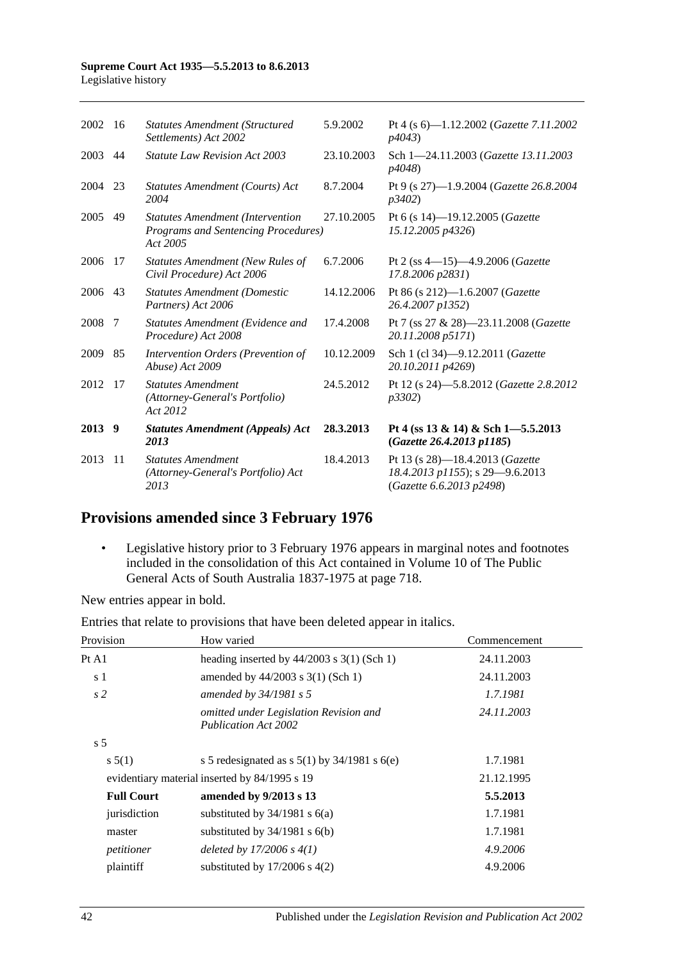| 2002   | -16           | <b>Statutes Amendment (Structured)</b><br>Settlements) Act 2002                            | 5.9.2002   | Pt 4 (s 6)-1.12.2002 (Gazette 7.11.2002<br>p4043                                               |
|--------|---------------|--------------------------------------------------------------------------------------------|------------|------------------------------------------------------------------------------------------------|
| 2003   | 44            | <b>Statute Law Revision Act 2003</b>                                                       | 23.10.2003 | Sch 1-24.11.2003 (Gazette 13.11.2003)<br>p4048)                                                |
| 2004   | 23            | Statutes Amendment (Courts) Act<br>2004                                                    | 8.7.2004   | Pt 9 (s 27)-1.9.2004 ( <i>Gazette</i> 26.8.2004<br>p3402)                                      |
| 2005   | 49            | <b>Statutes Amendment (Intervention</b><br>Programs and Sentencing Procedures)<br>Act 2005 | 27.10.2005 | Pt 6 (s 14)-19.12.2005 (Gazette<br>15.12.2005 p4326)                                           |
| 2006   | 17            | Statutes Amendment (New Rules of<br>Civil Procedure) Act 2006                              | 6.7.2006   | Pt 2 (ss 4-15)-4.9.2006 (Gazette<br>17.8.2006 p2831)                                           |
| 2006   | 43            | <b>Statutes Amendment (Domestic</b><br>Partners) Act 2006                                  | 14.12.2006 | Pt 86 (s 212)-1.6.2007 (Gazette<br>26.4.2007 p1352)                                            |
| 2008   | 7             | Statutes Amendment (Evidence and<br>Procedure) Act 2008                                    | 17.4.2008  | Pt 7 (ss 27 & 28)-23.11.2008 (Gazette<br>20.11.2008 p5171)                                     |
| 2009   | 85            | Intervention Orders (Prevention of<br>Abuse) Act 2009                                      | 10.12.2009 | Sch 1 (cl 34)-9.12.2011 (Gazette<br>20.10.2011 p4269)                                          |
| 2012   | -17           | <b>Statutes Amendment</b><br>(Attorney-General's Portfolio)<br>Act 2012                    | 24.5.2012  | Pt 12 (s 24)-5.8.2012 (Gazette 2.8.2012<br>p3302)                                              |
| 2013 9 |               | <b>Statutes Amendment (Appeals) Act</b><br>2013                                            | 28.3.2013  | Pt 4 (ss 13 & 14) & Sch 1-5.5.2013<br>(Gazette 26.4.2013 p1185)                                |
| 2013   | <sup>11</sup> | <b>Statutes Amendment</b><br>(Attorney-General's Portfolio) Act<br>2013                    | 18.4.2013  | Pt 13 (s 28)-18.4.2013 (Gazette<br>18.4.2013 p1155); s 29-9.6.2013<br>(Gazette 6.6.2013 p2498) |

# **Provisions amended since 3 February 1976**

• Legislative history prior to 3 February 1976 appears in marginal notes and footnotes included in the consolidation of this Act contained in Volume 10 of The Public General Acts of South Australia 1837-1975 at page 718.

New entries appear in bold.

Entries that relate to provisions that have been deleted appear in italics.

| Provision         | How varied                                                            | Commencement |
|-------------------|-----------------------------------------------------------------------|--------------|
| Pt A1             | heading inserted by $44/2003$ s 3(1) (Sch 1)                          | 24.11.2003   |
| s 1               | amended by $44/2003$ s 3(1) (Sch 1)                                   | 24.11.2003   |
| s <sub>2</sub>    | amended by $34/1981$ s 5                                              | 1.7.1981     |
|                   | omitted under Legislation Revision and<br><b>Publication Act 2002</b> | 24.11.2003   |
| s <sub>5</sub>    |                                                                       |              |
| s 5(1)            | s 5 redesignated as s $5(1)$ by $34/1981$ s $6(e)$                    | 1.7.1981     |
|                   | evidentiary material inserted by 84/1995 s 19                         | 21.12.1995   |
| <b>Full Court</b> | amended by 9/2013 s 13                                                | 5.5.2013     |
| jurisdiction      | substituted by $34/1981$ s $6(a)$                                     | 1.7.1981     |
| master            | substituted by $34/1981$ s $6(b)$                                     | 1.7.1981     |
| petitioner        | deleted by $17/2006 s 4(1)$                                           | 4.9.2006     |
| plaintiff         | substituted by $17/2006$ s $4(2)$                                     | 4.9.2006     |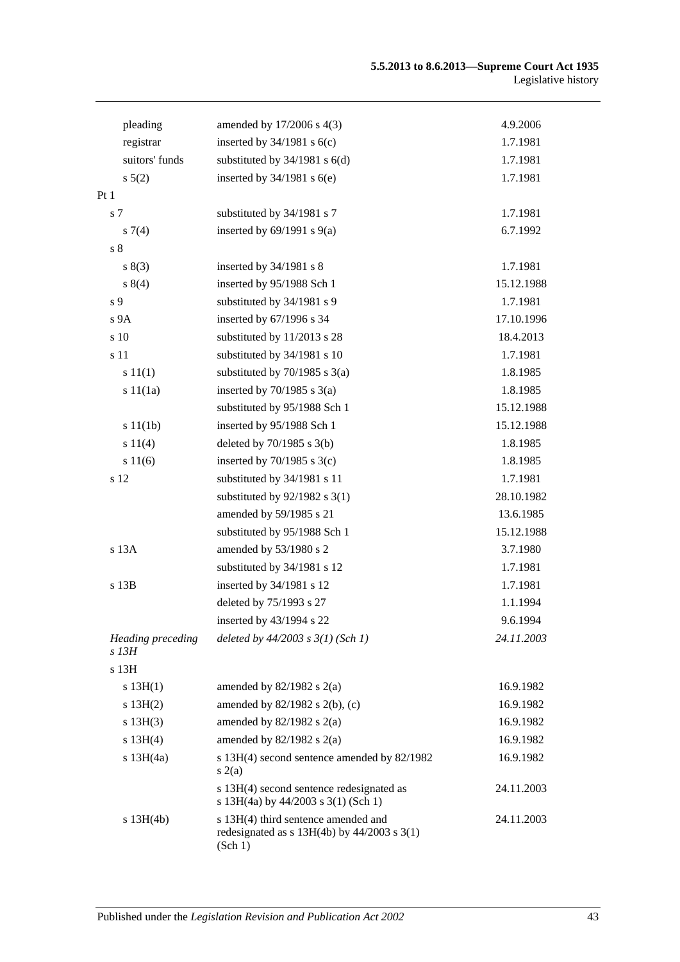| pleading                   | amended by 17/2006 s 4(3)                                                                         | 4.9.2006   |
|----------------------------|---------------------------------------------------------------------------------------------------|------------|
| registrar                  | inserted by $34/1981$ s $6(c)$                                                                    | 1.7.1981   |
| suitors' funds             | substituted by $34/1981$ s $6(d)$                                                                 | 1.7.1981   |
| s 5(2)                     | inserted by $34/1981$ s $6(e)$                                                                    | 1.7.1981   |
| Pt1                        |                                                                                                   |            |
| s 7                        | substituted by 34/1981 s 7                                                                        | 1.7.1981   |
| $s \, 7(4)$                | inserted by $69/1991$ s $9(a)$                                                                    | 6.7.1992   |
| s <sub>8</sub>             |                                                                                                   |            |
| s(3)                       | inserted by $34/1981$ s 8                                                                         | 1.7.1981   |
| s 8(4)                     | inserted by 95/1988 Sch 1                                                                         | 15.12.1988 |
| s 9                        | substituted by 34/1981 s 9                                                                        | 1.7.1981   |
| s <sub>9A</sub>            | inserted by 67/1996 s 34                                                                          | 17.10.1996 |
| s 10                       | substituted by 11/2013 s 28                                                                       | 18.4.2013  |
| s 11                       | substituted by 34/1981 s 10                                                                       | 1.7.1981   |
| s 11(1)                    | substituted by $70/1985$ s $3(a)$                                                                 | 1.8.1985   |
| s 11(1a)                   | inserted by $70/1985$ s $3(a)$                                                                    | 1.8.1985   |
|                            | substituted by 95/1988 Sch 1                                                                      | 15.12.1988 |
| s 11(1b)                   | inserted by 95/1988 Sch 1                                                                         | 15.12.1988 |
| s 11(4)                    | deleted by $70/1985$ s $3(b)$                                                                     | 1.8.1985   |
| s 11(6)                    | inserted by $70/1985$ s $3(c)$                                                                    | 1.8.1985   |
| s 12                       | substituted by 34/1981 s 11                                                                       | 1.7.1981   |
|                            | substituted by $92/1982$ s 3(1)                                                                   | 28.10.1982 |
|                            | amended by 59/1985 s 21                                                                           | 13.6.1985  |
|                            | substituted by 95/1988 Sch 1                                                                      | 15.12.1988 |
| s 13A                      | amended by 53/1980 s 2                                                                            | 3.7.1980   |
|                            | substituted by 34/1981 s 12                                                                       | 1.7.1981   |
| s 13B                      | inserted by 34/1981 s 12                                                                          | 1.7.1981   |
|                            | deleted by 75/1993 s 27                                                                           | 1.1.1994   |
|                            | inserted by 43/1994 s 22                                                                          | 9.6.1994   |
| Heading preceding<br>s 13H | deleted by $44/2003$ s $3(1)$ (Sch 1)                                                             | 24.11.2003 |
| s 13H                      |                                                                                                   |            |
| s $13H(1)$                 | amended by $82/1982$ s $2(a)$                                                                     | 16.9.1982  |
| s 13H(2)                   | amended by 82/1982 s 2(b), (c)                                                                    | 16.9.1982  |
| s 13H(3)                   | amended by $82/1982$ s $2(a)$                                                                     | 16.9.1982  |
| s 13H(4)                   | amended by $82/1982$ s $2(a)$                                                                     | 16.9.1982  |
| $s$ 13H $(4a)$             | s 13H(4) second sentence amended by 82/1982<br>s(2(a)                                             | 16.9.1982  |
|                            | s 13H(4) second sentence redesignated as<br>s 13H(4a) by 44/2003 s 3(1) (Sch 1)                   | 24.11.2003 |
| $s$ 13H $(4b)$             | s 13H(4) third sentence amended and<br>redesignated as $s$ 13H(4b) by 44/2003 $s$ 3(1)<br>(Sch 1) | 24.11.2003 |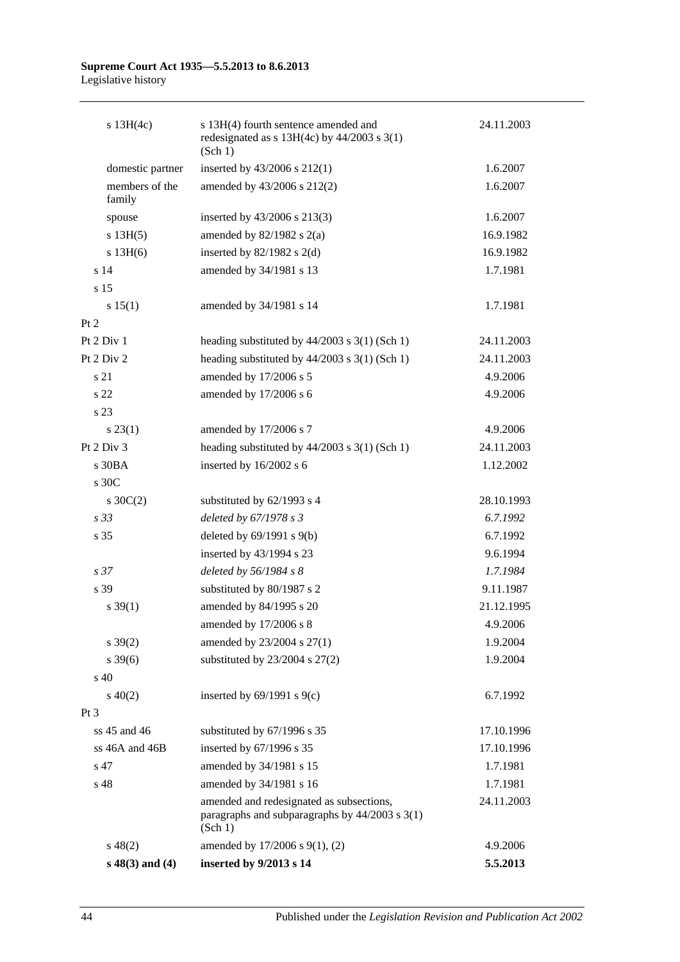| $s$ 13H(4c)              | s 13H(4) fourth sentence amended and<br>redesignated as $s$ 13H(4c) by 44/2003 $s$ 3(1)<br>(Sch 1)        | 24.11.2003 |
|--------------------------|-----------------------------------------------------------------------------------------------------------|------------|
| domestic partner         | inserted by 43/2006 s 212(1)                                                                              | 1.6.2007   |
| members of the<br>family | amended by 43/2006 s 212(2)                                                                               | 1.6.2007   |
| spouse                   | inserted by 43/2006 s 213(3)                                                                              | 1.6.2007   |
| s 13H(5)                 | amended by $82/1982$ s $2(a)$                                                                             | 16.9.1982  |
| $s$ 13H $(6)$            | inserted by $82/1982$ s $2(d)$                                                                            | 16.9.1982  |
| s 14                     | amended by 34/1981 s 13                                                                                   | 1.7.1981   |
| s 15                     |                                                                                                           |            |
| s 15(1)                  | amended by 34/1981 s 14                                                                                   | 1.7.1981   |
| Pt 2                     |                                                                                                           |            |
| Pt 2 Div 1               | heading substituted by $44/2003$ s $3(1)$ (Sch 1)                                                         | 24.11.2003 |
| Pt 2 Div 2               | heading substituted by $44/2003$ s $3(1)$ (Sch 1)                                                         | 24.11.2003 |
| s 21                     | amended by 17/2006 s 5                                                                                    | 4.9.2006   |
| s <sub>22</sub>          | amended by 17/2006 s 6                                                                                    | 4.9.2006   |
| s 23                     |                                                                                                           |            |
| $s\,23(1)$               | amended by 17/2006 s 7                                                                                    | 4.9.2006   |
| Pt 2 Div 3               | heading substituted by $44/2003$ s $3(1)$ (Sch 1)                                                         | 24.11.2003 |
| s 30BA                   | inserted by 16/2002 s 6                                                                                   | 1.12.2002  |
| s 30C                    |                                                                                                           |            |
| $s \, 30C(2)$            | substituted by 62/1993 s 4                                                                                | 28.10.1993 |
| s 33                     | deleted by 67/1978 s 3                                                                                    | 6.7.1992   |
| s 35                     | deleted by $69/1991$ s $9(b)$                                                                             | 6.7.1992   |
|                          | inserted by 43/1994 s 23                                                                                  | 9.6.1994   |
| s <sub>37</sub>          | deleted by 56/1984 s 8                                                                                    | 1.7.1984   |
| s 39                     | substituted by 80/1987 s 2                                                                                | 9.11.1987  |
| $s \, 39(1)$             | amended by 84/1995 s 20                                                                                   | 21.12.1995 |
|                          | amended by 17/2006 s 8                                                                                    | 4.9.2006   |
| $s \, 39(2)$             | amended by 23/2004 s 27(1)                                                                                | 1.9.2004   |
| $s \frac{39(6)}{2}$      | substituted by $23/2004$ s $27(2)$                                                                        | 1.9.2004   |
| $s\,40$                  |                                                                                                           |            |
| $s\ 40(2)$               | inserted by $69/1991$ s $9(c)$                                                                            | 6.7.1992   |
| Pt 3                     |                                                                                                           |            |
| $ss 45$ and $46$         | substituted by 67/1996 s 35                                                                               | 17.10.1996 |
| ss 46A and 46B           | inserted by 67/1996 s 35                                                                                  | 17.10.1996 |
| s 47                     | amended by 34/1981 s 15                                                                                   | 1.7.1981   |
| s 48                     | amended by 34/1981 s 16                                                                                   | 1.7.1981   |
|                          | amended and redesignated as subsections,<br>paragraphs and subparagraphs by $44/2003$ s $3(1)$<br>(Sch 1) | 24.11.2003 |
| $s\,48(2)$               | amended by 17/2006 s 9(1), (2)                                                                            | 4.9.2006   |
| $s\ 48(3)$ and (4)       | inserted by 9/2013 s 14                                                                                   | 5.5.2013   |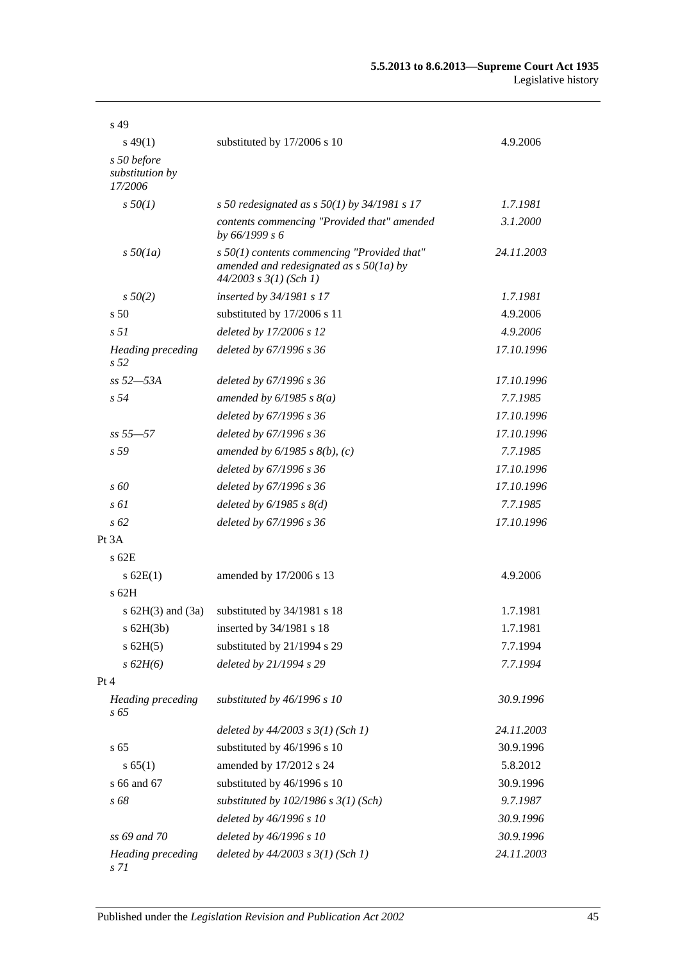| s 49                                        |                                                                                                                          |            |
|---------------------------------------------|--------------------------------------------------------------------------------------------------------------------------|------------|
| $s\,49(1)$                                  | substituted by 17/2006 s 10                                                                                              | 4.9.2006   |
| s 50 before<br>substitution by<br>17/2006   |                                                                                                                          |            |
| $s\,50(1)$                                  | s 50 redesignated as s $50(1)$ by 34/1981 s 17                                                                           | 1.7.1981   |
|                                             | contents commencing "Provided that" amended<br>by 66/1999 s 6                                                            | 3.1.2000   |
| $s\,50(1a)$                                 | $s$ 50(1) contents commencing "Provided that"<br>amended and redesignated as $s$ 50(1a) by<br>$44/2003$ s $3(1)$ (Sch 1) | 24.11.2003 |
| $s\,50(2)$                                  | <i>inserted by 34/1981 s 17</i>                                                                                          | 1.7.1981   |
| s <sub>50</sub>                             | substituted by 17/2006 s 11                                                                                              | 4.9.2006   |
| s <sub>51</sub>                             | deleted by 17/2006 s 12                                                                                                  | 4.9.2006   |
| <b>Heading</b> preceding<br>s <sub>52</sub> | deleted by 67/1996 s 36                                                                                                  | 17.10.1996 |
| ss 52-53A                                   | deleted by 67/1996 s 36                                                                                                  | 17.10.1996 |
| s <sub>54</sub>                             | amended by $6/1985$ s $8(a)$                                                                                             | 7.7.1985   |
|                                             | deleted by 67/1996 s 36                                                                                                  | 17.10.1996 |
| $ss 55 - 57$                                | deleted by 67/1996 s 36                                                                                                  | 17.10.1996 |
| s 59                                        | amended by $6/1985$ s $8(b)$ , (c)                                                                                       | 7.7.1985   |
|                                             | deleted by 67/1996 s 36                                                                                                  | 17.10.1996 |
| s 60                                        | deleted by 67/1996 s 36                                                                                                  | 17.10.1996 |
| $s \, \delta l$                             | deleted by $6/1985$ s $8(d)$                                                                                             | 7.7.1985   |
| $s\,62$                                     | deleted by 67/1996 s 36                                                                                                  | 17.10.1996 |
| Pt 3A                                       |                                                                                                                          |            |
| $s$ 62 $E$                                  |                                                                                                                          |            |
| $s$ 62E(1)                                  | amended by 17/2006 s 13                                                                                                  | 4.9.2006   |
| $s$ 62H                                     |                                                                                                                          |            |
| s $62H(3)$ and $(3a)$                       | substituted by 34/1981 s 18                                                                                              | 1.7.1981   |
| $s$ 62H(3b)                                 | inserted by 34/1981 s 18                                                                                                 | 1.7.1981   |
| $s$ 62H(5)                                  | substituted by 21/1994 s 29                                                                                              | 7.7.1994   |
| s 62H(6)                                    | deleted by 21/1994 s 29                                                                                                  | 7.7.1994   |
| Pt 4                                        |                                                                                                                          |            |
| <b>Heading</b> preceding<br>s 65            | substituted by 46/1996 s 10                                                                                              | 30.9.1996  |
|                                             | deleted by $44/2003$ s $3(1)$ (Sch 1)                                                                                    | 24.11.2003 |
| s 65                                        | substituted by 46/1996 s 10                                                                                              | 30.9.1996  |
| s 65(1)                                     | amended by 17/2012 s 24                                                                                                  | 5.8.2012   |
| s 66 and 67                                 | substituted by 46/1996 s 10                                                                                              | 30.9.1996  |
| s 68                                        | substituted by $102/1986$ s $3(1)$ (Sch)                                                                                 | 9.7.1987   |
|                                             | deleted by 46/1996 s 10                                                                                                  | 30.9.1996  |
| ss 69 and 70                                | deleted by 46/1996 s 10                                                                                                  | 30.9.1996  |
| <b>Heading</b> preceding<br>s 71            | deleted by $44/2003$ s $3(1)$ (Sch 1)                                                                                    | 24.11.2003 |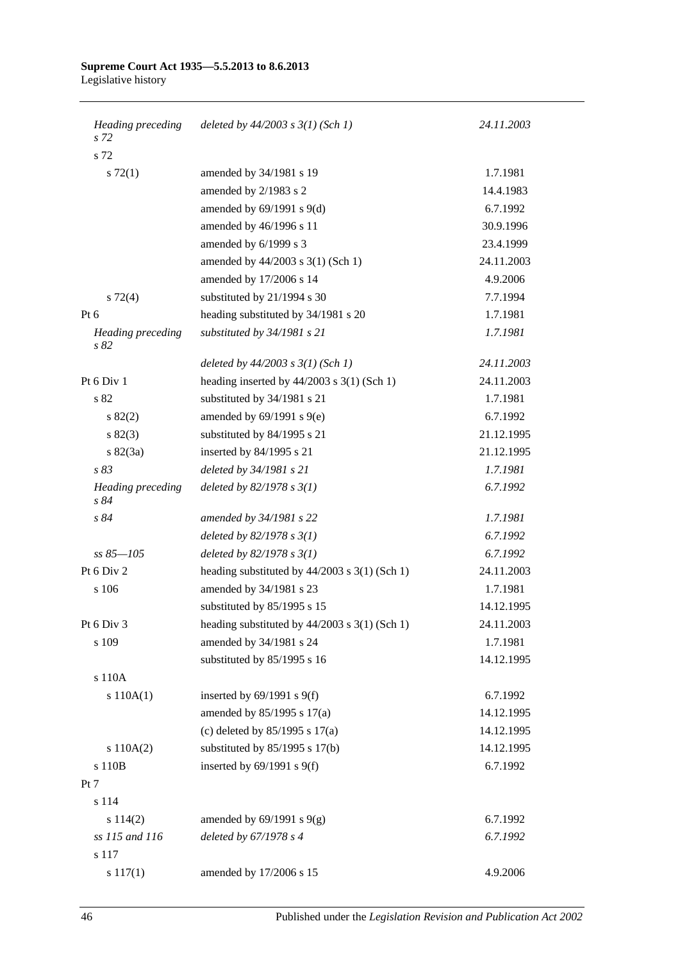| Heading preceding<br>s 72        | deleted by $44/2003$ s $3(1)$ (Sch 1)           | 24.11.2003 |
|----------------------------------|-------------------------------------------------|------------|
| s 72                             |                                                 |            |
| $s \, 72(1)$                     | amended by 34/1981 s 19                         | 1.7.1981   |
|                                  | amended by 2/1983 s 2                           | 14.4.1983  |
|                                  | amended by $69/1991$ s $9(d)$                   | 6.7.1992   |
|                                  | amended by 46/1996 s 11                         | 30.9.1996  |
|                                  | amended by 6/1999 s 3                           | 23.4.1999  |
|                                  | amended by 44/2003 s 3(1) (Sch 1)               | 24.11.2003 |
|                                  | amended by 17/2006 s 14                         | 4.9.2006   |
| $s \, 72(4)$                     | substituted by 21/1994 s 30                     | 7.7.1994   |
| Pt 6                             | heading substituted by 34/1981 s 20             | 1.7.1981   |
| <b>Heading</b> preceding<br>s 82 | substituted by 34/1981 s 21                     | 1.7.1981   |
|                                  | deleted by $44/2003$ s $3(1)$ (Sch 1)           | 24.11.2003 |
| Pt 6 Div 1                       | heading inserted by $44/2003$ s 3(1) (Sch 1)    | 24.11.2003 |
| s 82                             | substituted by 34/1981 s 21                     | 1.7.1981   |
| s 82(2)                          | amended by $69/1991$ s $9(e)$                   | 6.7.1992   |
| s 82(3)                          | substituted by 84/1995 s 21                     | 21.12.1995 |
| $s \, 82(3a)$                    | inserted by 84/1995 s 21                        | 21.12.1995 |
| s83                              | deleted by 34/1981 s 21                         | 1.7.1981   |
| <b>Heading</b> preceding<br>s84  | deleted by $82/1978 s 3(1)$                     | 6.7.1992   |
| s 84                             | amended by 34/1981 s 22                         | 1.7.1981   |
|                                  | deleted by $82/1978 s 3(1)$                     | 6.7.1992   |
| $ss 85 - 105$                    | deleted by $82/1978 s 3(1)$                     | 6.7.1992   |
| Pt 6 Div 2                       | heading substituted by $44/2003$ s 3(1) (Sch 1) | 24.11.2003 |
| s 106                            | amended by 34/1981 s 23                         | 1.7.1981   |
|                                  | substituted by 85/1995 s 15                     | 14.12.1995 |
| Pt 6 Div 3                       | heading substituted by 44/2003 s 3(1) (Sch 1)   | 24.11.2003 |
| s 109                            | amended by 34/1981 s 24                         | 1.7.1981   |
|                                  | substituted by 85/1995 s 16                     | 14.12.1995 |
| s 110A                           |                                                 |            |
| s 110A(1)                        | inserted by $69/1991$ s $9(f)$                  | 6.7.1992   |
|                                  | amended by 85/1995 s 17(a)                      | 14.12.1995 |
|                                  | (c) deleted by $85/1995$ s $17(a)$              | 14.12.1995 |
| s 110A(2)                        | substituted by $85/1995$ s 17(b)                | 14.12.1995 |
| s 110B                           | inserted by $69/1991$ s $9(f)$                  | 6.7.1992   |
| Pt 7                             |                                                 |            |
| s 114                            |                                                 |            |
| s 114(2)                         | amended by $69/1991$ s $9(g)$                   | 6.7.1992   |
| ss 115 and 116                   | deleted by 67/1978 s 4                          | 6.7.1992   |
| s 117                            |                                                 |            |
| s 117(1)                         | amended by 17/2006 s 15                         | 4.9.2006   |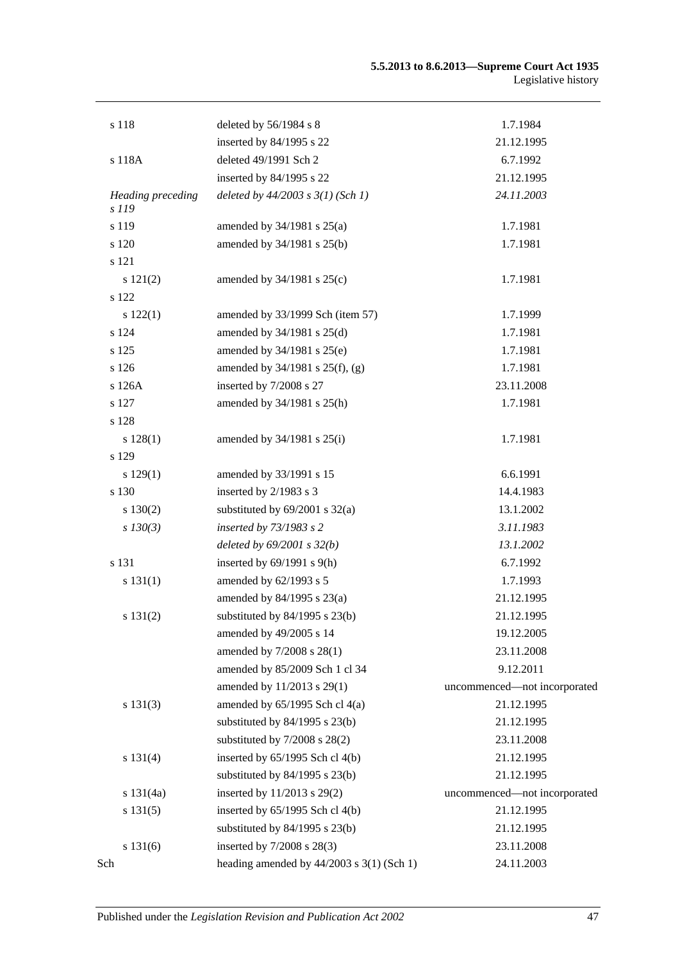| s 118                      | deleted by $56/1984$ s 8                    | 1.7.1984                     |
|----------------------------|---------------------------------------------|------------------------------|
|                            | inserted by 84/1995 s 22                    | 21.12.1995                   |
| s 118A                     | deleted 49/1991 Sch 2                       | 6.7.1992                     |
|                            | inserted by 84/1995 s 22                    | 21.12.1995                   |
| Heading preceding<br>s 119 | deleted by $44/2003$ s $3(1)$ (Sch 1)       | 24.11.2003                   |
| s 119                      | amended by 34/1981 s 25(a)                  | 1.7.1981                     |
| s 120                      | amended by 34/1981 s 25(b)                  | 1.7.1981                     |
| s 121                      |                                             |                              |
| s 121(2)                   | amended by $34/1981$ s $25(c)$              | 1.7.1981                     |
| s 122                      |                                             |                              |
| s 122(1)                   | amended by 33/1999 Sch (item 57)            | 1.7.1999                     |
| s 124                      | amended by $34/1981$ s $25(d)$              | 1.7.1981                     |
| s 125                      | amended by 34/1981 s 25(e)                  | 1.7.1981                     |
| $\sqrt{s}$ 126             | amended by $34/1981$ s $25(f)$ , (g)        | 1.7.1981                     |
| s 126A                     | inserted by 7/2008 s 27                     | 23.11.2008                   |
| s 127                      | amended by 34/1981 s 25(h)                  | 1.7.1981                     |
| s 128                      |                                             |                              |
| s 128(1)                   | amended by $34/1981$ s $25(i)$              | 1.7.1981                     |
| s 129                      |                                             |                              |
| s 129(1)                   | amended by 33/1991 s 15                     | 6.6.1991                     |
| s 130                      | inserted by 2/1983 s 3                      | 14.4.1983                    |
| s 130(2)                   | substituted by $69/2001$ s $32(a)$          | 13.1.2002                    |
| $s$ 130(3)                 | inserted by 73/1983 s 2                     | 3.11.1983                    |
|                            | deleted by $69/2001$ s $32(b)$              | 13.1.2002                    |
| s 131                      | inserted by $69/1991$ s $9(h)$              | 6.7.1992                     |
| s 131(1)                   | amended by $62/1993$ s 5                    | 1.7.1993                     |
|                            | amended by 84/1995 s 23(a)                  | 21.12.1995                   |
| s 131(2)                   | substituted by $84/1995$ s $23(b)$          | 21.12.1995                   |
|                            | amended by 49/2005 s 14                     | 19.12.2005                   |
|                            | amended by 7/2008 s 28(1)                   | 23.11.2008                   |
|                            | amended by 85/2009 Sch 1 cl 34              | 9.12.2011                    |
|                            | amended by 11/2013 s 29(1)                  | uncommenced-not incorporated |
| s 131(3)                   | amended by $65/1995$ Sch cl $4(a)$          | 21.12.1995                   |
|                            | substituted by $84/1995$ s $23(b)$          | 21.12.1995                   |
|                            | substituted by $7/2008$ s $28(2)$           | 23.11.2008                   |
| s 131(4)                   | inserted by $65/1995$ Sch cl $4(b)$         | 21.12.1995                   |
|                            | substituted by $84/1995$ s $23(b)$          | 21.12.1995                   |
| s 131(4a)                  | inserted by 11/2013 s 29(2)                 | uncommenced-not incorporated |
| s 131(5)                   | inserted by 65/1995 Sch cl 4(b)             | 21.12.1995                   |
|                            | substituted by $84/1995$ s $23(b)$          | 21.12.1995                   |
| s 131(6)                   | inserted by 7/2008 s 28(3)                  | 23.11.2008                   |
| Sch                        | heading amended by $44/2003$ s 3(1) (Sch 1) | 24.11.2003                   |